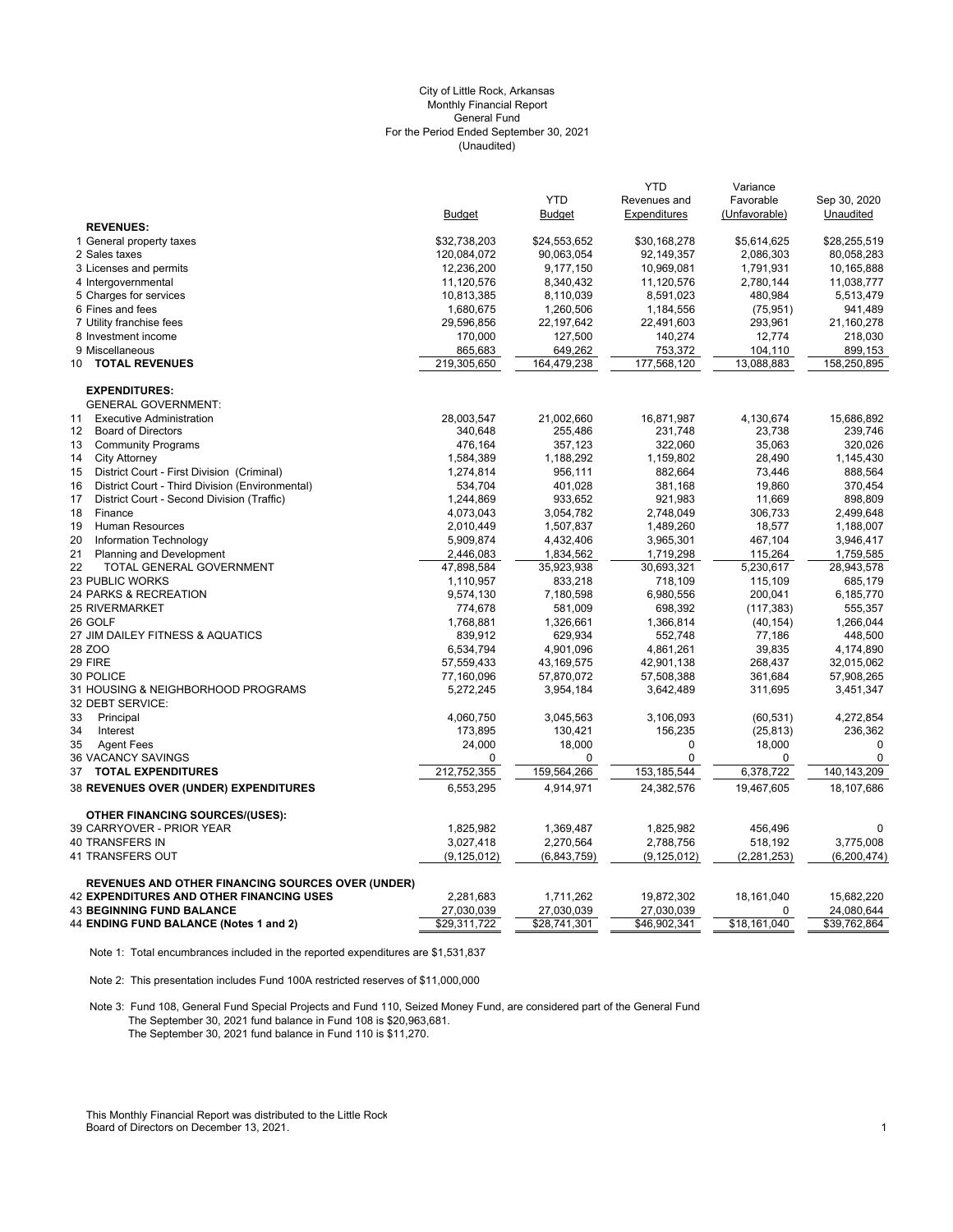# (Unaudited) City of Little Rock, Arkansas Monthly Financial Report General Fund For the Period Ended September 30, 2021

|                                                          |               |               | <b>YTD</b>    | Variance      |               |
|----------------------------------------------------------|---------------|---------------|---------------|---------------|---------------|
|                                                          |               | <b>YTD</b>    | Revenues and  | Favorable     | Sep 30, 2020  |
|                                                          | <b>Budget</b> | <b>Budget</b> | Expenditures  | (Unfavorable) | Unaudited     |
| <b>REVENUES:</b>                                         |               |               |               |               |               |
| 1 General property taxes                                 | \$32,738,203  | \$24,553,652  | \$30,168,278  | \$5,614,625   | \$28,255,519  |
| 2 Sales taxes                                            | 120,084,072   | 90,063,054    | 92,149,357    | 2,086,303     | 80,058,283    |
| 3 Licenses and permits                                   | 12,236,200    | 9,177,150     | 10,969,081    | 1,791,931     | 10,165,888    |
| 4 Intergovernmental                                      | 11,120,576    | 8,340,432     | 11,120,576    | 2,780,144     | 11,038,777    |
| 5 Charges for services                                   | 10,813,385    | 8,110,039     | 8,591,023     | 480,984       | 5,513,479     |
| 6 Fines and fees                                         | 1,680,675     | 1,260,506     | 1,184,556     | (75, 951)     | 941,489       |
| 7 Utility franchise fees                                 | 29,596,856    | 22,197,642    | 22,491,603    | 293,961       | 21,160,278    |
| 8 Investment income                                      | 170,000       | 127,500       | 140,274       | 12,774        | 218,030       |
| 9 Miscellaneous                                          | 865,683       | 649,262       | 753,372       | 104,110       | 899,153       |
| <b>TOTAL REVENUES</b><br>10                              | 219,305,650   | 164,479,238   | 177,568,120   | 13,088,883    | 158,250,895   |
| <b>EXPENDITURES:</b>                                     |               |               |               |               |               |
| <b>GENERAL GOVERNMENT:</b>                               |               |               |               |               |               |
| <b>Executive Administration</b><br>11                    | 28,003,547    | 21,002,660    | 16,871,987    | 4,130,674     | 15,686,892    |
| <b>Board of Directors</b><br>12                          | 340,648       | 255,486       | 231,748       | 23,738        | 239,746       |
| 13<br><b>Community Programs</b>                          | 476,164       | 357,123       | 322,060       | 35,063        | 320,026       |
| <b>City Attorney</b><br>14                               | 1,584,389     | 1,188,292     | 1,159,802     | 28,490        | 1,145,430     |
| 15<br>District Court - First Division (Criminal)         | 1,274,814     | 956,111       | 882,664       | 73,446        | 888,564       |
| 16<br>District Court - Third Division (Environmental)    | 534,704       | 401,028       | 381,168       | 19,860        | 370,454       |
| 17<br>District Court - Second Division (Traffic)         | 1,244,869     | 933,652       | 921,983       | 11,669        | 898,809       |
| 18<br>Finance                                            | 4,073,043     | 3,054,782     | 2,748,049     | 306,733       | 2,499,648     |
| <b>Human Resources</b><br>19                             | 2,010,449     | 1,507,837     | 1,489,260     | 18,577        | 1,188,007     |
| 20<br>Information Technology                             | 5,909,874     | 4,432,406     | 3,965,301     | 467,104       | 3,946,417     |
| 21<br>Planning and Development                           | 2,446,083     | 1,834,562     | 1,719,298     | 115,264       | 1,759,585     |
| 22<br>TOTAL GENERAL GOVERNMENT                           | 47,898,584    | 35,923,938    | 30,693,321    | 5,230,617     | 28,943,578    |
| <b>23 PUBLIC WORKS</b>                                   | 1,110,957     | 833,218       | 718,109       | 115,109       | 685,179       |
| 24 PARKS & RECREATION                                    | 9,574,130     | 7,180,598     | 6,980,556     | 200,041       | 6,185,770     |
| <b>25 RIVERMARKET</b>                                    | 774,678       | 581,009       | 698,392       | (117, 383)    | 555,357       |
| 26 GOLF                                                  | 1,768,881     | 1,326,661     | 1,366,814     | (40, 154)     | 1,266,044     |
| 27 JIM DAILEY FITNESS & AQUATICS                         | 839,912       | 629,934       | 552,748       | 77,186        | 448,500       |
| 28 ZOO                                                   | 6,534,794     | 4,901,096     | 4,861,261     | 39,835        | 4,174,890     |
| 29 FIRE                                                  | 57,559,433    | 43,169,575    | 42,901,138    | 268,437       | 32,015,062    |
| 30 POLICE                                                | 77,160,096    | 57,870,072    | 57,508,388    | 361,684       | 57,908,265    |
| 31 HOUSING & NEIGHBORHOOD PROGRAMS                       | 5,272,245     | 3,954,184     | 3,642,489     | 311,695       | 3,451,347     |
| 32 DEBT SERVICE:                                         |               |               |               |               |               |
| 33<br>Principal                                          | 4,060,750     | 3,045,563     | 3,106,093     | (60, 531)     | 4,272,854     |
| 34<br>Interest                                           | 173,895       | 130,421       | 156,235       | (25, 813)     | 236,362       |
| 35<br><b>Agent Fees</b>                                  | 24,000        | 18,000        | $\mathbf 0$   | 18,000        | $\mathbf 0$   |
| 36 VACANCY SAVINGS                                       | $\mathbf 0$   | $\Omega$      | $\Omega$      | $\mathbf 0$   | $\mathbf 0$   |
| 37<br><b>TOTAL EXPENDITURES</b>                          | 212,752,355   | 159,564,266   | 153, 185, 544 | 6,378,722     | 140,143,209   |
| 38 REVENUES OVER (UNDER) EXPENDITURES                    | 6,553,295     | 4,914,971     | 24,382,576    | 19,467,605    | 18,107,686    |
| <b>OTHER FINANCING SOURCES/(USES):</b>                   |               |               |               |               |               |
| 39 CARRYOVER - PRIOR YEAR                                | 1,825,982     | 1,369,487     | 1,825,982     | 456,496       | 0             |
| <b>40 TRANSFERS IN</b>                                   | 3,027,418     | 2,270,564     | 2,788,756     | 518,192       | 3,775,008     |
| 41 TRANSFERS OUT                                         | (9, 125, 012) | (6,843,759)   | (9, 125, 012) | (2, 281, 253) | (6, 200, 474) |
| <b>REVENUES AND OTHER FINANCING SOURCES OVER (UNDER)</b> |               |               |               |               |               |
| <b>42 EXPENDITURES AND OTHER FINANCING USES</b>          | 2,281,683     | 1,711,262     | 19,872,302    | 18,161,040    | 15,682,220    |
| <b>43 BEGINNING FUND BALANCE</b>                         | 27,030,039    | 27,030,039    | 27,030,039    | $\mathbf 0$   | 24,080,644    |
| 44 ENDING FUND BALANCE (Notes 1 and 2)                   | \$29,311,722  | \$28,741,301  | \$46,902,341  | \$18,161,040  | \$39,762,864  |

Note 1: Total encumbrances included in the reported expenditures are \$1,531,837

Note 2: This presentation includes Fund 100A restricted reserves of \$11,000,000

Note 3: Fund 108, General Fund Special Projects and Fund 110, Seized Money Fund, are considered part of the General Fund The September 30, 2021 fund balance in Fund 108 is \$20,963,681. The September 30, 2021 fund balance in Fund 110 is \$11,270.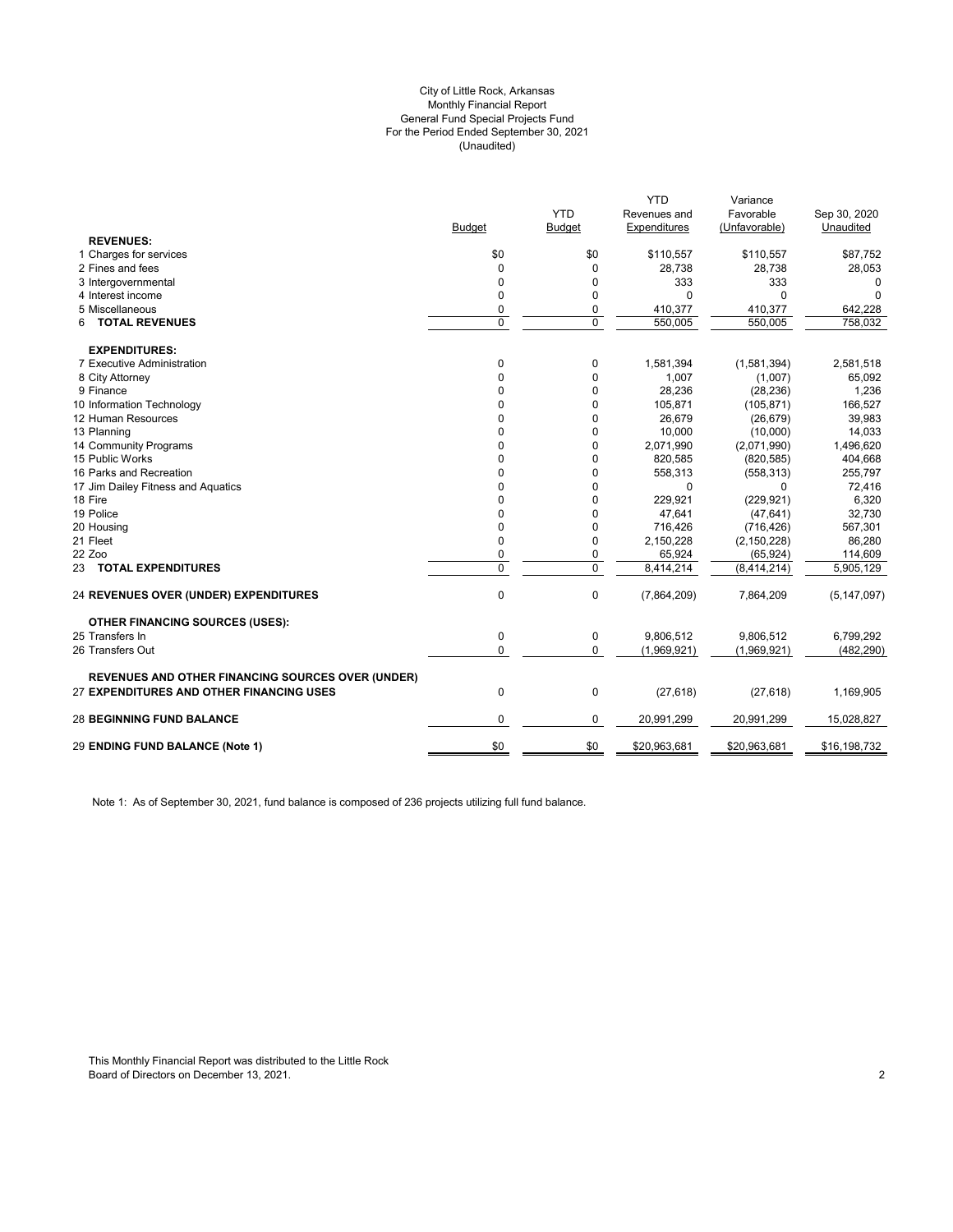#### (Unaudited) City of Little Rock, Arkansas Monthly Financial Report General Fund Special Projects Fund For the Period Ended September 30, 2021

|                                                          |               |                | <b>YTD</b>   | Variance      |               |
|----------------------------------------------------------|---------------|----------------|--------------|---------------|---------------|
|                                                          |               | <b>YTD</b>     | Revenues and | Favorable     | Sep 30, 2020  |
|                                                          | <b>Budget</b> | Budget         | Expenditures | (Unfavorable) | Unaudited     |
| <b>REVENUES:</b>                                         |               |                |              |               |               |
| 1 Charges for services                                   | \$0           | \$0            | \$110,557    | \$110,557     | \$87,752      |
| 2 Fines and fees                                         | 0             | $\mathbf 0$    | 28,738       | 28,738        | 28,053        |
| 3 Intergovernmental                                      | 0             | 0              | 333          | 333           | 0             |
| 4 Interest income                                        | 0             | 0              | $\Omega$     | $\Omega$      | $\Omega$      |
| 5 Miscellaneous                                          | 0             | 0              | 410,377      | 410,377       | 642,228       |
| <b>TOTAL REVENUES</b><br>6                               | $\Omega$      | $\overline{0}$ | 550.005      | 550.005       | 758.032       |
| <b>EXPENDITURES:</b>                                     |               |                |              |               |               |
| 7 Executive Administration                               | 0             | 0              | 1,581,394    | (1,581,394)   | 2,581,518     |
| 8 City Attorney                                          | $\Omega$      | $\mathbf 0$    | 1,007        | (1,007)       | 65,092        |
| 9 Finance                                                | 0             | $\mathbf 0$    | 28,236       | (28, 236)     | 1,236         |
| 10 Information Technology                                | $\Omega$      | 0              | 105,871      | (105, 871)    | 166,527       |
| 12 Human Resources                                       | $\Omega$      | 0              | 26,679       | (26, 679)     | 39,983        |
| 13 Planning                                              | 0             | 0              | 10,000       | (10,000)      | 14,033        |
| 14 Community Programs                                    | 0             | 0              | 2,071,990    | (2,071,990)   | 1,496,620     |
| 15 Public Works                                          | 0             | $\mathbf 0$    | 820,585      | (820, 585)    | 404,668       |
| 16 Parks and Recreation                                  | $\Omega$      | 0              | 558,313      | (558, 313)    | 255,797       |
| 17 Jim Dailey Fitness and Aquatics                       | 0             | 0              | $\mathbf 0$  | $\Omega$      | 72,416        |
| 18 Fire                                                  | 0             | $\mathbf 0$    | 229,921      | (229, 921)    | 6,320         |
| 19 Police                                                | $\Omega$      | 0              | 47,641       | (47, 641)     | 32,730        |
| 20 Housing                                               | $\Omega$      | 0              | 716,426      | (716, 426)    | 567,301       |
| 21 Fleet                                                 | 0             | $\mathbf 0$    | 2,150,228    | (2, 150, 228) | 86,280        |
| 22 Zoo                                                   | 0             | 0              | 65,924       | (65, 924)     | 114,609       |
| 23 TOTAL EXPENDITURES                                    | $\Omega$      | $\mathbf 0$    | 8,414,214    | (8,414,214)   | 5,905,129     |
| <b>24 REVENUES OVER (UNDER) EXPENDITURES</b>             | $\pmb{0}$     | $\mathbf 0$    | (7,864,209)  | 7,864,209     | (5, 147, 097) |
| <b>OTHER FINANCING SOURCES (USES):</b>                   |               |                |              |               |               |
| 25 Transfers In                                          | $\mathbf 0$   | $\mathbf 0$    | 9,806,512    | 9.806.512     | 6.799.292     |
| 26 Transfers Out                                         | 0             | 0              | (1,969,921)  | (1,969,921)   | (482, 290)    |
| <b>REVENUES AND OTHER FINANCING SOURCES OVER (UNDER)</b> |               |                |              |               |               |
| 27 EXPENDITURES AND OTHER FINANCING USES                 | $\mathbf 0$   | $\mathbf 0$    | (27, 618)    | (27, 618)     | 1,169,905     |
| <b>28 BEGINNING FUND BALANCE</b>                         | 0             | 0              | 20,991,299   | 20,991,299    | 15,028,827    |
| 29 ENDING FUND BALANCE (Note 1)                          | \$0           | \$0            | \$20,963,681 | \$20,963,681  | \$16,198,732  |
|                                                          |               |                |              |               |               |

Note 1: As of September 30, 2021, fund balance is composed of 236 projects utilizing full fund balance.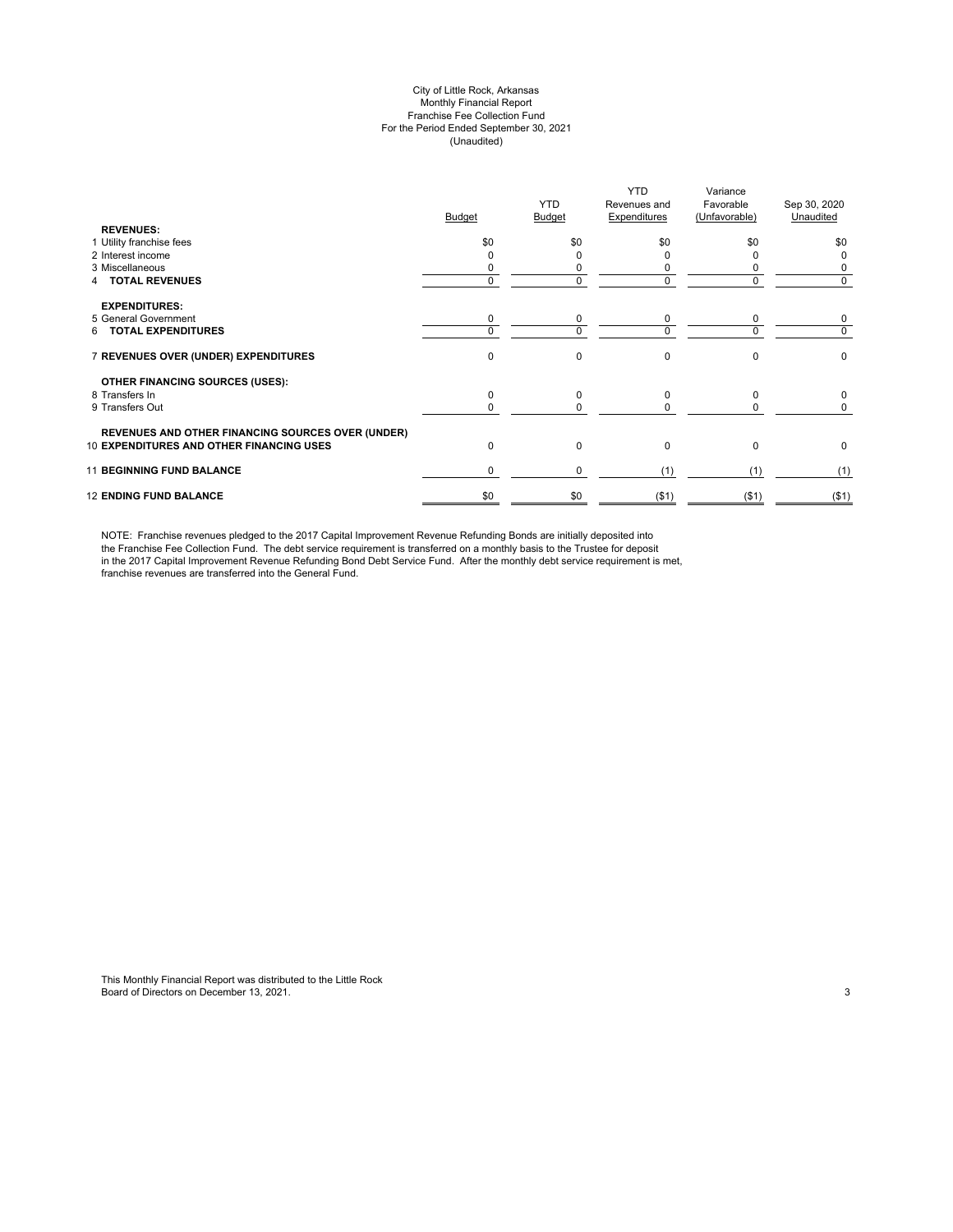#### City of Little Rock, Arkansas Monthly Financial Report Franchise Fee Collection Fund For the Period Ended September 30, 2021 (Unaudited)

|                                                          | <b>Budget</b> | <b>YTD</b><br>Budget | <b>YTD</b><br>Revenues and<br>Expenditures | Variance<br>Favorable<br>(Unfavorable) | Sep 30, 2020<br>Unaudited |
|----------------------------------------------------------|---------------|----------------------|--------------------------------------------|----------------------------------------|---------------------------|
| <b>REVENUES:</b>                                         |               |                      |                                            |                                        |                           |
| 1 Utility franchise fees                                 | \$0           | \$0                  | \$0                                        | \$0                                    | \$0                       |
| 2 Interest income                                        |               |                      |                                            |                                        | 0                         |
| 3 Miscellaneous                                          |               |                      |                                            |                                        | 0                         |
| <b>TOTAL REVENUES</b>                                    |               | 0                    | 0                                          |                                        | 0                         |
| <b>EXPENDITURES:</b>                                     |               |                      |                                            |                                        |                           |
| 5 General Government                                     | 0             | 0                    | 0                                          | 0                                      | 0                         |
| <b>TOTAL EXPENDITURES</b><br>6                           | $\Omega$      | 0                    | $\Omega$                                   | $\Omega$                               | 0                         |
| 7 REVENUES OVER (UNDER) EXPENDITURES                     | $\Omega$      | 0                    | $\Omega$                                   | $\Omega$                               | 0                         |
| <b>OTHER FINANCING SOURCES (USES):</b>                   |               |                      |                                            |                                        |                           |
| 8 Transfers In                                           | $\Omega$      | 0                    | $\Omega$                                   | <sup>0</sup>                           | 0                         |
| 9 Transfers Out                                          | ŋ             | 0                    | $\Omega$                                   |                                        | 0                         |
| <b>REVENUES AND OTHER FINANCING SOURCES OVER (UNDER)</b> |               |                      |                                            |                                        |                           |
| 10 EXPENDITURES AND OTHER FINANCING USES                 | $\Omega$      | 0                    | $\Omega$                                   | $\Omega$                               | 0                         |
| <b>11 BEGINNING FUND BALANCE</b>                         | $\Omega$      | 0                    | (1)                                        | (1)                                    | (1)                       |
| <b>12 ENDING FUND BALANCE</b>                            | \$0           | \$0                  | ( \$1)                                     | $($ \$1)                               | ( \$1)                    |

NOTE: Franchise revenues pledged to the 2017 Capital Improvement Revenue Refunding Bonds are initially deposited into the Franchise Fee Collection Fund. The debt service requirement is transferred on a monthly basis to the Trustee for deposit in the 2017 Capital Improvement Revenue Refunding Bond Debt Service Fund. After the monthly debt service requirement is met, franchise revenues are transferred into the General Fund.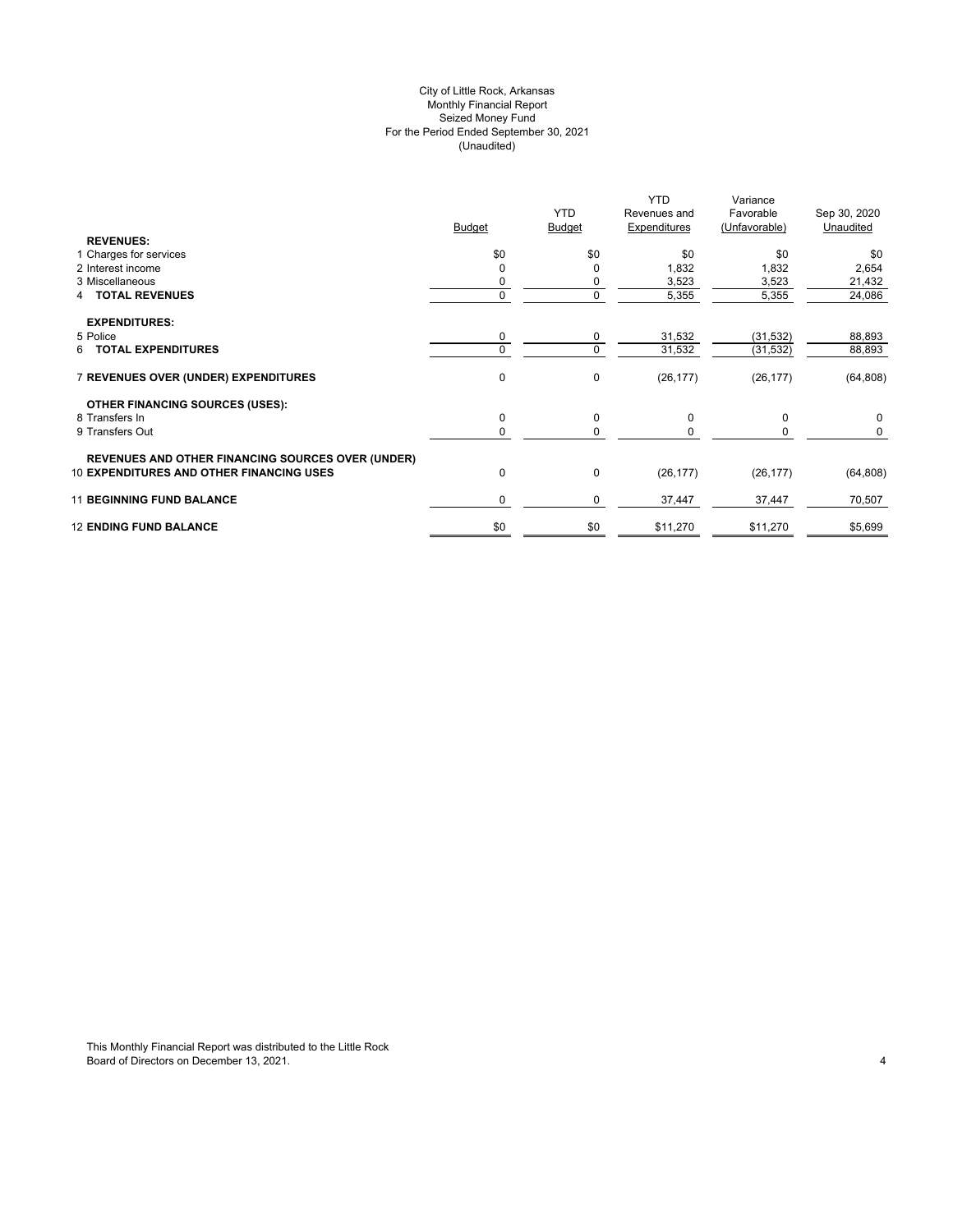# City of Little Rock, Arkansas (Unaudited) For the Period Ended September 30, 2021 Seized Money Fund Monthly Financial Report

| <b>REVENUES:</b>                                         | <b>Budget</b> | <b>YTD</b><br><b>Budget</b> | <b>YTD</b><br>Revenues and<br>Expenditures | Variance<br>Favorable<br>(Unfavorable) | Sep 30, 2020<br>Unaudited |
|----------------------------------------------------------|---------------|-----------------------------|--------------------------------------------|----------------------------------------|---------------------------|
| 1 Charges for services                                   | \$0           | \$0                         | \$0                                        | \$0                                    | \$0                       |
| 2 Interest income                                        |               | 0                           | 1,832                                      | 1,832                                  | 2,654                     |
| 3 Miscellaneous                                          |               | 0                           | 3,523                                      | 3,523                                  | 21,432                    |
| <b>4 TOTAL REVENUES</b>                                  |               | 0                           | 5,355                                      | 5,355                                  | 24,086                    |
| <b>EXPENDITURES:</b>                                     |               |                             |                                            |                                        |                           |
| 5 Police                                                 | 0             | 0                           | 31,532                                     | (31, 532)                              | 88,893                    |
| <b>TOTAL EXPENDITURES</b><br>6                           |               | 0                           | 31,532                                     | (31, 532)                              | 88,893                    |
| 7 REVENUES OVER (UNDER) EXPENDITURES                     | $\mathbf 0$   | 0                           | (26, 177)                                  | (26, 177)                              | (64, 808)                 |
| OTHER FINANCING SOURCES (USES):                          |               |                             |                                            |                                        |                           |
| 8 Transfers In                                           | 0             | 0                           | 0                                          | $\mathbf 0$                            | 0                         |
| 9 Transfers Out                                          | 0             | 0                           | 0                                          | 0                                      | 0                         |
| <b>REVENUES AND OTHER FINANCING SOURCES OVER (UNDER)</b> |               |                             |                                            |                                        |                           |
| <b>10 EXPENDITURES AND OTHER FINANCING USES</b>          | $\mathbf 0$   | 0                           | (26, 177)                                  | (26, 177)                              | (64, 808)                 |
| <b>11 BEGINNING FUND BALANCE</b>                         | 0             | 0                           | 37,447                                     | 37,447                                 | 70,507                    |
| <b>12 ENDING FUND BALANCE</b>                            | \$0           | \$0                         | \$11,270                                   | \$11,270                               | \$5,699                   |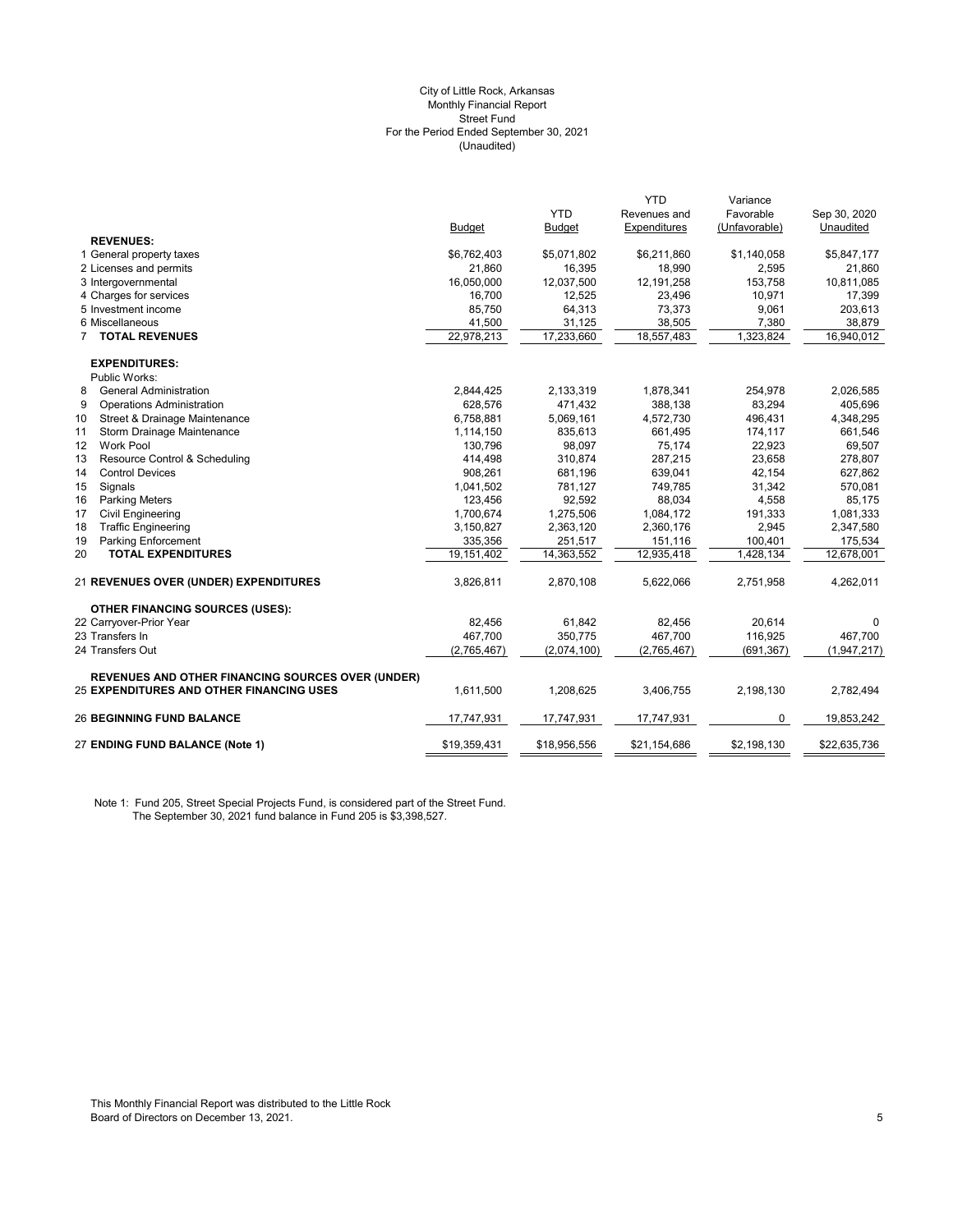#### (Unaudited) City of Little Rock, Arkansas Monthly Financial Report Street Fund For the Period Ended September 30, 2021

|                                                          |               |               | <b>YTD</b>   | Variance      |              |
|----------------------------------------------------------|---------------|---------------|--------------|---------------|--------------|
|                                                          |               | <b>YTD</b>    | Revenues and | Favorable     | Sep 30, 2020 |
|                                                          | <b>Budget</b> | <b>Budget</b> | Expenditures | (Unfavorable) | Unaudited    |
| <b>REVENUES:</b>                                         |               |               |              |               |              |
| 1 General property taxes                                 | \$6,762,403   | \$5,071,802   | \$6,211,860  | \$1,140,058   | \$5,847,177  |
| 2 Licenses and permits                                   | 21,860        | 16,395        | 18,990       | 2,595         | 21,860       |
| 3 Intergovernmental                                      | 16,050,000    | 12,037,500    | 12, 191, 258 | 153,758       | 10,811,085   |
| 4 Charges for services                                   | 16,700        | 12,525        | 23,496       | 10,971        | 17,399       |
| 5 Investment income                                      | 85,750        | 64,313        | 73,373       | 9,061         | 203,613      |
| 6 Miscellaneous                                          | 41,500        | 31,125        | 38,505       | 7,380         | 38,879       |
| 7 TOTAL REVENUES                                         | 22,978,213    | 17,233,660    | 18,557,483   | 1,323,824     | 16,940,012   |
| <b>EXPENDITURES:</b>                                     |               |               |              |               |              |
| Public Works:                                            |               |               |              |               |              |
| 8<br><b>General Administration</b>                       | 2,844,425     | 2,133,319     | 1,878,341    | 254,978       | 2,026,585    |
| <b>Operations Administration</b><br>9                    | 628,576       | 471,432       | 388,138      | 83,294        | 405,696      |
| 10<br>Street & Drainage Maintenance                      | 6,758,881     | 5,069,161     | 4,572,730    | 496,431       | 4,348,295    |
| 11<br>Storm Drainage Maintenance                         | 1,114,150     | 835,613       | 661,495      | 174,117       | 661,546      |
| <b>Work Pool</b><br>12                                   | 130,796       | 98,097        | 75,174       | 22,923        | 69,507       |
| Resource Control & Scheduling<br>13                      | 414,498       | 310,874       | 287,215      | 23,658        | 278,807      |
| <b>Control Devices</b><br>14                             | 908,261       | 681,196       | 639,041      | 42,154        | 627,862      |
| 15<br>Signals                                            | 1,041,502     | 781,127       | 749,785      | 31,342        | 570,081      |
| 16<br><b>Parking Meters</b>                              | 123,456       | 92,592        | 88,034       | 4,558         | 85,175       |
| 17<br><b>Civil Engineering</b>                           | 1,700,674     | 1,275,506     | 1,084,172    | 191,333       | 1,081,333    |
| <b>Traffic Engineering</b><br>18                         | 3,150,827     | 2,363,120     | 2,360,176    | 2,945         | 2,347,580    |
| 19<br><b>Parking Enforcement</b>                         | 335,356       | 251,517       | 151,116      | 100,401       | 175,534      |
| <b>TOTAL EXPENDITURES</b><br>20                          | 19,151,402    | 14,363,552    | 12,935,418   | 1,428,134     | 12,678,001   |
| <b>21 REVENUES OVER (UNDER) EXPENDITURES</b>             | 3,826,811     | 2,870,108     | 5,622,066    | 2,751,958     | 4,262,011    |
| <b>OTHER FINANCING SOURCES (USES):</b>                   |               |               |              |               |              |
| 22 Carryover-Prior Year                                  | 82,456        | 61,842        | 82,456       | 20,614        | 0            |
| 23 Transfers In                                          | 467.700       | 350.775       | 467.700      | 116.925       | 467.700      |
| 24 Transfers Out                                         | (2,765,467)   | (2,074,100)   | (2,765,467)  | (691, 367)    | (1,947,217)  |
| <b>REVENUES AND OTHER FINANCING SOURCES OVER (UNDER)</b> |               |               |              |               |              |
| <b>25 EXPENDITURES AND OTHER FINANCING USES</b>          | 1,611,500     | 1,208,625     | 3,406,755    | 2,198,130     | 2,782,494    |
| <b>26 BEGINNING FUND BALANCE</b>                         | 17,747,931    | 17,747,931    | 17,747,931   | 0             | 19,853,242   |
| 27 ENDING FUND BALANCE (Note 1)                          | \$19,359,431  | \$18,956,556  | \$21,154,686 | \$2,198,130   | \$22,635,736 |

Note 1: Fund 205, Street Special Projects Fund, is considered part of the Street Fund. The September 30, 2021 fund balance in Fund 205 is \$3,398,527.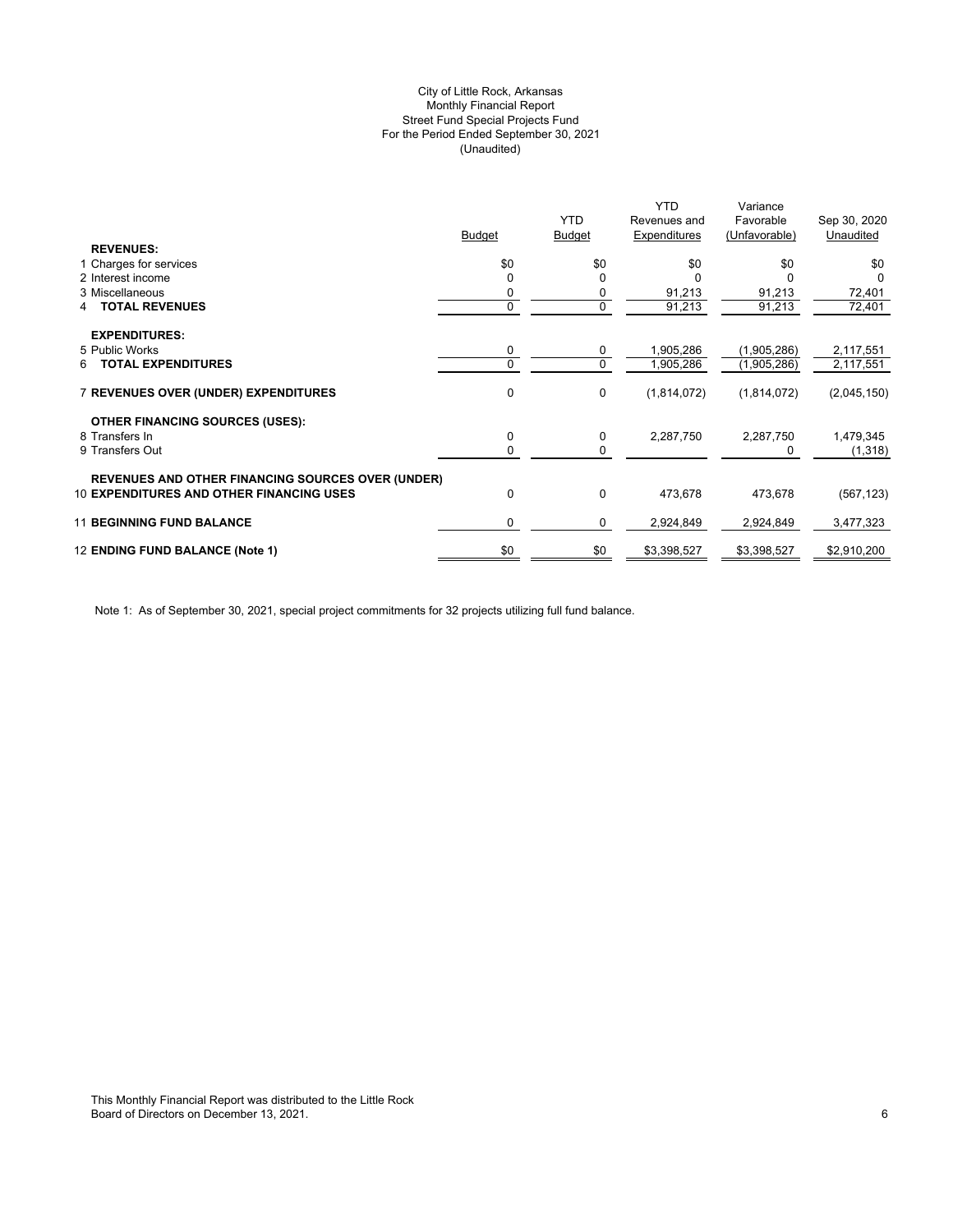# (Unaudited) City of Little Rock, Arkansas Monthly Financial Report Street Fund Special Projects Fund For the Period Ended September 30, 2021

|                                                          |          |                | <b>YTD</b>   | Variance      |              |
|----------------------------------------------------------|----------|----------------|--------------|---------------|--------------|
|                                                          |          | <b>YTD</b>     | Revenues and | Favorable     | Sep 30, 2020 |
|                                                          | Budget   | <b>Budget</b>  | Expenditures | (Unfavorable) | Unaudited    |
| <b>REVENUES:</b>                                         |          |                |              |               |              |
| 1 Charges for services                                   | \$0      | \$0            | \$0          | \$0           | \$0          |
| 2 Interest income                                        |          | $\Omega$       |              | 0             |              |
| 3 Miscellaneous                                          | 0        | 0              | 91,213       | 91,213        | 72,401       |
| <b>TOTAL REVENUES</b><br>4                               | 0        | $\overline{0}$ | 91,213       | 91,213        | 72,401       |
|                                                          |          |                |              |               |              |
| <b>EXPENDITURES:</b>                                     |          |                |              |               |              |
| 5 Public Works                                           | 0        | 0              | 1,905,286    | (1,905,286)   | 2,117,551    |
| <b>TOTAL EXPENDITURES</b><br>6                           | $\Omega$ | 0              | 1,905,286    | (1,905,286)   | 2,117,551    |
|                                                          |          |                |              |               |              |
| <b>7 REVENUES OVER (UNDER) EXPENDITURES</b>              | 0        | 0              | (1,814,072)  | (1,814,072)   | (2,045,150)  |
|                                                          |          |                |              |               |              |
| <b>OTHER FINANCING SOURCES (USES):</b>                   |          |                |              |               |              |
| 8 Transfers In                                           | 0        | 0              | 2,287,750    | 2,287,750     | 1,479,345    |
| 9 Transfers Out                                          | 0        | 0              |              | 0             | (1, 318)     |
|                                                          |          |                |              |               |              |
| <b>REVENUES AND OTHER FINANCING SOURCES OVER (UNDER)</b> |          |                |              |               |              |
| <b>10 EXPENDITURES AND OTHER FINANCING USES</b>          | 0        | 0              | 473,678      | 473,678       | (567, 123)   |
|                                                          |          |                |              |               |              |
| <b>11 BEGINNING FUND BALANCE</b>                         | 0        | 0              | 2,924,849    | 2,924,849     | 3,477,323    |
|                                                          |          |                |              |               |              |
| 12 ENDING FUND BALANCE (Note 1)                          | \$0      | \$0            | \$3,398,527  | \$3,398,527   | \$2,910,200  |
|                                                          |          |                |              |               |              |

Note 1: As of September 30, 2021, special project commitments for 32 projects utilizing full fund balance.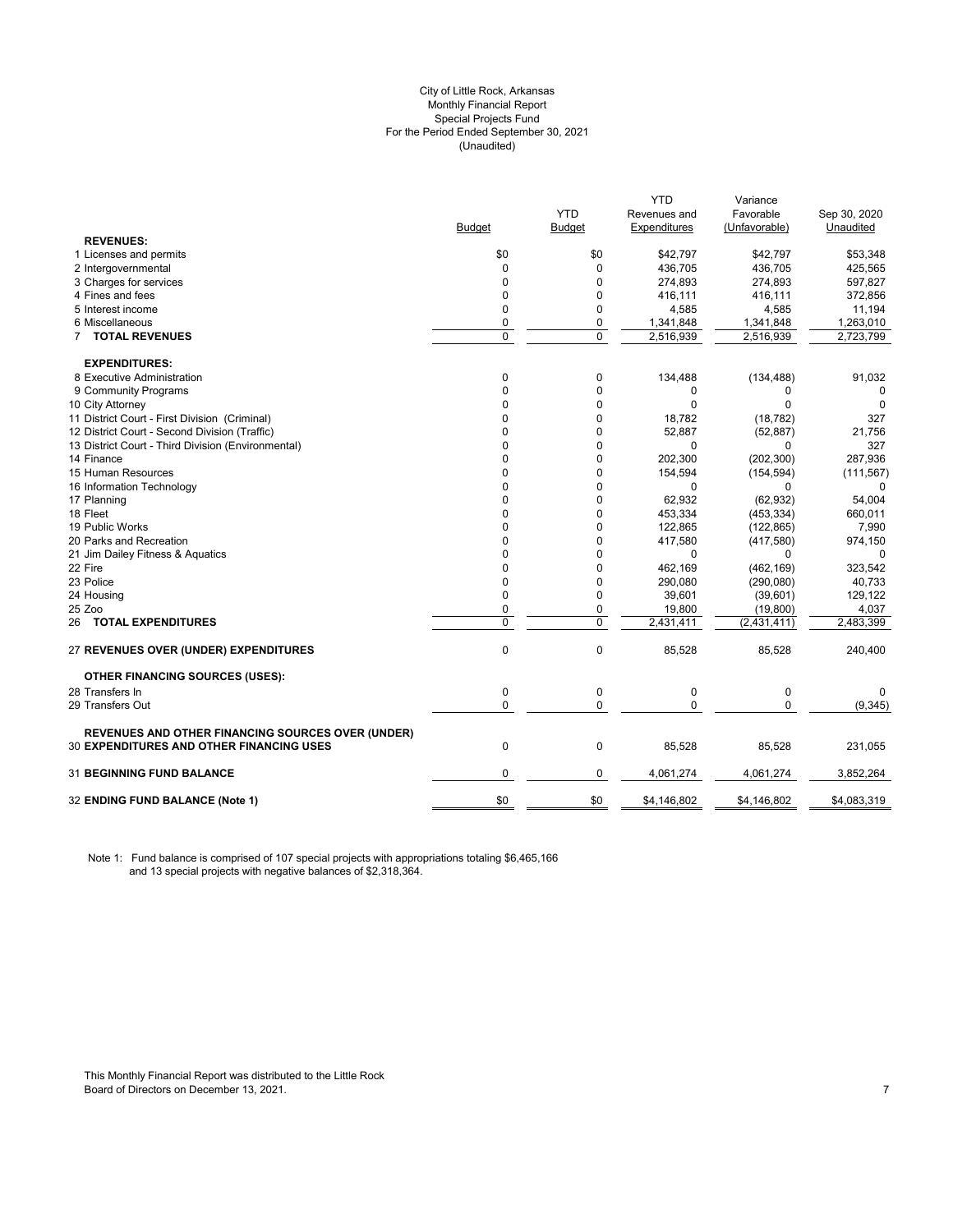#### City of Little Rock, Arkansas (Unaudited) For the Period Ended September 30, 2021 Special Projects Fund Monthly Financial Report

|                                                          |                |            | YTD          | Variance      |              |
|----------------------------------------------------------|----------------|------------|--------------|---------------|--------------|
|                                                          |                | <b>YTD</b> | Revenues and | Favorable     | Sep 30, 2020 |
|                                                          | <b>Budget</b>  | Budget     | Expenditures | (Unfavorable) | Unaudited    |
| <b>REVENUES:</b>                                         |                |            |              |               |              |
| 1 Licenses and permits                                   | \$0            | \$0        | \$42,797     | \$42,797      | \$53,348     |
| 2 Intergovernmental                                      | 0              | 0          | 436,705      | 436,705       | 425,565      |
| 3 Charges for services                                   | $\mathbf 0$    | 0          | 274,893      | 274,893       | 597,827      |
| 4 Fines and fees                                         | $\mathbf 0$    | 0          | 416,111      | 416,111       | 372,856      |
| 5 Interest income                                        | $\mathbf 0$    | 0          | 4,585        | 4,585         | 11,194       |
| 6 Miscellaneous                                          | $\mathbf 0$    | 0          | 1,341,848    | 1,341,848     | 1,263,010    |
| 7 TOTAL REVENUES                                         | $\overline{0}$ | 0          | 2,516,939    | 2,516,939     | 2,723,799    |
| <b>EXPENDITURES:</b>                                     |                |            |              |               |              |
| 8 Executive Administration                               | 0              | 0          | 134,488      | (134, 488)    | 91,032       |
| 9 Community Programs                                     | $\mathbf{0}$   | 0          | 0            | 0             | 0            |
| 10 City Attorney                                         | $\Omega$       | $\Omega$   | $\Omega$     | $\Omega$      | 0            |
| 11 District Court - First Division (Criminal)            | 0              | 0          | 18,782       | (18, 782)     | 327          |
| 12 District Court - Second Division (Traffic)            | 0              | 0          | 52,887       | (52, 887)     | 21,756       |
| 13 District Court - Third Division (Environmental)       | 0              | 0          | 0            | 0             | 327          |
| 14 Finance                                               | $\Omega$       | 0          | 202,300      | (202, 300)    | 287,936      |
| 15 Human Resources                                       | 0              | 0          | 154,594      | (154, 594)    | (111, 567)   |
| 16 Information Technology                                | $\Omega$       | 0          | $\Omega$     | 0             |              |
| 17 Planning                                              | 0              | 0          | 62,932       | (62, 932)     | 54,004       |
| 18 Fleet                                                 | $\Omega$       | 0          | 453,334      | (453, 334)    | 660,011      |
| 19 Public Works                                          | 0              | 0          | 122,865      | (122, 865)    | 7,990        |
| 20 Parks and Recreation                                  | $\Omega$       | 0          | 417,580      | (417, 580)    | 974,150      |
| 21 Jim Dailey Fitness & Aquatics                         | $\Omega$       | 0          | 0            | $\Omega$      | $\Omega$     |
| 22 Fire                                                  | $\mathbf 0$    | 0          | 462,169      | (462, 169)    | 323,542      |
| 23 Police                                                | 0              | 0          | 290,080      | (290,080)     | 40,733       |
| 24 Housing                                               | $\mathbf{0}$   | 0          | 39,601       | (39,601)      | 129,122      |
| 25 Zoo                                                   | $\mathbf 0$    | 0          | 19,800       | (19,800)      | 4,037        |
| 26 TOTAL EXPENDITURES                                    | $\mathbf 0$    | 0          | 2,431,411    | (2,431,411)   | 2,483,399    |
| 27 REVENUES OVER (UNDER) EXPENDITURES                    | $\mathbf 0$    | 0          | 85,528       | 85,528        | 240,400      |
| <b>OTHER FINANCING SOURCES (USES):</b>                   |                |            |              |               |              |
| 28 Transfers In                                          | $\mathbf 0$    | 0          | $\mathbf 0$  | $\mathbf 0$   | 0            |
| 29 Transfers Out                                         | $\mathbf 0$    | 0          | $\mathbf{0}$ | 0             | (9, 345)     |
| <b>REVENUES AND OTHER FINANCING SOURCES OVER (UNDER)</b> |                |            |              |               |              |
| 30 EXPENDITURES AND OTHER FINANCING USES                 | $\mathbf 0$    | 0          | 85,528       | 85,528        | 231,055      |
| <b>31 BEGINNING FUND BALANCE</b>                         | $\mathbf 0$    | 0          | 4,061,274    | 4,061,274     | 3,852,264    |
| 32 ENDING FUND BALANCE (Note 1)                          | \$0            | \$0        | \$4,146,802  | \$4,146,802   | \$4,083,319  |
|                                                          |                |            |              |               |              |

Note 1: Fund balance is comprised of 107 special projects with appropriations totaling \$6,465,166 and 13 special projects with negative balances of \$2,318,364.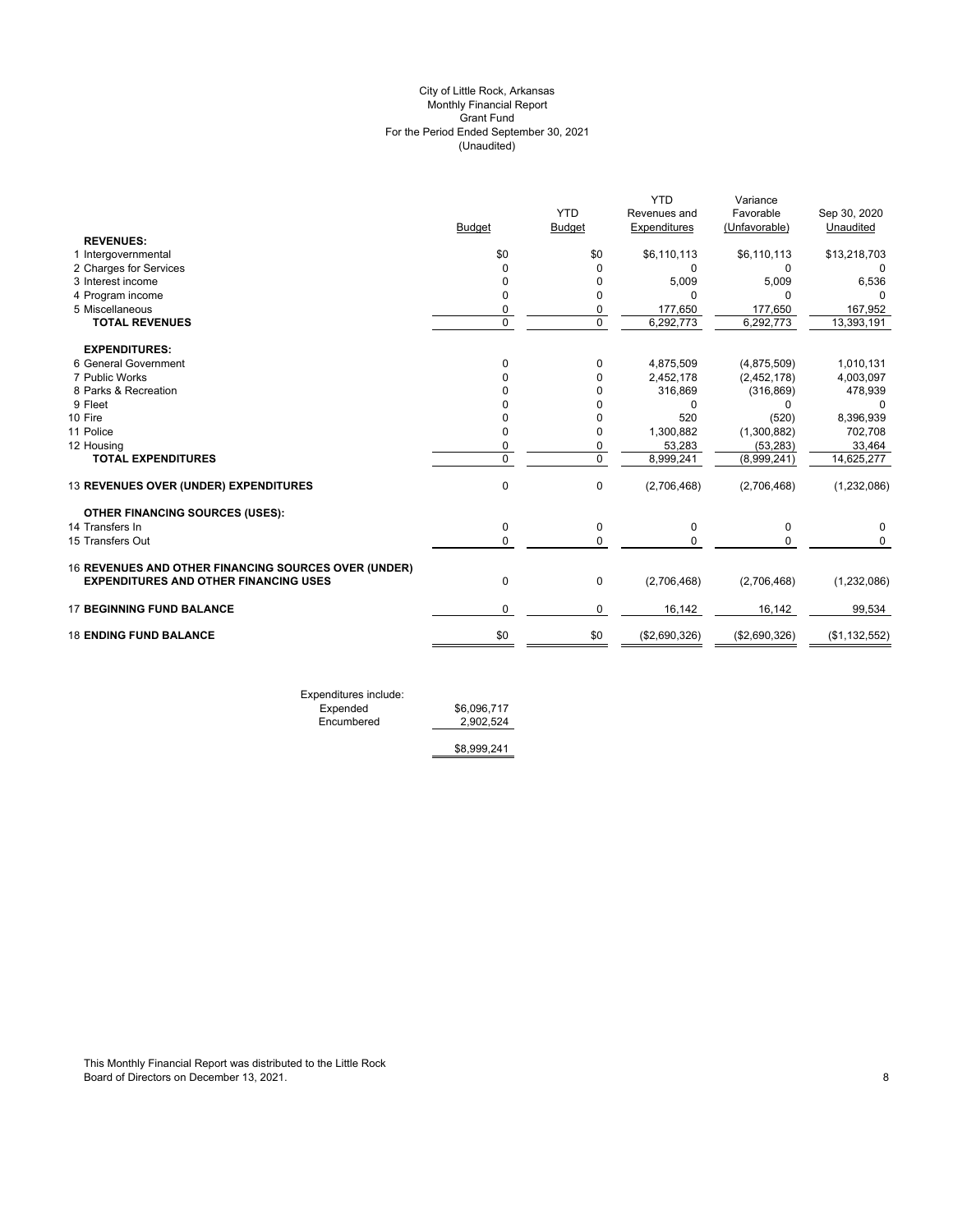# (Unaudited) City of Little Rock, Arkansas Monthly Financial Report Grant Fund For the Period Ended September 30, 2021

|                                                      | <b>Budget</b> | <b>YTD</b><br><b>Budget</b> | <b>YTD</b><br>Revenues and<br>Expenditures | Variance<br>Favorable<br>(Unfavorable) | Sep 30, 2020<br>Unaudited |
|------------------------------------------------------|---------------|-----------------------------|--------------------------------------------|----------------------------------------|---------------------------|
| <b>REVENUES:</b>                                     |               |                             |                                            |                                        |                           |
| 1 Intergovernmental                                  | \$0           | \$0                         | \$6,110,113                                | \$6,110,113                            | \$13,218,703              |
| 2 Charges for Services                               | $\Omega$      | 0                           | 0                                          | 0                                      | 0                         |
| 3 Interest income                                    | $\Omega$      | 0                           | 5,009                                      | 5,009                                  | 6,536                     |
| 4 Program income                                     | $\Omega$      | 0                           | U                                          | $\Omega$                               | 0                         |
| 5 Miscellaneous                                      | 0             | 0                           | 177,650                                    | 177,650                                | 167,952                   |
| <b>TOTAL REVENUES</b>                                | $\Omega$      | $\overline{0}$              | 6,292,773                                  | 6,292,773                              | 13,393,191                |
| <b>EXPENDITURES:</b>                                 |               |                             |                                            |                                        |                           |
| 6 General Government                                 | $\Omega$      | 0                           | 4,875,509                                  | (4,875,509)                            | 1,010,131                 |
| 7 Public Works                                       | <sup>n</sup>  | 0                           | 2,452,178                                  | (2,452,178)                            | 4,003,097                 |
| 8 Parks & Recreation                                 |               | 0                           | 316,869                                    | (316, 869)                             | 478,939                   |
| 9 Fleet                                              |               | 0                           | 0                                          | 0                                      | 0                         |
| 10 Fire                                              | $\Omega$      | 0                           | 520                                        | (520)                                  | 8,396,939                 |
| 11 Police                                            | $\Omega$      | 0                           | 1,300,882                                  | (1,300,882)                            | 702,708                   |
| 12 Housing                                           | $\mathbf 0$   | 0                           | 53,283                                     | (53, 283)                              | 33,464                    |
| <b>TOTAL EXPENDITURES</b>                            | $\Omega$      | $\mathbf 0$                 | 8,999,241                                  | (8,999,241)                            | 14,625,277                |
| 13 REVENUES OVER (UNDER) EXPENDITURES                | $\mathbf 0$   | $\mathbf 0$                 | (2,706,468)                                | (2,706,468)                            | (1, 232, 086)             |
| <b>OTHER FINANCING SOURCES (USES):</b>               |               |                             |                                            |                                        |                           |
| 14 Transfers In                                      | 0             | 0                           | 0                                          | 0                                      | 0                         |
| 15 Transfers Out                                     | $\mathbf 0$   | $\Omega$                    | <sup>0</sup>                               | $\Omega$                               | $\Omega$                  |
| 16 REVENUES AND OTHER FINANCING SOURCES OVER (UNDER) |               |                             |                                            |                                        |                           |
| <b>EXPENDITURES AND OTHER FINANCING USES</b>         | $\Omega$      | 0                           | (2,706,468)                                | (2,706,468)                            | (1,232,086)               |
| <b>17 BEGINNING FUND BALANCE</b>                     | $\Omega$      | 0                           | 16,142                                     | 16,142                                 | 99,534                    |
| <b>18 ENDING FUND BALANCE</b>                        | \$0           | \$0                         | (\$2,690,326)                              | (\$2,690,326)                          | (\$1,132,552)             |
|                                                      |               |                             |                                            |                                        |                           |

Expenditures include: Expended \$6,096,717 Encumbered 2,902,524

\$8,999,241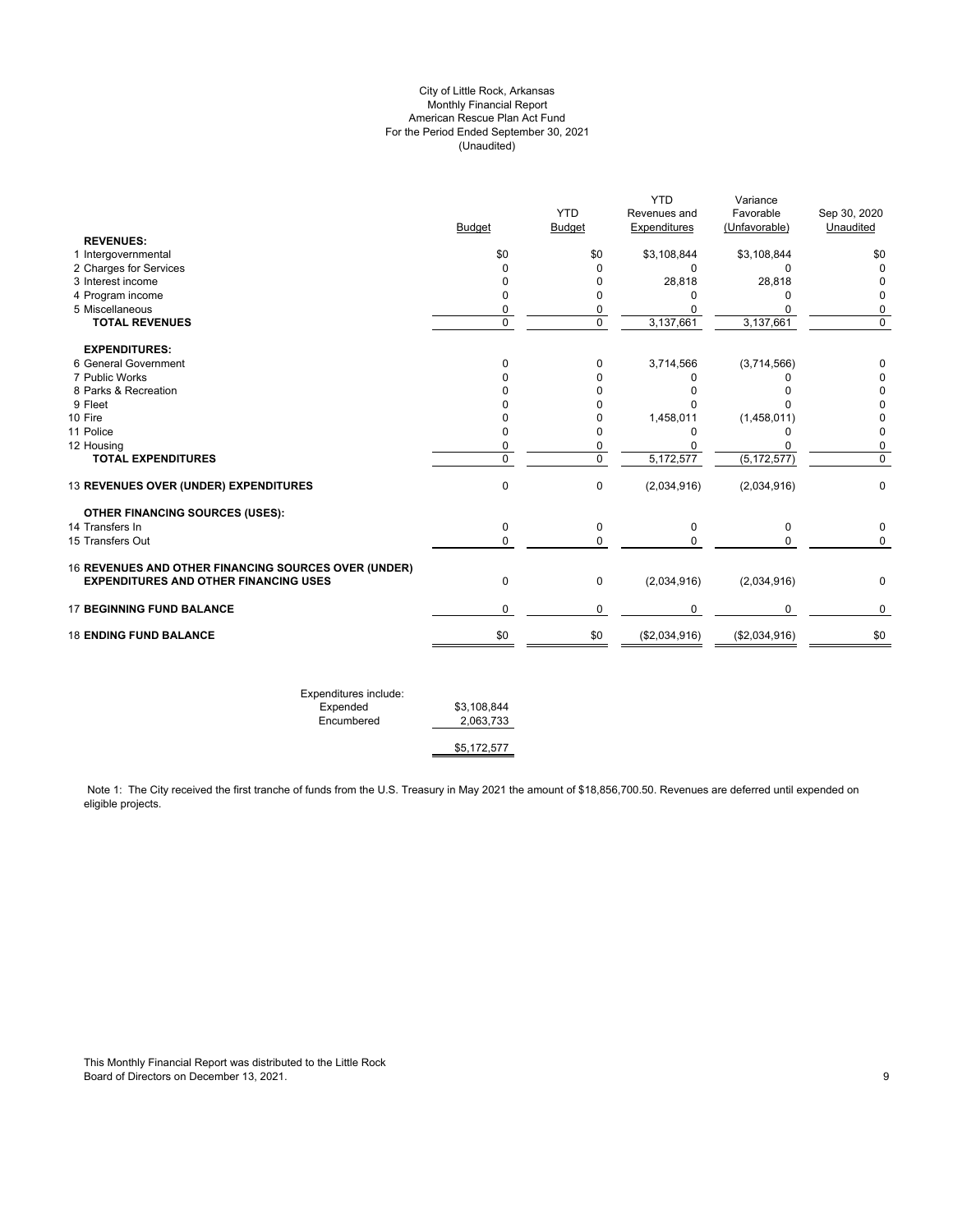# City of Little Rock, Arkansas Monthly Financial Report American Rescue Plan Act Fund For the Period Ended September 30, 2021 (Unaudited)

| <b>YTD</b><br>Variance                                         |                          |                                                      |
|----------------------------------------------------------------|--------------------------|------------------------------------------------------|
| <b>YTD</b><br>Favorable<br>Sep 30, 2020<br>Revenues and        |                          |                                                      |
| <b>Budget</b><br>Expenditures<br>(Unfavorable)<br>Unaudited    | <b>Budget</b>            |                                                      |
|                                                                |                          | <b>REVENUES:</b>                                     |
| \$0<br>\$3,108,844<br>\$3,108,844<br>\$0                       | \$0                      | 1 Intergovernmental                                  |
| 0<br>$\Omega$<br>$\mathbf 0$<br>0                              | $\mathbf 0$              | 2 Charges for Services                               |
| 28,818<br>28,818<br>0<br>$\mathbf 0$                           | 0                        | 3 Interest income                                    |
| 0<br>0<br>0<br>0                                               | 0                        | 4 Program income                                     |
| 0<br>$\Omega$<br>0<br>$\Omega$                                 | 0                        | 5 Miscellaneous                                      |
| 0<br>3,137,661<br>$\mathbf 0$<br>3,137,661                     | 0                        | <b>TOTAL REVENUES</b>                                |
|                                                                |                          | <b>EXPENDITURES:</b>                                 |
| 3,714,566<br>(3,714,566)<br>0<br>0                             | $\mathbf 0$              | 6 General Government                                 |
| 0<br>0<br>0<br>0                                               | 0                        | 7 Public Works                                       |
| 0<br>$\Omega$<br>0<br>0                                        | n                        | 8 Parks & Recreation                                 |
| 0<br>$\Omega$<br>0<br>$\Omega$                                 | U                        | 9 Fleet                                              |
| 1,458,011<br>(1,458,011)<br>0<br>0                             | 0                        | 10 Fire                                              |
| $\mathbf 0$<br>0<br>$\mathbf 0$<br>0                           | 0                        | 11 Police                                            |
| 0<br>$\mathbf{0}$<br>0<br>0                                    | 0                        | 12 Housing                                           |
| $\overline{0}$<br>$\overline{0}$<br>5,172,577<br>(5, 172, 577) | $\overline{0}$           | <b>TOTAL EXPENDITURES</b>                            |
| 0<br>$\mathbf 0$<br>(2,034,916)<br>(2,034,916)                 | $\mathbf 0$              | 13 REVENUES OVER (UNDER) EXPENDITURES                |
|                                                                |                          | <b>OTHER FINANCING SOURCES (USES):</b>               |
| 0<br>$\mathbf 0$<br>0<br>$\mathbf 0$                           | $\mathbf 0$              | 14 Transfers In                                      |
| 0<br>$\Omega$<br>$\mathbf 0$<br>$\Omega$                       | $\mathbf 0$              | 15 Transfers Out                                     |
|                                                                |                          | 16 REVENUES AND OTHER FINANCING SOURCES OVER (UNDER) |
| (2,034,916)<br>(2,034,916)<br>0<br>$\mathbf 0$                 | $\mathbf 0$              | <b>EXPENDITURES AND OTHER FINANCING USES</b>         |
| 0<br>0<br>0<br>0                                               | 0                        | <b>17 BEGINNING FUND BALANCE</b>                     |
| \$0<br>\$0<br>(\$2,034,916)<br>(\$2,034,916)                   | \$0                      | <b>18 ENDING FUND BALANCE</b>                        |
|                                                                | \$3,108,844<br>2,063,733 | Expenditures include:<br>Expended<br>Encumbered      |

Note 1: The City received the first tranche of funds from the U.S. Treasury in May 2021 the amount of \$18,856,700.50. Revenues are deferred until expended on eligible projects.

\$5,172,577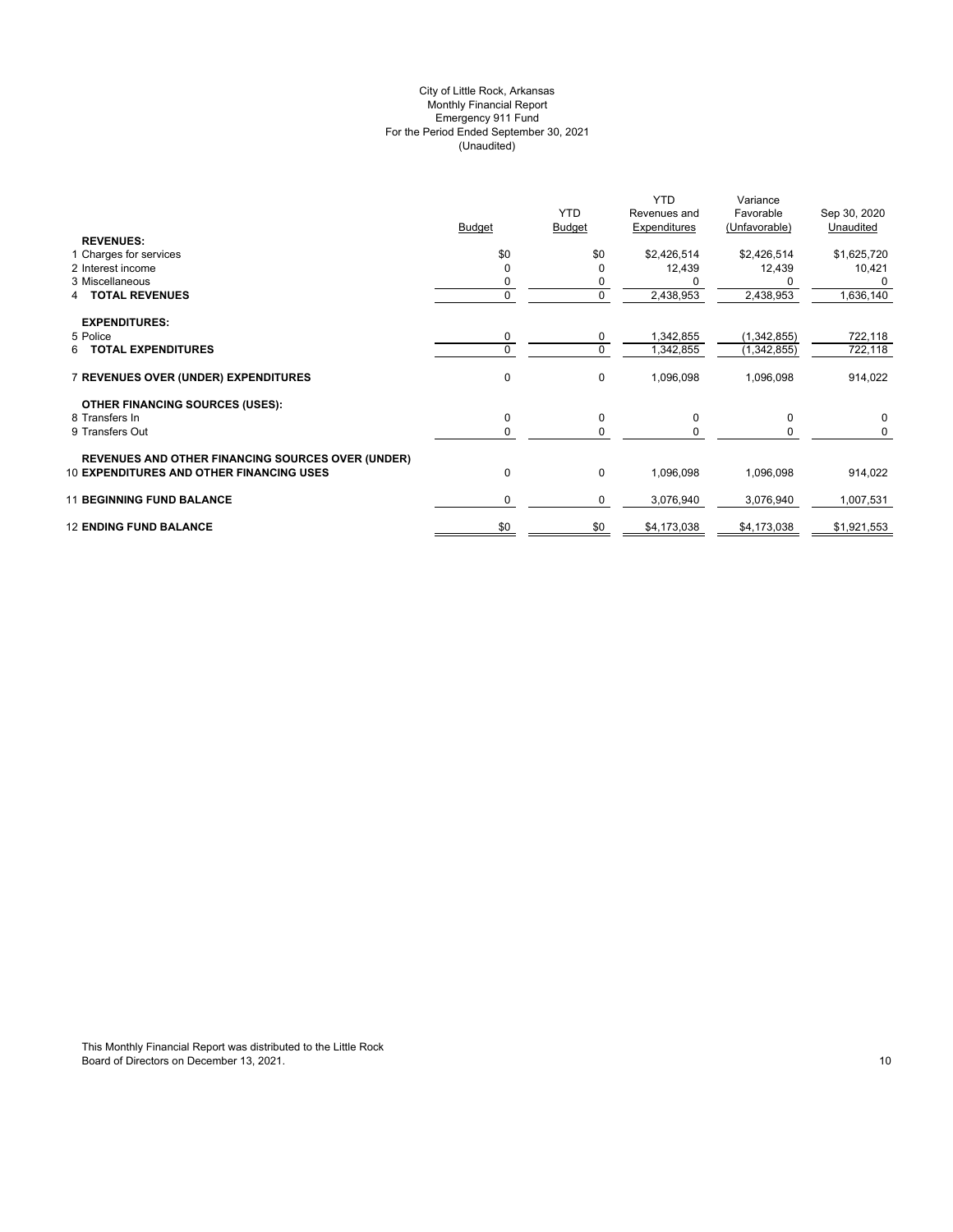# (Unaudited) City of Little Rock, Arkansas Monthly Financial Report Emergency 911 Fund For the Period Ended September 30, 2021

|                                                                                                             | <b>Budget</b> | <b>YTD</b><br><b>Budget</b> | <b>YTD</b><br>Revenues and<br>Expenditures | Variance<br>Favorable<br>(Unfavorable) | Sep 30, 2020<br>Unaudited |
|-------------------------------------------------------------------------------------------------------------|---------------|-----------------------------|--------------------------------------------|----------------------------------------|---------------------------|
| <b>REVENUES:</b>                                                                                            |               |                             |                                            |                                        |                           |
| 1 Charges for services                                                                                      | \$0           | \$0                         | \$2,426,514                                | \$2,426,514                            | \$1,625,720               |
| 2 Interest income                                                                                           | $\Omega$      |                             | 12,439                                     | 12,439                                 | 10,421                    |
| 3 Miscellaneous                                                                                             |               | 0                           |                                            |                                        | $\Omega$                  |
| <b>TOTAL REVENUES</b><br>4                                                                                  | 0             | 0                           | 2,438,953                                  | 2,438,953                              | 1,636,140                 |
| <b>EXPENDITURES:</b>                                                                                        |               |                             |                                            |                                        |                           |
| 5 Police                                                                                                    | 0             | 0                           | 1,342,855                                  | (1,342,855)                            | 722,118                   |
| <b>TOTAL EXPENDITURES</b><br>6                                                                              | $\Omega$      | $\mathbf 0$                 | 1,342,855                                  | (1,342,855)                            | 722,118                   |
| 7 REVENUES OVER (UNDER) EXPENDITURES                                                                        | 0             | 0                           | 1,096,098                                  | 1,096,098                              | 914,022                   |
| <b>OTHER FINANCING SOURCES (USES):</b>                                                                      |               |                             |                                            |                                        |                           |
| 8 Transfers In                                                                                              | 0             | 0                           | 0                                          | 0                                      | $\mathbf 0$               |
| 9 Transfers Out                                                                                             | 0             | 0                           |                                            |                                        | 0                         |
|                                                                                                             |               |                             |                                            |                                        |                           |
| <b>REVENUES AND OTHER FINANCING SOURCES OVER (UNDER)</b><br><b>10 EXPENDITURES AND OTHER FINANCING USES</b> | 0             | 0                           | 1,096,098                                  | 1,096,098                              | 914,022                   |
| <b>11 BEGINNING FUND BALANCE</b>                                                                            | 0             | 0                           | 3,076,940                                  | 3,076,940                              | 1,007,531                 |
| <b>12 ENDING FUND BALANCE</b>                                                                               | \$0           | \$0                         | \$4,173,038                                | \$4,173,038                            | \$1,921,553               |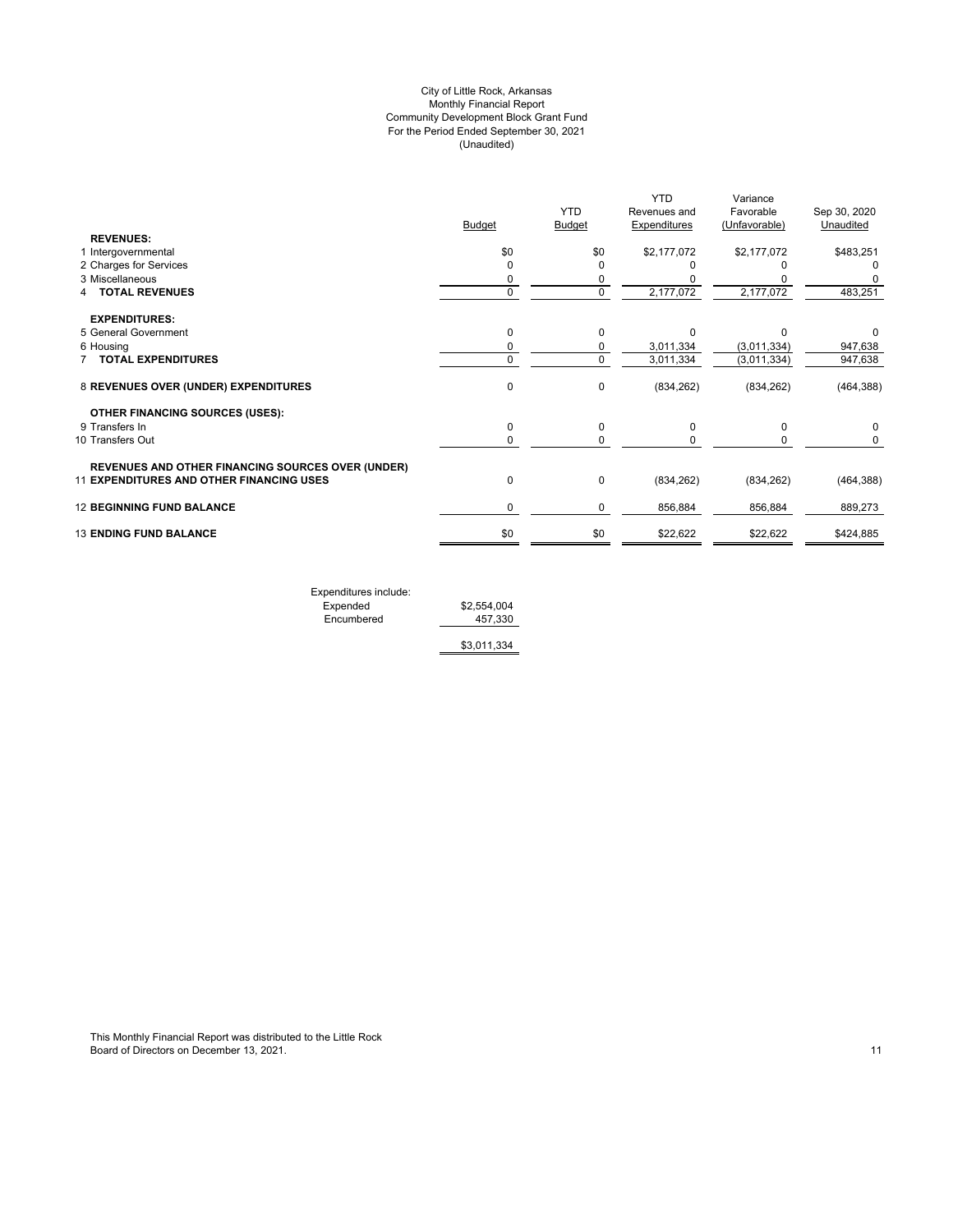# (Unaudited) City of Little Rock, Arkansas Monthly Financial Report Community Development Block Grant Fund For the Period Ended September 30, 2021

|                                                          | <b>Budget</b> | <b>YTD</b><br><b>Budget</b> | <b>YTD</b><br>Revenues and<br><b>Expenditures</b> | Variance<br>Favorable<br>(Unfavorable) | Sep 30, 2020<br>Unaudited |
|----------------------------------------------------------|---------------|-----------------------------|---------------------------------------------------|----------------------------------------|---------------------------|
| <b>REVENUES:</b>                                         |               |                             |                                                   |                                        |                           |
| 1 Intergovernmental                                      | \$0           | \$0                         | \$2,177,072                                       | \$2,177,072                            | \$483,251                 |
| 2 Charges for Services                                   | $\Omega$      |                             |                                                   |                                        | U                         |
| 3 Miscellaneous                                          | 0             | 0                           |                                                   |                                        |                           |
| <b>TOTAL REVENUES</b>                                    | $\mathbf 0$   | $\mathbf 0$                 | 2,177,072                                         | 2,177,072                              | 483,251                   |
| <b>EXPENDITURES:</b>                                     |               |                             |                                                   |                                        |                           |
| 5 General Government                                     | 0             | 0                           | $\Omega$                                          | n                                      | 0                         |
| 6 Housing                                                | 0             | 0                           | 3,011,334                                         | (3,011,334)                            | 947,638                   |
| <b>TOTAL EXPENDITURES</b>                                | 0             | $\Omega$                    | 3,011,334                                         | (3,011,334)                            | 947,638                   |
| 8 REVENUES OVER (UNDER) EXPENDITURES                     | 0             | 0                           | (834, 262)                                        | (834, 262)                             | (464, 388)                |
| <b>OTHER FINANCING SOURCES (USES):</b>                   |               |                             |                                                   |                                        |                           |
| 9 Transfers In                                           | 0             | 0                           | 0                                                 | 0                                      | 0                         |
| 10 Transfers Out                                         | 0             | 0                           |                                                   | 0                                      | 0                         |
| <b>REVENUES AND OTHER FINANCING SOURCES OVER (UNDER)</b> |               |                             |                                                   |                                        |                           |
| 11 EXPENDITURES AND OTHER FINANCING USES                 | 0             | 0                           | (834, 262)                                        | (834, 262)                             | (464, 388)                |
| <b>12 BEGINNING FUND BALANCE</b>                         | 0             | 0                           | 856,884                                           | 856,884                                | 889,273                   |
| <b>13 ENDING FUND BALANCE</b>                            | \$0           | \$0                         | \$22,622                                          | \$22,622                               | \$424,885                 |
|                                                          |               |                             |                                                   |                                        |                           |

Expenditures include: Expended \$2,554,004 Encumbered 457,330

\$3,011,334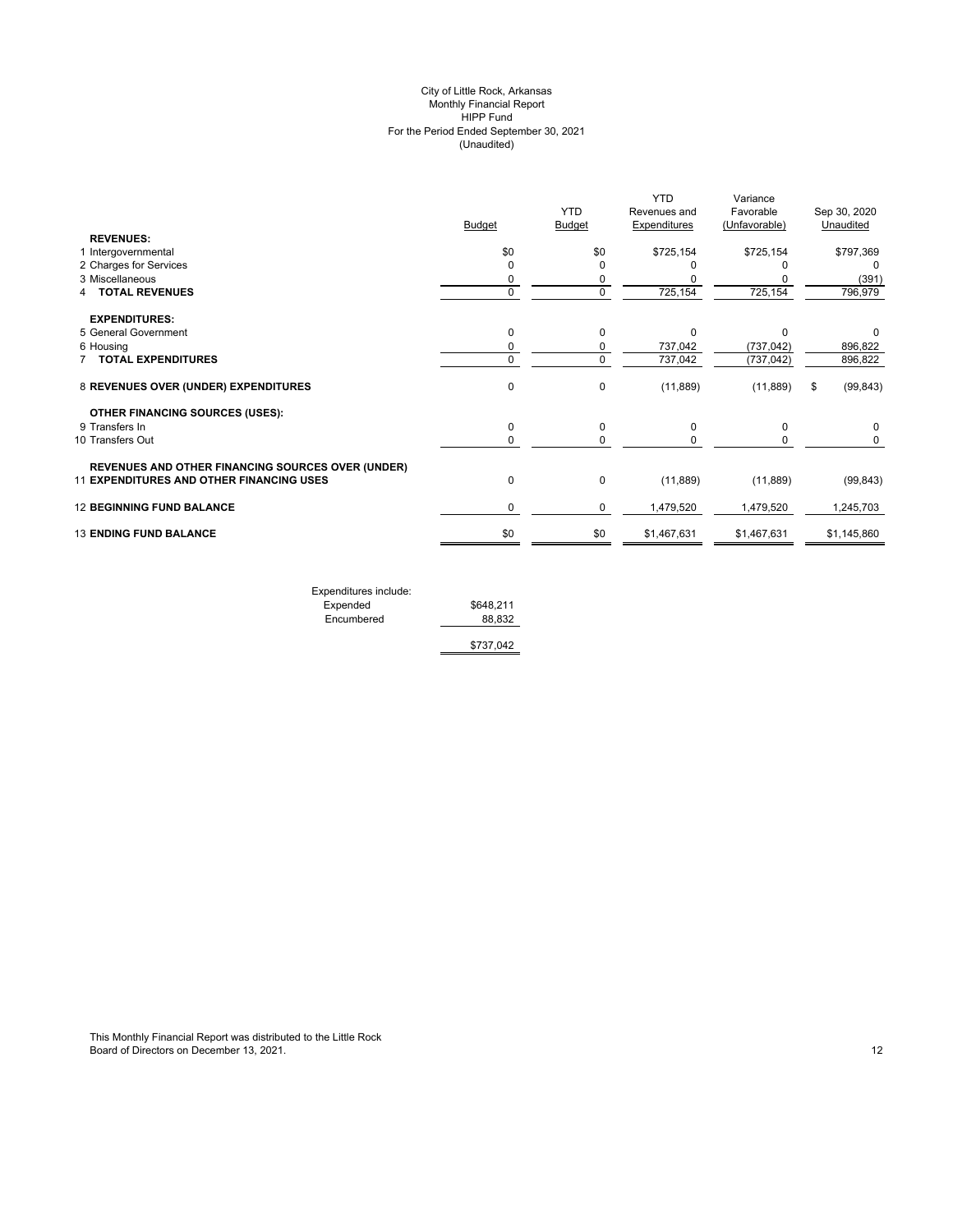#### (Unaudited) City of Little Rock, Arkansas Monthly Financial Report HIPP Fund For the Period Ended September 30, 2021

|                                                          | <b>Budget</b> | <b>YTD</b><br><b>Budget</b> | <b>YTD</b><br>Revenues and<br><b>Expenditures</b> | Variance<br>Favorable<br>(Unfavorable) | Sep 30, 2020<br>Unaudited |
|----------------------------------------------------------|---------------|-----------------------------|---------------------------------------------------|----------------------------------------|---------------------------|
| <b>REVENUES:</b>                                         |               |                             |                                                   |                                        |                           |
| 1 Intergovernmental                                      | \$0           | \$0                         | \$725,154                                         | \$725,154                              | \$797,369                 |
| 2 Charges for Services                                   | 0             | 0                           |                                                   |                                        | $\Omega$                  |
| 3 Miscellaneous                                          | 0             | 0                           |                                                   |                                        | (391)                     |
| <b>TOTAL REVENUES</b>                                    | $\mathbf 0$   | 0                           | 725,154                                           | 725,154                                | 796,979                   |
| <b>EXPENDITURES:</b>                                     |               |                             |                                                   |                                        |                           |
| 5 General Government                                     | 0             | $\mathbf 0$                 | $\Omega$                                          | $\Omega$                               | 0                         |
| 6 Housing                                                | 0             | 0                           | 737,042                                           | (737, 042)                             | 896,822                   |
| <b>TOTAL EXPENDITURES</b>                                | 0             | $\mathbf 0$                 | 737,042                                           | (737, 042)                             | 896,822                   |
| 8 REVENUES OVER (UNDER) EXPENDITURES                     | 0             | 0                           | (11, 889)                                         | (11, 889)                              | \$<br>(99, 843)           |
| <b>OTHER FINANCING SOURCES (USES):</b>                   |               |                             |                                                   |                                        |                           |
| 9 Transfers In                                           | 0             | 0                           | 0                                                 | 0                                      | 0                         |
| 10 Transfers Out                                         | $\mathbf 0$   | 0                           |                                                   | 0                                      | 0                         |
| <b>REVENUES AND OTHER FINANCING SOURCES OVER (UNDER)</b> |               |                             |                                                   |                                        |                           |
| 11 EXPENDITURES AND OTHER FINANCING USES                 | $\mathbf 0$   | 0                           | (11, 889)                                         | (11, 889)                              | (99, 843)                 |
| <b>12 BEGINNING FUND BALANCE</b>                         | 0             | 0                           | 1,479,520                                         | 1,479,520                              | 1,245,703                 |
| <b>13 ENDING FUND BALANCE</b>                            | \$0           | \$0                         | \$1,467,631                                       | \$1,467,631                            | \$1,145,860               |
|                                                          |               |                             |                                                   |                                        |                           |

| Expenditures include: |           |
|-----------------------|-----------|
| Expended              | \$648.211 |
| Encumbered            | 88.832    |
|                       | \$737,042 |
|                       |           |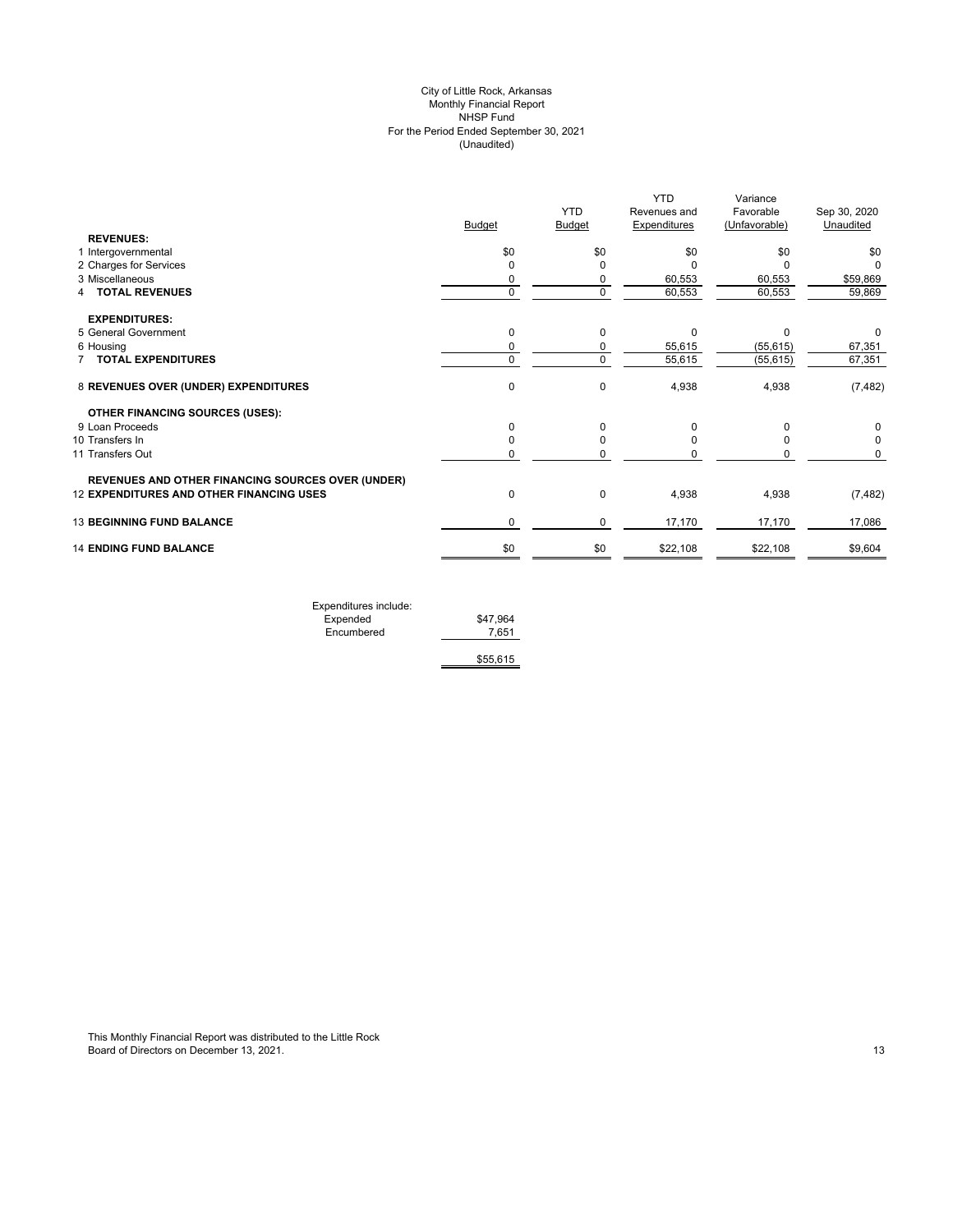# (Unaudited) City of Little Rock, Arkansas Monthly Financial Report NHSP Fund For the Period Ended September 30, 2021

|                                                          | <b>Budget</b> | <b>YTD</b><br>Budget | <b>YTD</b><br>Revenues and<br><b>Expenditures</b> | Variance<br>Favorable<br>(Unfavorable) | Sep 30, 2020<br>Unaudited |
|----------------------------------------------------------|---------------|----------------------|---------------------------------------------------|----------------------------------------|---------------------------|
| <b>REVENUES:</b>                                         |               |                      |                                                   |                                        |                           |
| 1 Intergovernmental                                      | \$0           | \$0                  | \$0                                               | \$0                                    | \$0                       |
| 2 Charges for Services                                   | 0             | O                    | ŋ                                                 |                                        |                           |
| 3 Miscellaneous                                          | 0             | 0                    | 60,553                                            | 60,553                                 | \$59,869                  |
| 4 TOTAL REVENUES                                         | $\mathbf 0$   | $\Omega$             | 60,553                                            | 60,553                                 | 59,869                    |
| <b>EXPENDITURES:</b>                                     |               |                      |                                                   |                                        |                           |
| 5 General Government                                     | 0             | 0                    | 0                                                 | $\Omega$                               | 0                         |
| 6 Housing                                                | 0             | 0                    | 55,615                                            | (55, 615)                              | 67,351                    |
| <b>TOTAL EXPENDITURES</b>                                | $\mathbf 0$   | $\mathbf 0$          | 55,615                                            | (55, 615)                              | 67,351                    |
| 8 REVENUES OVER (UNDER) EXPENDITURES                     | 0             | $\Omega$             | 4,938                                             | 4,938                                  | (7, 482)                  |
| <b>OTHER FINANCING SOURCES (USES):</b>                   |               |                      |                                                   |                                        |                           |
| 9 Loan Proceeds                                          | 0             | $\Omega$             | 0                                                 |                                        | 0                         |
| 10 Transfers In                                          | $\Omega$      | $\Omega$             | ŋ                                                 |                                        | $\Omega$                  |
| 11 Transfers Out                                         | 0             | 0                    |                                                   | 0                                      | 0                         |
| <b>REVENUES AND OTHER FINANCING SOURCES OVER (UNDER)</b> |               |                      |                                                   |                                        |                           |
| <b>12 EXPENDITURES AND OTHER FINANCING USES</b>          | 0             | $\mathbf 0$          | 4,938                                             | 4,938                                  | (7, 482)                  |
| <b>13 BEGINNING FUND BALANCE</b>                         | 0             | 0                    | 17,170                                            | 17,170                                 | 17,086                    |
| <b>14 ENDING FUND BALANCE</b>                            | \$0           | \$0                  | \$22,108                                          | \$22,108                               | \$9,604                   |
|                                                          |               |                      |                                                   |                                        |                           |

| Expenditures include: |          |
|-----------------------|----------|
| Expended              | \$47.964 |
| Encumbered            | 7.651    |
|                       |          |
|                       | \$55,615 |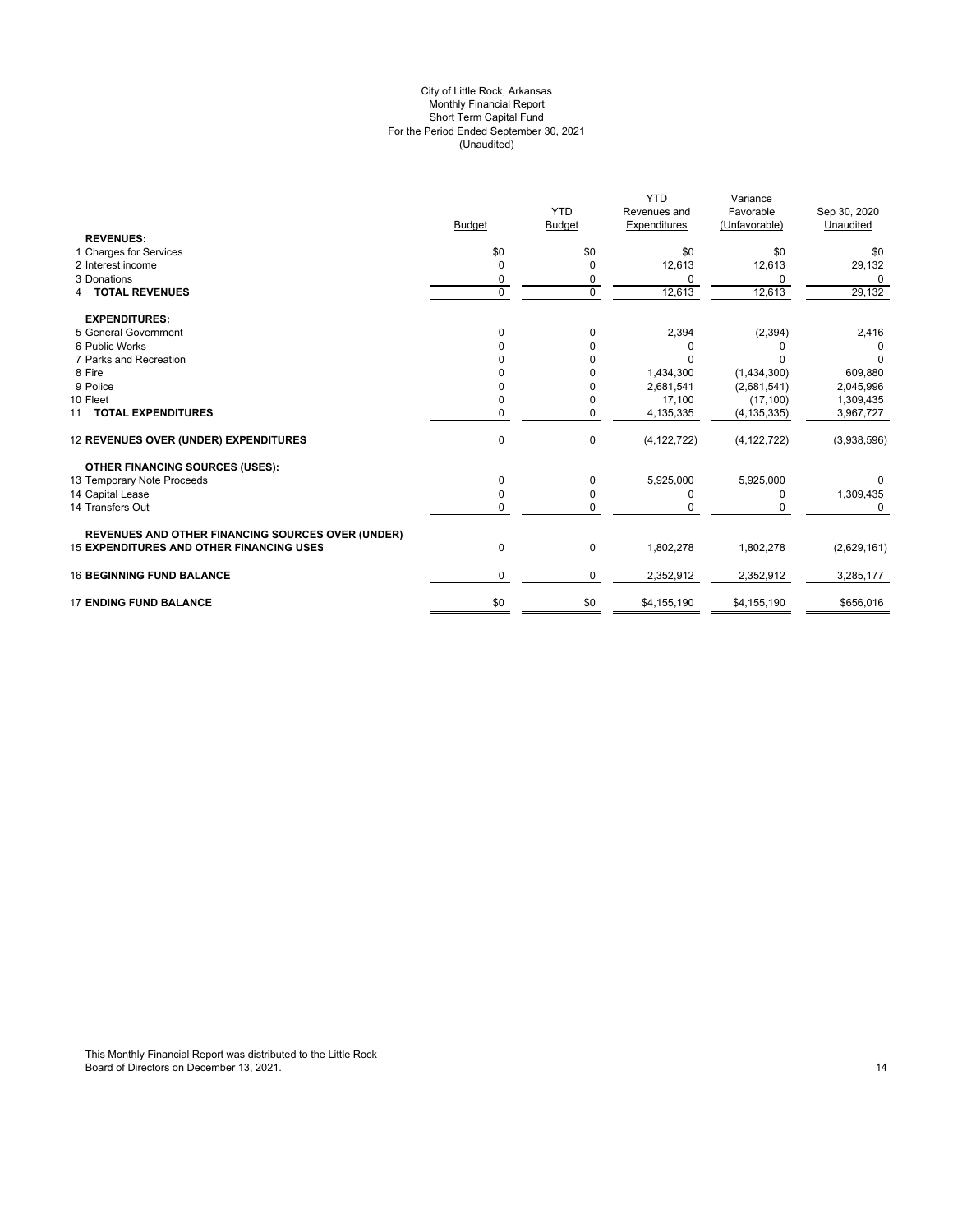#### For the Period Ended September 30, 2021 (Unaudited) City of Little Rock, Arkansas Monthly Financial Report Short Term Capital Fund

|                                                          |               | <b>YTD</b>    | <b>YTD</b><br>Revenues and | Variance<br>Favorable | Sep 30, 2020 |
|----------------------------------------------------------|---------------|---------------|----------------------------|-----------------------|--------------|
|                                                          | <b>Budget</b> | <b>Budget</b> | Expenditures               | (Unfavorable)         | Unaudited    |
| <b>REVENUES:</b>                                         |               |               |                            |                       |              |
| 1 Charges for Services                                   | \$0           | \$0           | \$0                        | \$0                   | \$0          |
| 2 Interest income                                        | O             | 0             | 12,613                     | 12,613                | 29,132       |
| 3 Donations                                              |               | 0             | $\Omega$                   | 0                     | 0            |
| <b>4 TOTAL REVENUES</b>                                  | 0             | $\mathbf 0$   | 12,613                     | 12,613                | 29,132       |
| <b>EXPENDITURES:</b>                                     |               |               |                            |                       |              |
| 5 General Government                                     | $\Omega$      | 0             | 2,394                      | (2, 394)              | 2,416        |
| 6 Public Works                                           |               | 0             | 0                          |                       |              |
| 7 Parks and Recreation                                   |               | $\Omega$      | $\Omega$                   | n                     | 0            |
| 8 Fire                                                   |               | 0             | 1,434,300                  | (1,434,300)           | 609,880      |
| 9 Police                                                 |               | 0             | 2,681,541                  | (2,681,541)           | 2,045,996    |
| 10 Fleet                                                 |               | 0             | 17,100                     | (17, 100)             | 1,309,435    |
| 11 TOTAL EXPENDITURES                                    | 0             | $\Omega$      | 4,135,335                  | (4, 135, 335)         | 3,967,727    |
| 12 REVENUES OVER (UNDER) EXPENDITURES                    | 0             | 0             | (4, 122, 722)              | (4, 122, 722)         | (3,938,596)  |
| <b>OTHER FINANCING SOURCES (USES):</b>                   |               |               |                            |                       |              |
| 13 Temporary Note Proceeds                               | 0             | $\Omega$      | 5,925,000                  | 5,925,000             |              |
| 14 Capital Lease                                         | 0             | 0             | 0                          | 0                     | 1,309,435    |
| 14 Transfers Out                                         | 0             | 0             | 0                          |                       | 0            |
| <b>REVENUES AND OTHER FINANCING SOURCES OVER (UNDER)</b> |               |               |                            |                       |              |
| <b>15 EXPENDITURES AND OTHER FINANCING USES</b>          | 0             | 0             | 1,802,278                  | 1,802,278             | (2,629,161)  |
| <b>16 BEGINNING FUND BALANCE</b>                         | 0             | $\mathbf 0$   | 2,352,912                  | 2,352,912             | 3,285,177    |
| <b>17 ENDING FUND BALANCE</b>                            | \$0           | \$0           | \$4,155,190                | \$4,155,190           | \$656,016    |

This Monthly Financial Report was distributed to the Little Rock Board of Directors on December 13, 2021. The control of the control of the control of the control of the control of the control of the control of the control of the control of the control of the control of the control of t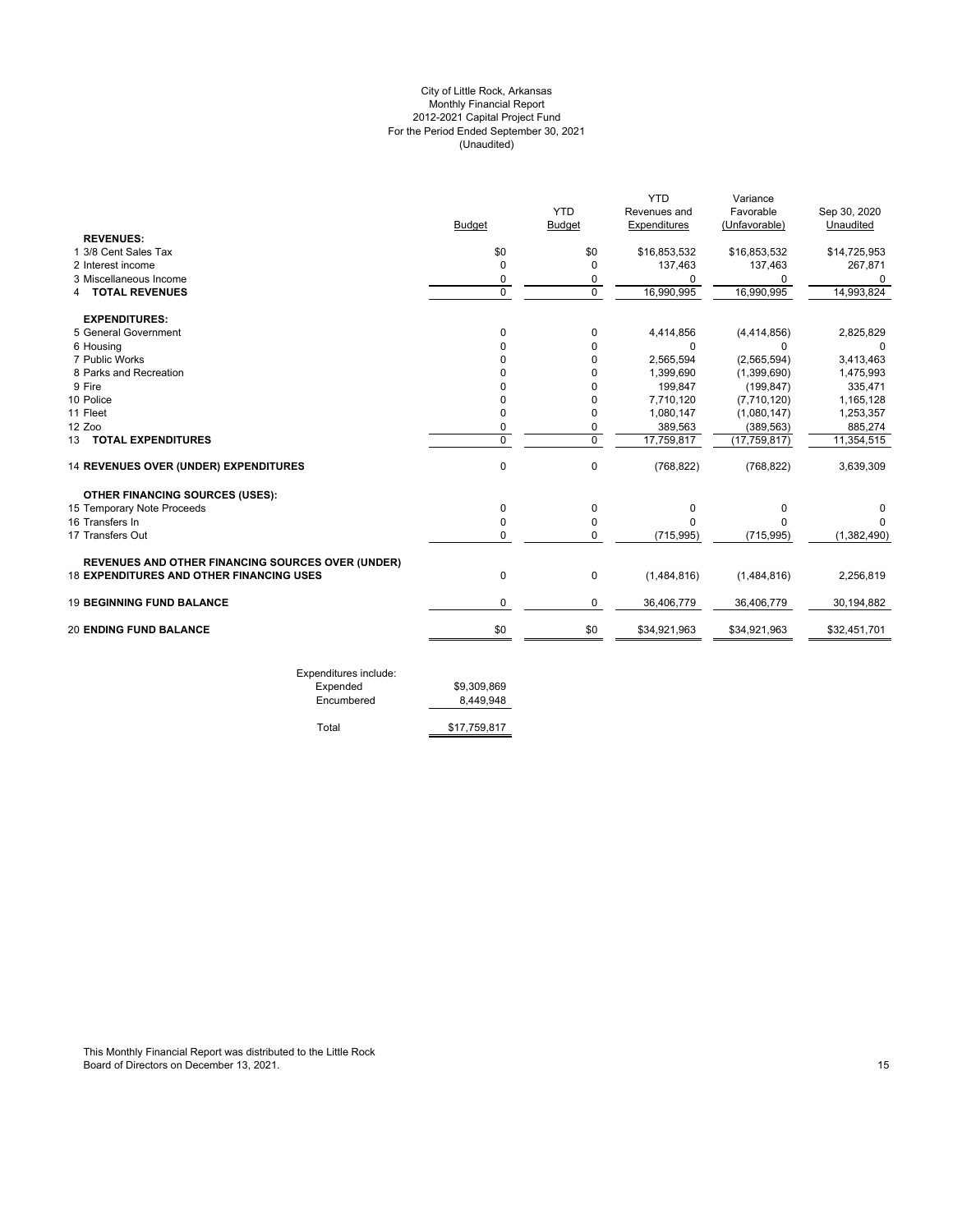# For the Period Ended September 30, 2021 (Unaudited) City of Little Rock, Arkansas Monthly Financial Report 2012-2021 Capital Project Fund

|                                                          |                |               | <b>YTD</b>   | Variance       |              |
|----------------------------------------------------------|----------------|---------------|--------------|----------------|--------------|
|                                                          |                | <b>YTD</b>    | Revenues and | Favorable      | Sep 30, 2020 |
|                                                          | Budget         | <b>Budget</b> | Expenditures | (Unfavorable)  | Unaudited    |
| <b>REVENUES:</b>                                         |                |               |              |                |              |
| 1 3/8 Cent Sales Tax                                     | \$0            | \$0           | \$16,853,532 | \$16,853,532   | \$14,725,953 |
| 2 Interest income                                        | $\mathbf 0$    | $\Omega$      | 137,463      | 137,463        | 267,871      |
| 3 Miscellaneous Income                                   | 0              | 0             | O            | 0              | 0            |
| <b>4 TOTAL REVENUES</b>                                  | $\mathbf 0$    | $\Omega$      | 16,990,995   | 16,990,995     | 14,993,824   |
| <b>EXPENDITURES:</b>                                     |                |               |              |                |              |
| 5 General Government                                     | 0              | 0             | 4,414,856    | (4, 414, 856)  | 2,825,829    |
| 6 Housing                                                | O              | 0             | 0            | $\Omega$       | 0            |
| 7 Public Works                                           | U              | $\Omega$      | 2,565,594    | (2, 565, 594)  | 3,413,463    |
| 8 Parks and Recreation                                   |                | $\Omega$      | 1,399,690    | (1,399,690)    | 1,475,993    |
| 9 Fire                                                   |                | $\Omega$      | 199,847      | (199.847)      | 335,471      |
| 10 Police                                                | O              | 0             | 7,710,120    | (7,710,120)    | 1,165,128    |
| 11 Fleet                                                 | 0              | 0             | 1,080,147    | (1,080,147)    | 1,253,357    |
| 12 Zoo                                                   | 0              | 0             | 389,563      | (389, 563)     | 885,274      |
| 13 TOTAL EXPENDITURES                                    | $\overline{0}$ | $\mathbf 0$   | 17,759,817   | (17, 759, 817) | 11,354,515   |
| 14 REVENUES OVER (UNDER) EXPENDITURES                    | $\mathbf 0$    | 0             | (768, 822)   | (768, 822)     | 3,639,309    |
| <b>OTHER FINANCING SOURCES (USES):</b>                   |                |               |              |                |              |
| 15 Temporary Note Proceeds                               | 0              | $\mathbf 0$   | 0            | 0              | o            |
| 16 Transfers In                                          | 0              | 0             | O            | $\Omega$       |              |
| 17 Transfers Out                                         | $\Omega$       | $\Omega$      | (715, 995)   | (715, 995)     | (1,382,490)  |
| <b>REVENUES AND OTHER FINANCING SOURCES OVER (UNDER)</b> |                |               |              |                |              |
| <b>18 EXPENDITURES AND OTHER FINANCING USES</b>          | $\mathbf 0$    | $\mathbf 0$   | (1,484,816)  | (1,484,816)    | 2,256,819    |
| <b>19 BEGINNING FUND BALANCE</b>                         | 0              | 0             | 36,406,779   | 36,406,779     | 30,194,882   |
| <b>20 ENDING FUND BALANCE</b>                            | \$0            | \$0           | \$34,921,963 | \$34,921,963   | \$32,451,701 |

| Exponditures include. |              |
|-----------------------|--------------|
| Expended              | \$9,309,869  |
| Encumbered            | 8.449.948    |
|                       |              |
| Total                 | \$17,759,817 |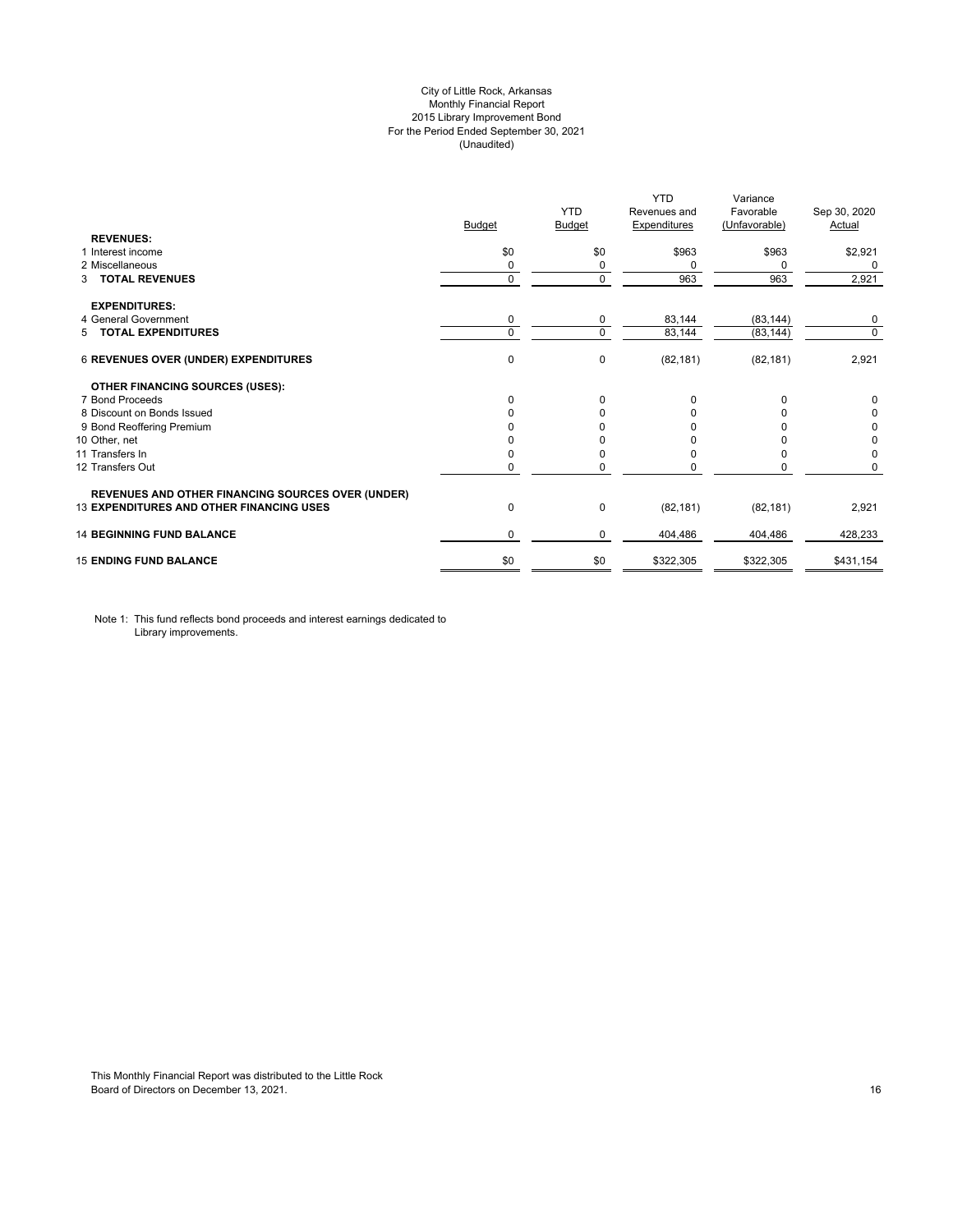# City of Little Rock, Arkansas Monthly Financial Report 2015 Library Improvement Bond For the Period Ended September 30, 2021 (Unaudited)

| <b>REVENUES:</b>                                         | <b>Budget</b> | <b>YTD</b><br>Budget | <b>YTD</b><br>Revenues and<br><b>Expenditures</b> | Variance<br>Favorable<br>(Unfavorable) | Sep 30, 2020<br>Actual |
|----------------------------------------------------------|---------------|----------------------|---------------------------------------------------|----------------------------------------|------------------------|
| 1 Interest income                                        | \$0           | \$0                  | \$963                                             | \$963                                  | \$2,921                |
| 2 Miscellaneous                                          | 0             | $\Omega$             | 0                                                 | $\Omega$                               | 0                      |
| <b>TOTAL REVENUES</b><br>3                               | $\mathbf 0$   | 0                    | 963                                               | 963                                    | 2,921                  |
| <b>EXPENDITURES:</b>                                     |               |                      |                                                   |                                        |                        |
| 4 General Government                                     | 0             | 0                    | 83,144                                            | (83, 144)                              | 0                      |
| 5 TOTAL EXPENDITURES                                     | $\mathbf 0$   | $\Omega$             | 83,144                                            | (83, 144)                              | $\mathbf 0$            |
| 6 REVENUES OVER (UNDER) EXPENDITURES                     | 0             | 0                    | (82, 181)                                         | (82, 181)                              | 2,921                  |
| <b>OTHER FINANCING SOURCES (USES):</b>                   |               |                      |                                                   |                                        |                        |
| 7 Bond Proceeds                                          | $\Omega$      | $\Omega$             | $\Omega$                                          | $\Omega$                               | 0                      |
| 8 Discount on Bonds Issued                               | 0             | <sup>0</sup>         | <sup>0</sup>                                      | n                                      | 0                      |
| 9 Bond Reoffering Premium                                |               |                      |                                                   |                                        | 0                      |
| 10 Other, net                                            |               |                      |                                                   |                                        | 0                      |
| 11 Transfers In                                          | 0             |                      | <sup>0</sup>                                      | <sup>0</sup>                           | 0                      |
| 12 Transfers Out                                         | 0             |                      |                                                   | 0                                      | 0                      |
| <b>REVENUES AND OTHER FINANCING SOURCES OVER (UNDER)</b> |               |                      |                                                   |                                        |                        |
| <b>13 EXPENDITURES AND OTHER FINANCING USES</b>          | 0             | 0                    | (82, 181)                                         | (82, 181)                              | 2,921                  |
| <b>14 BEGINNING FUND BALANCE</b>                         | 0             | 0                    | 404,486                                           | 404,486                                | 428,233                |
| <b>15 ENDING FUND BALANCE</b>                            | \$0           | \$0                  | \$322,305                                         | \$322,305                              | \$431,154              |

Note 1: This fund reflects bond proceeds and interest earnings dedicated to Library improvements.

This Monthly Financial Report was distributed to the Little Rock Board of Directors on December 13, 2021. 2003. The contractors of the contractors of Directors on December 13, 2021.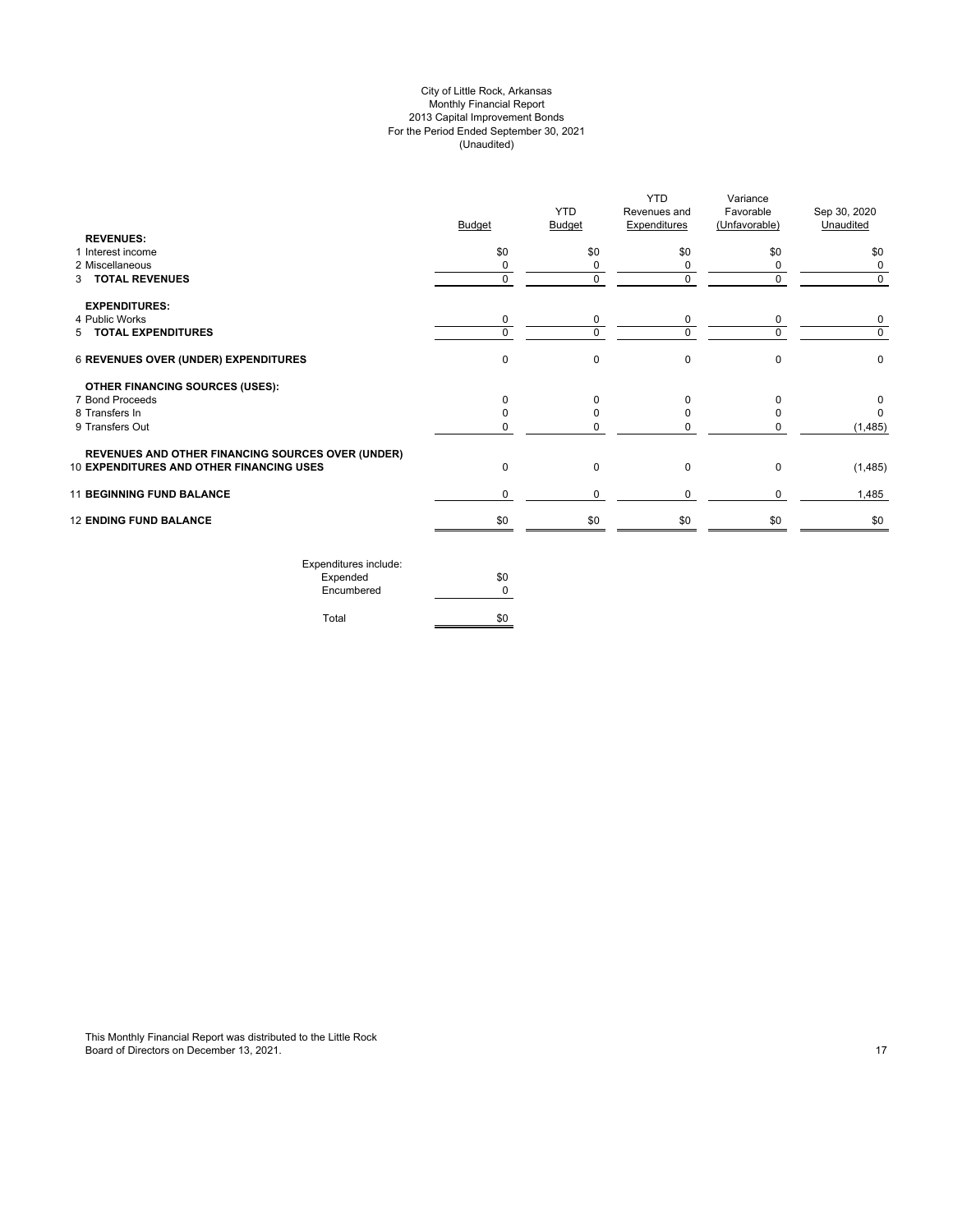# City of Little Rock, Arkansas Monthly Financial Report 2013 Capital Improvement Bonds For the Period Ended September 30, 2021 (Unaudited)

| <b>REVENUES:</b>                                         | <b>Budget</b> | <b>YTD</b><br><b>Budget</b> | <b>YTD</b><br>Revenues and<br><b>Expenditures</b> | Variance<br>Favorable<br>(Unfavorable) | Sep 30, 2020<br>Unaudited |
|----------------------------------------------------------|---------------|-----------------------------|---------------------------------------------------|----------------------------------------|---------------------------|
| 1 Interest income                                        | \$0           | \$0                         | \$0                                               | \$0                                    | \$0                       |
| 2 Miscellaneous                                          | $\Omega$      | 0                           | 0                                                 | $\Omega$                               | 0                         |
| 3 TOTAL REVENUES                                         | 0             | $\mathbf 0$                 | $\mathbf 0$                                       | $\Omega$                               | $\mathbf 0$               |
| <b>EXPENDITURES:</b>                                     |               |                             |                                                   |                                        |                           |
| 4 Public Works<br>5 TOTAL EXPENDITURES                   | 0<br>$\Omega$ | $\mathbf 0$<br>$\Omega$     | 0<br>$\Omega$                                     | 0<br>U                                 | 0<br>$\mathbf 0$          |
|                                                          |               |                             |                                                   |                                        |                           |
| 6 REVENUES OVER (UNDER) EXPENDITURES                     | $\mathbf 0$   | $\mathbf 0$                 | $\mathbf 0$                                       | $\Omega$                               | 0                         |
| <b>OTHER FINANCING SOURCES (USES):</b>                   |               |                             |                                                   |                                        |                           |
| 7 Bond Proceeds                                          | $\Omega$      | $\Omega$                    | 0                                                 | $\Omega$                               | 0                         |
| 8 Transfers In                                           |               | <sup>0</sup>                | $\Omega$                                          |                                        | $\Omega$                  |
| 9 Transfers Out                                          | $\Omega$      | U                           | $\Omega$                                          |                                        | (1, 485)                  |
| <b>REVENUES AND OTHER FINANCING SOURCES OVER (UNDER)</b> |               |                             |                                                   |                                        |                           |
| 10 EXPENDITURES AND OTHER FINANCING USES                 | $\Omega$      | 0                           | $\pmb{0}$                                         | $\Omega$                               | (1, 485)                  |
| <b>11 BEGINNING FUND BALANCE</b>                         | $\Omega$      | $\Omega$                    | $\Omega$                                          | $\Omega$                               | 1,485                     |
| <b>12 ENDING FUND BALANCE</b>                            | \$0           | \$0                         | \$0                                               | \$0                                    | \$0                       |
| Expenditures include:                                    |               |                             |                                                   |                                        |                           |

| EXPETIQUE CS ILIGIQUE. |     |
|------------------------|-----|
| Expended               | \$0 |
| Encumbered             | ŋ   |
|                        |     |
| Total                  | \$0 |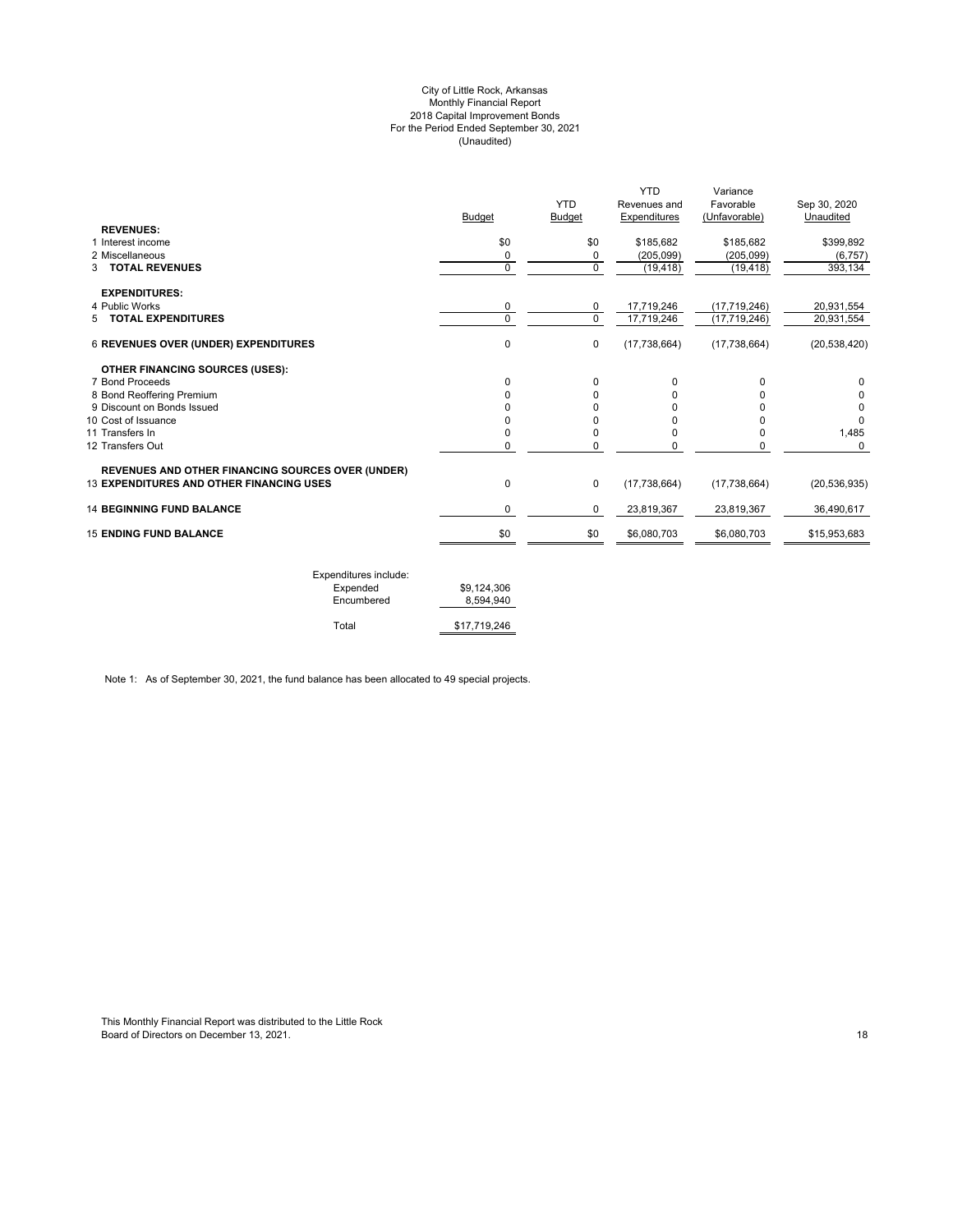#### City of Little Rock, Arkansas Monthly Financial Report 2018 Capital Improvement Bonds For the Period Ended September 30, 2021 (Unaudited)

|                                                          | <b>Budget</b> | <b>YTD</b><br>Budget | <b>YTD</b><br>Revenues and<br>Expenditures | Variance<br>Favorable<br>(Unfavorable) | Sep 30, 2020<br>Unaudited |
|----------------------------------------------------------|---------------|----------------------|--------------------------------------------|----------------------------------------|---------------------------|
| <b>REVENUES:</b>                                         |               |                      |                                            |                                        |                           |
| 1 Interest income                                        | \$0           | \$0                  | \$185,682                                  | \$185,682                              | \$399,892                 |
| 2 Miscellaneous                                          | 0             | 0                    | (205, 099)                                 | (205,099)                              | (6, 757)                  |
| <b>3 TOTAL REVENUES</b>                                  | $\Omega$      | $\mathbf 0$          | (19, 418)                                  | (19, 418)                              | 393,134                   |
| <b>EXPENDITURES:</b>                                     |               |                      |                                            |                                        |                           |
| 4 Public Works                                           | 0             | 0                    | 17,719,246                                 | (17, 719, 246)                         | 20,931,554                |
| 5 TOTAL EXPENDITURES                                     | $\Omega$      | $\Omega$             | 17,719,246                                 | (17, 719, 246)                         | 20,931,554                |
| <b>6 REVENUES OVER (UNDER) EXPENDITURES</b>              | 0             | $\mathbf 0$          | (17, 738, 664)                             | (17, 738, 664)                         | (20, 538, 420)            |
| <b>OTHER FINANCING SOURCES (USES):</b>                   |               |                      |                                            |                                        |                           |
| 7 Bond Proceeds                                          | 0             | $\Omega$             | 0                                          | $\Omega$                               | $\Omega$                  |
| 8 Bond Reoffering Premium                                | 0             | 0                    | 0                                          | n                                      |                           |
| 9 Discount on Bonds Issued                               |               | U                    | O                                          |                                        | $\Omega$                  |
| 10 Cost of Issuance                                      | 0             | 0                    | 0                                          | n                                      | $\Omega$                  |
| 11 Transfers In                                          | 0             | 0                    | 0                                          | $\Omega$                               | 1,485                     |
| 12 Transfers Out                                         | 0             | 0                    | 0                                          | 0                                      | $\Omega$                  |
| <b>REVENUES AND OTHER FINANCING SOURCES OVER (UNDER)</b> |               |                      |                                            |                                        |                           |
| <b>13 EXPENDITURES AND OTHER FINANCING USES</b>          | 0             | $\mathbf 0$          | (17, 738, 664)                             | (17, 738, 664)                         | (20, 536, 935)            |
| <b>14 BEGINNING FUND BALANCE</b>                         | 0             | 0                    | 23,819,367                                 | 23,819,367                             | 36.490.617                |
| <b>15 ENDING FUND BALANCE</b>                            | \$0           | \$0                  | \$6,080,703                                | \$6,080,703                            | \$15,953,683              |
|                                                          |               |                      |                                            |                                        |                           |

| Expenditures include: |              |
|-----------------------|--------------|
| Expended              | \$9.124.306  |
| Encumbered            | 8.594.940    |
|                       |              |
| Total                 | \$17,719,246 |

Note 1: As of September 30, 2021, the fund balance has been allocated to 49 special projects.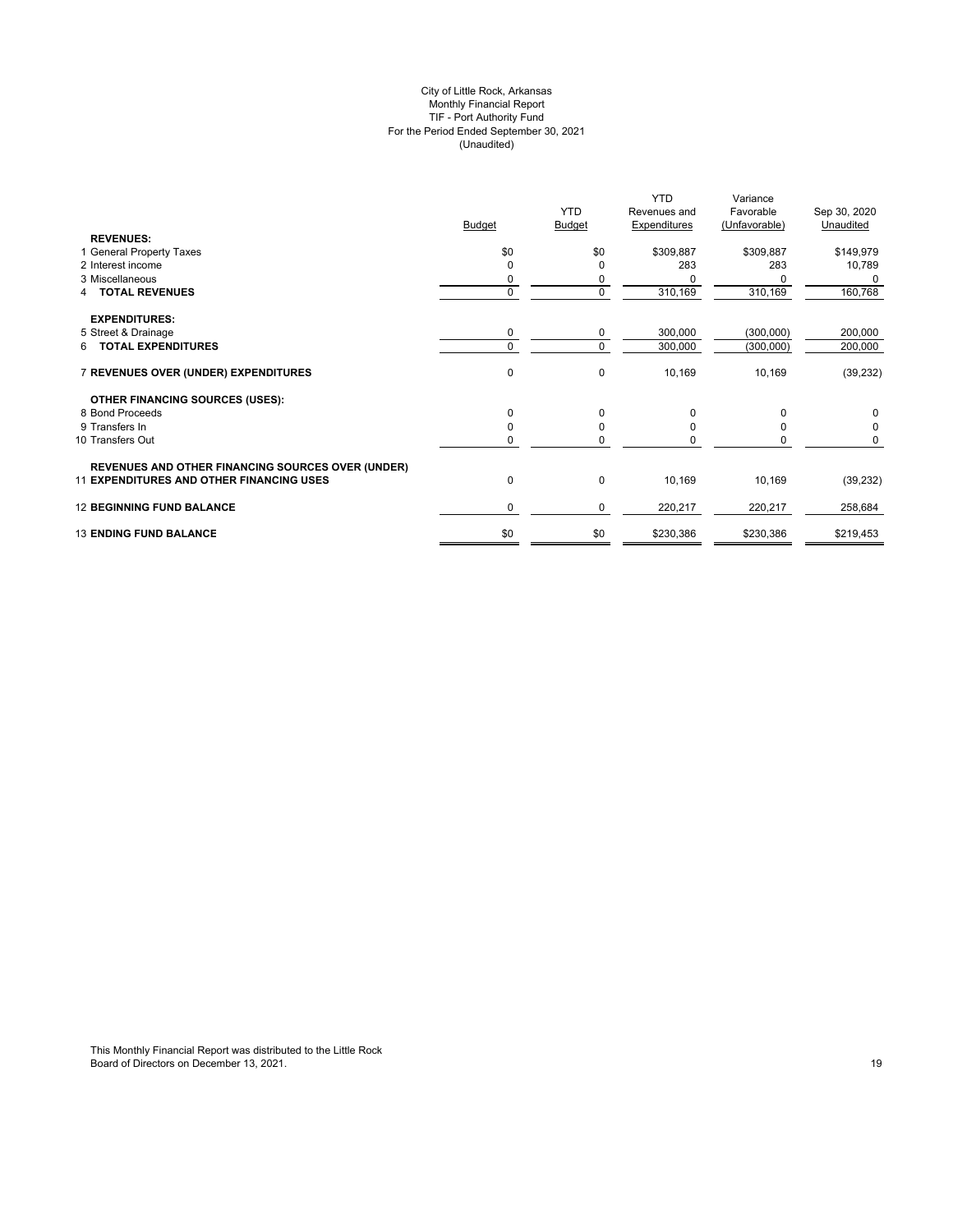# City of Little Rock, Arkansas Monthly Financial Report TIF - Port Authority Fund For the Period Ended September 30, 2021 (Unaudited)

| <b>REVENUES:</b>                                         | <b>Budget</b> | <b>YTD</b><br>Budget | <b>YTD</b><br>Revenues and<br><b>Expenditures</b> | Variance<br>Favorable<br>(Unfavorable) | Sep 30, 2020<br>Unaudited |
|----------------------------------------------------------|---------------|----------------------|---------------------------------------------------|----------------------------------------|---------------------------|
| 1 General Property Taxes                                 | \$0           | \$0                  | \$309,887                                         | \$309,887                              | \$149,979                 |
| 2 Interest income                                        | $\Omega$      | O                    | 283                                               | 283                                    | 10,789                    |
| 3 Miscellaneous                                          | 0             | 0                    |                                                   |                                        | 0                         |
| <b>TOTAL REVENUES</b><br>4                               | $\mathbf 0$   | $\Omega$             | 310,169                                           | 310,169                                | 160,768                   |
| <b>EXPENDITURES:</b>                                     |               |                      |                                                   |                                        |                           |
| 5 Street & Drainage                                      | 0             | 0                    | 300,000                                           | (300,000)                              | 200,000                   |
| 6 TOTAL EXPENDITURES                                     | $\Omega$      | $\Omega$             | 300,000                                           | (300,000)                              | 200,000                   |
| 7 REVENUES OVER (UNDER) EXPENDITURES                     | $\pmb{0}$     | $\mathbf 0$          | 10,169                                            | 10,169                                 | (39, 232)                 |
| <b>OTHER FINANCING SOURCES (USES):</b>                   |               |                      |                                                   |                                        |                           |
| 8 Bond Proceeds                                          | 0             | 0                    | 0                                                 | $\Omega$                               | 0                         |
| 9 Transfers In                                           | $\Omega$      |                      |                                                   |                                        | 0                         |
| 10 Transfers Out                                         | 0             | $\Omega$             |                                                   | 0                                      | 0                         |
| <b>REVENUES AND OTHER FINANCING SOURCES OVER (UNDER)</b> |               |                      |                                                   |                                        |                           |
| <b>11 EXPENDITURES AND OTHER FINANCING USES</b>          | 0             | $\mathbf 0$          | 10,169                                            | 10,169                                 | (39, 232)                 |
| <b>12 BEGINNING FUND BALANCE</b>                         | $\mathbf 0$   | 0                    | 220,217                                           | 220,217                                | 258,684                   |
| <b>13 ENDING FUND BALANCE</b>                            | \$0           | \$0                  | \$230,386                                         | \$230,386                              | \$219,453                 |
|                                                          |               |                      |                                                   |                                        |                           |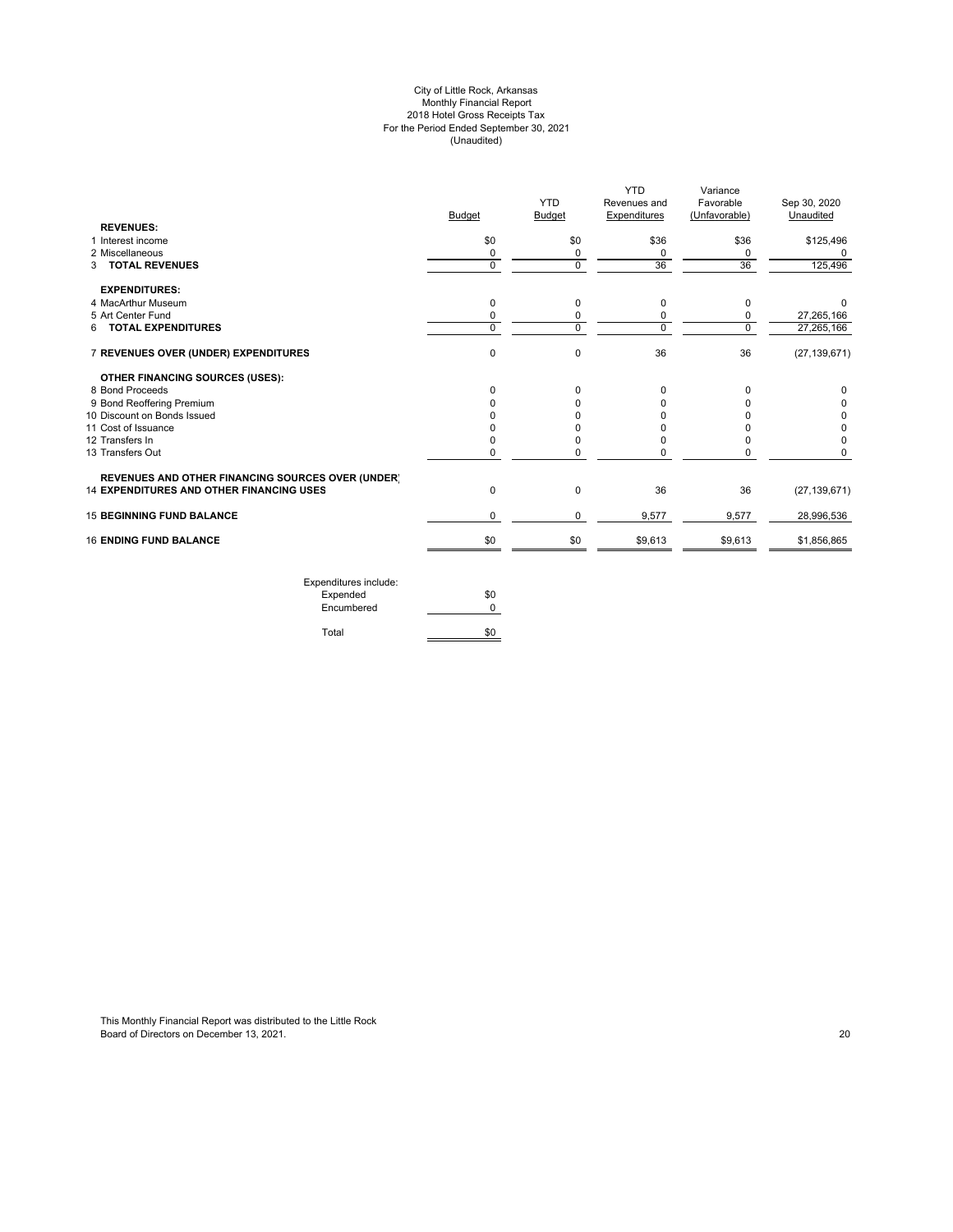#### City of Little Rock, Arkansas Monthly Financial Report 2018 Hotel Gross Receipts Tax For the Period Ended September 30, 2021 (Unaudited)

| <b>YTD</b><br>Revenues and | Variance<br>Favorable | Sep 30, 2020   |
|----------------------------|-----------------------|----------------|
| Expenditures               | (Unfavorable)         | Unaudited      |
|                            |                       |                |
| \$36                       | \$36                  | \$125,496      |
| 0                          | 0                     |                |
| 36                         | 36                    | 125,496        |
|                            |                       |                |
| 0                          | 0                     | $\Omega$       |
| 0                          | 0                     | 27,265,166     |
| 0                          | $\mathbf 0$           | 27,265,166     |
| 36                         | 36                    | (27, 139, 671) |
|                            |                       |                |
| 0                          | 0                     |                |
| 0                          | 0                     |                |
|                            | O                     |                |
| ი                          | 0                     |                |
| 0                          | 0                     |                |
| U                          | 0                     | $\Omega$       |
|                            |                       |                |
| 36                         | 36                    | (27, 139, 671) |
| 9,577                      | 9,577                 | 28,996,536     |
| \$9,613                    | \$9,613               | \$1,856,865    |
|                            |                       |                |

Expenditures include: Expended \$0 Encumbered 0 Total \$0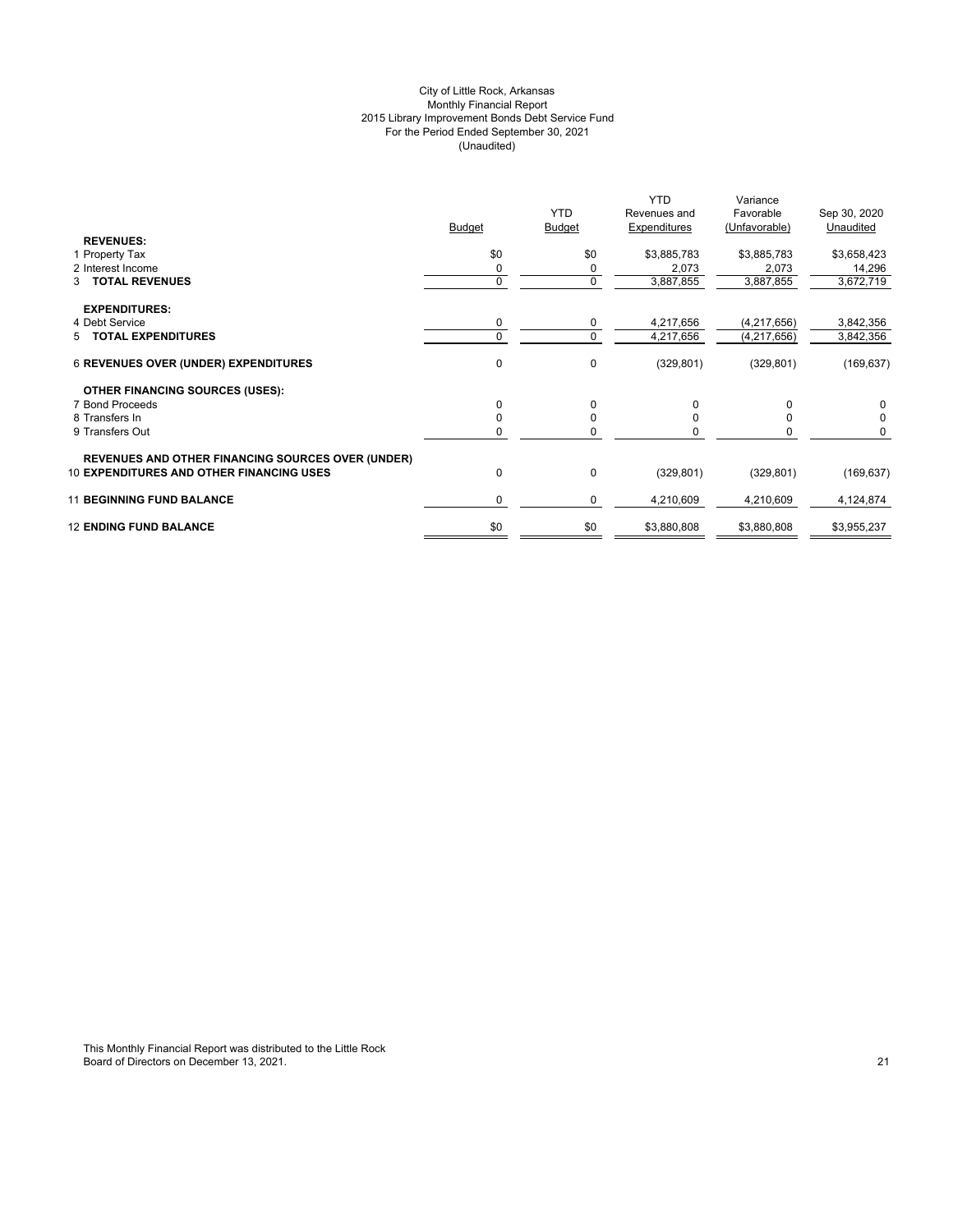# City of Little Rock, Arkansas Monthly Financial Report 2015 Library Improvement Bonds Debt Service Fund For the Period Ended September 30, 2021 (Unaudited)

|                                                                                                             | <b>Budget</b> | <b>YTD</b><br><b>Budget</b> | <b>YTD</b><br>Revenues and<br>Expenditures | Variance<br>Favorable<br>(Unfavorable) | Sep 30, 2020<br>Unaudited |
|-------------------------------------------------------------------------------------------------------------|---------------|-----------------------------|--------------------------------------------|----------------------------------------|---------------------------|
| <b>REVENUES:</b><br>1 Property Tax                                                                          | \$0           | \$0                         | \$3,885,783                                | \$3,885,783                            | \$3,658,423               |
| 2 Interest Income                                                                                           | 0             | 0                           | 2,073                                      | 2,073                                  | 14,296                    |
| <b>TOTAL REVENUES</b><br>3                                                                                  | $\Omega$      | $\mathbf 0$                 | 3,887,855                                  | 3,887,855                              | 3,672,719                 |
| <b>EXPENDITURES:</b>                                                                                        |               |                             |                                            |                                        |                           |
| 4 Debt Service                                                                                              |               | 0                           | 4,217,656                                  | (4, 217, 656)                          | 3,842,356                 |
| 5 TOTAL EXPENDITURES                                                                                        |               | 0                           | 4,217,656                                  | (4, 217, 656)                          | 3,842,356                 |
| <b>6 REVENUES OVER (UNDER) EXPENDITURES</b>                                                                 | 0             | 0                           | (329, 801)                                 | (329, 801)                             | (169, 637)                |
| <b>OTHER FINANCING SOURCES (USES):</b>                                                                      |               |                             |                                            |                                        |                           |
| 7 Bond Proceeds                                                                                             | 0             | $\Omega$                    | 0                                          | $\Omega$                               | $\Omega$                  |
| 8 Transfers In                                                                                              |               | 0                           | 0                                          | $\Omega$                               | 0                         |
| 9 Transfers Out                                                                                             |               | O                           |                                            |                                        | 0                         |
| <b>REVENUES AND OTHER FINANCING SOURCES OVER (UNDER)</b><br><b>10 EXPENDITURES AND OTHER FINANCING USES</b> | $\Omega$      | $\mathbf 0$                 | (329, 801)                                 | (329, 801)                             | (169, 637)                |
| <b>11 BEGINNING FUND BALANCE</b>                                                                            | 0             | 0                           | 4,210,609                                  | 4,210,609                              | 4,124,874                 |
| <b>12 ENDING FUND BALANCE</b>                                                                               | \$0           | \$0                         | \$3,880,808                                | \$3,880,808                            | \$3,955,237               |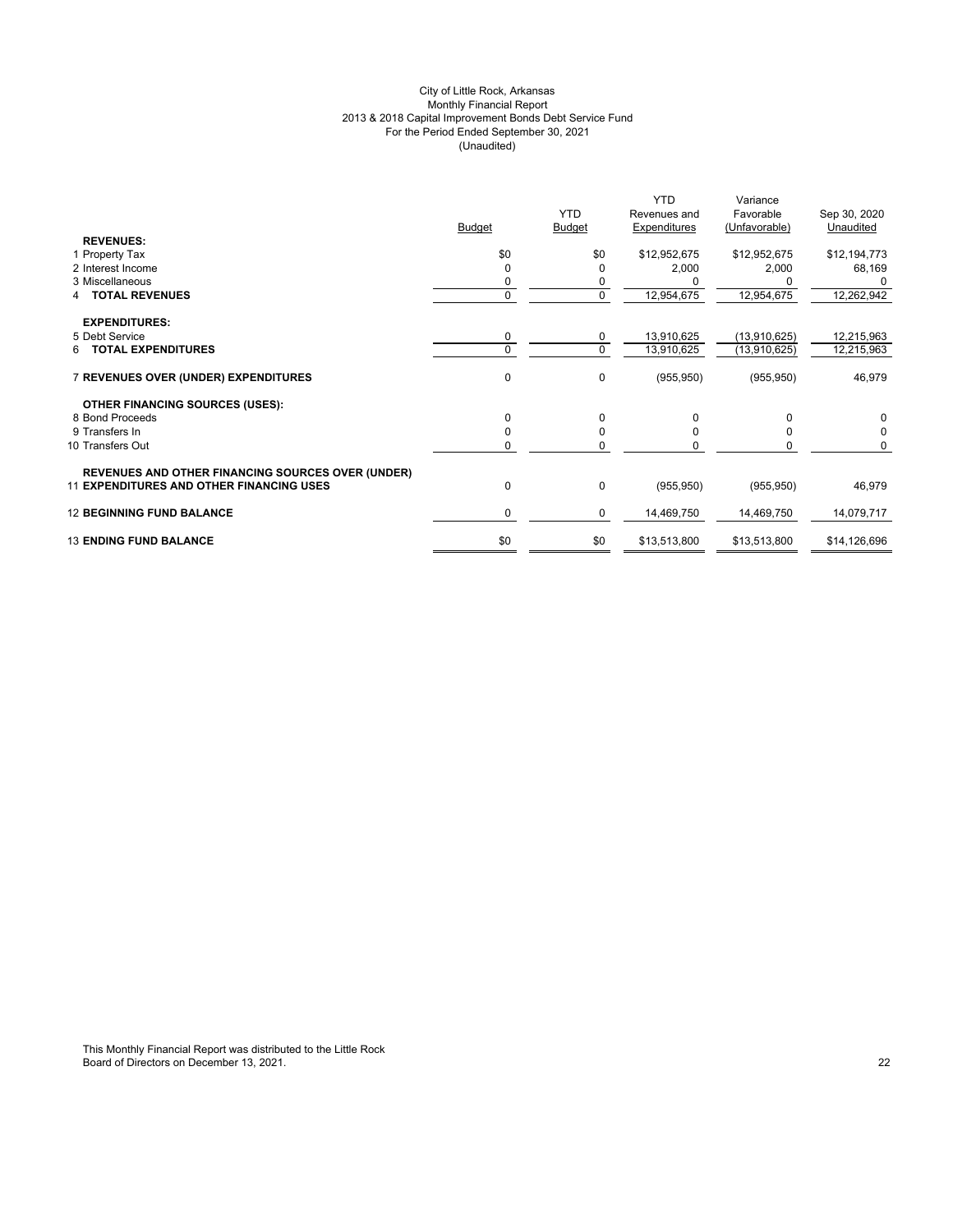# City of Little Rock, Arkansas Monthly Financial Report 2013 & 2018 Capital Improvement Bonds Debt Service Fund For the Period Ended September 30, 2021 (Unaudited)

|                                                          |               | <b>YTD</b>    | <b>YTD</b><br>Revenues and | Variance<br>Favorable | Sep 30, 2020 |
|----------------------------------------------------------|---------------|---------------|----------------------------|-----------------------|--------------|
|                                                          | <b>Budget</b> | <b>Budget</b> | Expenditures               | (Unfavorable)         | Unaudited    |
| <b>REVENUES:</b><br>1 Property Tax                       | \$0           | \$0           | \$12,952,675               | \$12,952,675          | \$12,194,773 |
| 2 Interest Income                                        | $\Omega$      | $\Omega$      | 2,000                      | 2,000                 | 68,169       |
| 3 Miscellaneous                                          | 0             | 0             |                            |                       |              |
| <b>TOTAL REVENUES</b>                                    | $\mathbf{0}$  | $\mathbf 0$   | 12,954,675                 | 12,954,675            | 12,262,942   |
|                                                          |               |               |                            |                       |              |
| <b>EXPENDITURES:</b>                                     |               |               |                            |                       |              |
| 5 Debt Service                                           | $\mathbf 0$   | 0             | 13,910,625                 | (13,910,625)          | 12,215,963   |
| <b>6 TOTAL EXPENDITURES</b>                              | $\Omega$      | $\mathbf 0$   | 13,910,625                 | (13,910,625)          | 12,215,963   |
|                                                          |               |               |                            |                       |              |
| 7 REVENUES OVER (UNDER) EXPENDITURES                     | $\mathbf{0}$  | 0             | (955, 950)                 | (955, 950)            | 46,979       |
|                                                          |               |               |                            |                       |              |
| <b>OTHER FINANCING SOURCES (USES):</b>                   |               |               |                            |                       |              |
| 8 Bond Proceeds                                          | $\Omega$      | 0             | 0                          | $\Omega$              | 0            |
| 9 Transfers In                                           | $\Omega$      | $\mathbf 0$   | $\Omega$                   | <sup>0</sup>          | $\Omega$     |
| 10 Transfers Out                                         | 0             | 0             | U                          | 0                     | $\Omega$     |
|                                                          |               |               |                            |                       |              |
| <b>REVENUES AND OTHER FINANCING SOURCES OVER (UNDER)</b> |               |               |                            |                       |              |
| <b>11 EXPENDITURES AND OTHER FINANCING USES</b>          | 0             | $\pmb{0}$     | (955, 950)                 | (955, 950)            | 46,979       |
|                                                          |               |               |                            |                       |              |
| <b>12 BEGINNING FUND BALANCE</b>                         | $\mathbf 0$   | 0             | 14,469,750                 | 14,469,750            | 14,079,717   |
|                                                          |               |               |                            |                       |              |
| <b>13 ENDING FUND BALANCE</b>                            | \$0           | \$0           | \$13,513,800               | \$13,513,800          | \$14,126,696 |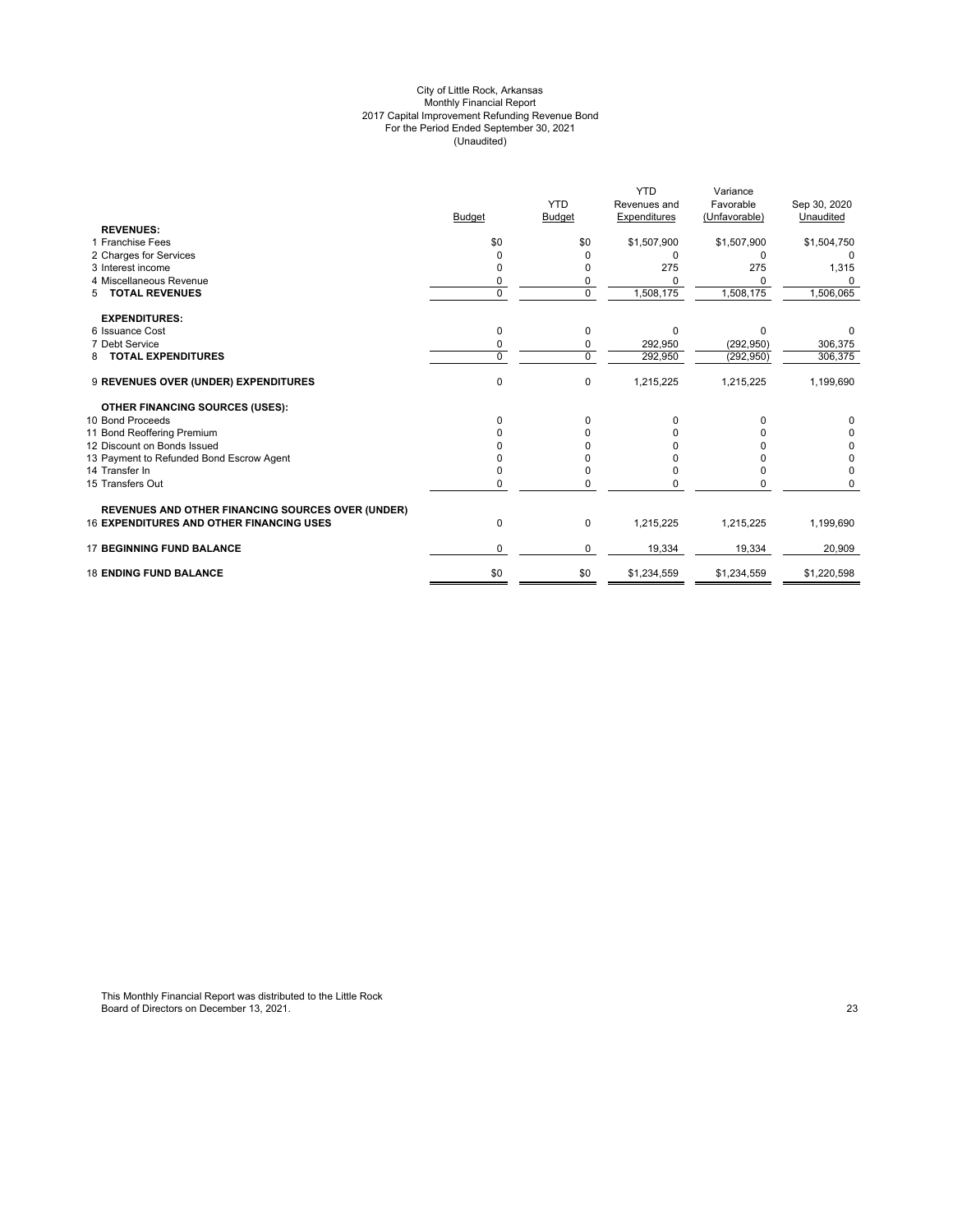#### City of Little Rock, Arkansas Monthly Financial Report 2017 Capital Improvement Refunding Revenue Bond For the Period Ended September 30, 2021 (Unaudited)

|                                                          |               |                | <b>YTD</b>   | Variance      |              |
|----------------------------------------------------------|---------------|----------------|--------------|---------------|--------------|
|                                                          |               | <b>YTD</b>     | Revenues and | Favorable     | Sep 30, 2020 |
|                                                          | <b>Budget</b> | <b>Budget</b>  | Expenditures | (Unfavorable) | Unaudited    |
| <b>REVENUES:</b>                                         |               |                |              |               |              |
| 1 Franchise Fees                                         | \$0           | \$0            | \$1,507,900  | \$1,507,900   | \$1,504,750  |
| 2 Charges for Services                                   | 0             | 0              | U            | $\Omega$      |              |
| 3 Interest income                                        |               | 0              | 275          | 275           | 1,315        |
| 4 Miscellaneous Revenue                                  | 0             | 0              |              | 0             | 0            |
| 5 TOTAL REVENUES                                         | $\Omega$      | $\overline{0}$ | 1,508,175    | 1,508,175     | 1,506,065    |
| <b>EXPENDITURES:</b>                                     |               |                |              |               |              |
| 6 Issuance Cost                                          | 0             | 0              | $\Omega$     | $\Omega$      |              |
| 7 Debt Service                                           | 0             | 0              | 292,950      | (292, 950)    | 306,375      |
| <b>TOTAL EXPENDITURES</b><br>8                           | $\Omega$      | $\Omega$       | 292.950      | (292, 950)    | 306,375      |
| 9 REVENUES OVER (UNDER) EXPENDITURES                     | $\Omega$      | $\mathbf 0$    | 1,215,225    | 1,215,225     | 1,199,690    |
| <b>OTHER FINANCING SOURCES (USES):</b>                   |               |                |              |               |              |
| 10 Bond Proceeds                                         | 0             | 0              | 0            | 0             | 0            |
| 11 Bond Reoffering Premium                               |               | n              |              |               | 0            |
| 12 Discount on Bonds Issued                              |               |                |              |               | 0            |
| 13 Payment to Refunded Bond Escrow Agent                 |               |                |              |               | 0            |
| 14 Transfer In                                           |               | 0              |              | 0             | $\Omega$     |
| 15 Transfers Out                                         | 0             | 0              | n            | 0             | U            |
| <b>REVENUES AND OTHER FINANCING SOURCES OVER (UNDER)</b> |               |                |              |               |              |
| <b>16 EXPENDITURES AND OTHER FINANCING USES</b>          | 0             | $\pmb{0}$      | 1,215,225    | 1,215,225     | 1,199,690    |
| <b>17 BEGINNING FUND BALANCE</b>                         | $\Omega$      | 0              | 19,334       | 19,334        | 20,909       |
| <b>18 ENDING FUND BALANCE</b>                            | \$0           | \$0            | \$1,234,559  | \$1,234,559   | \$1,220,598  |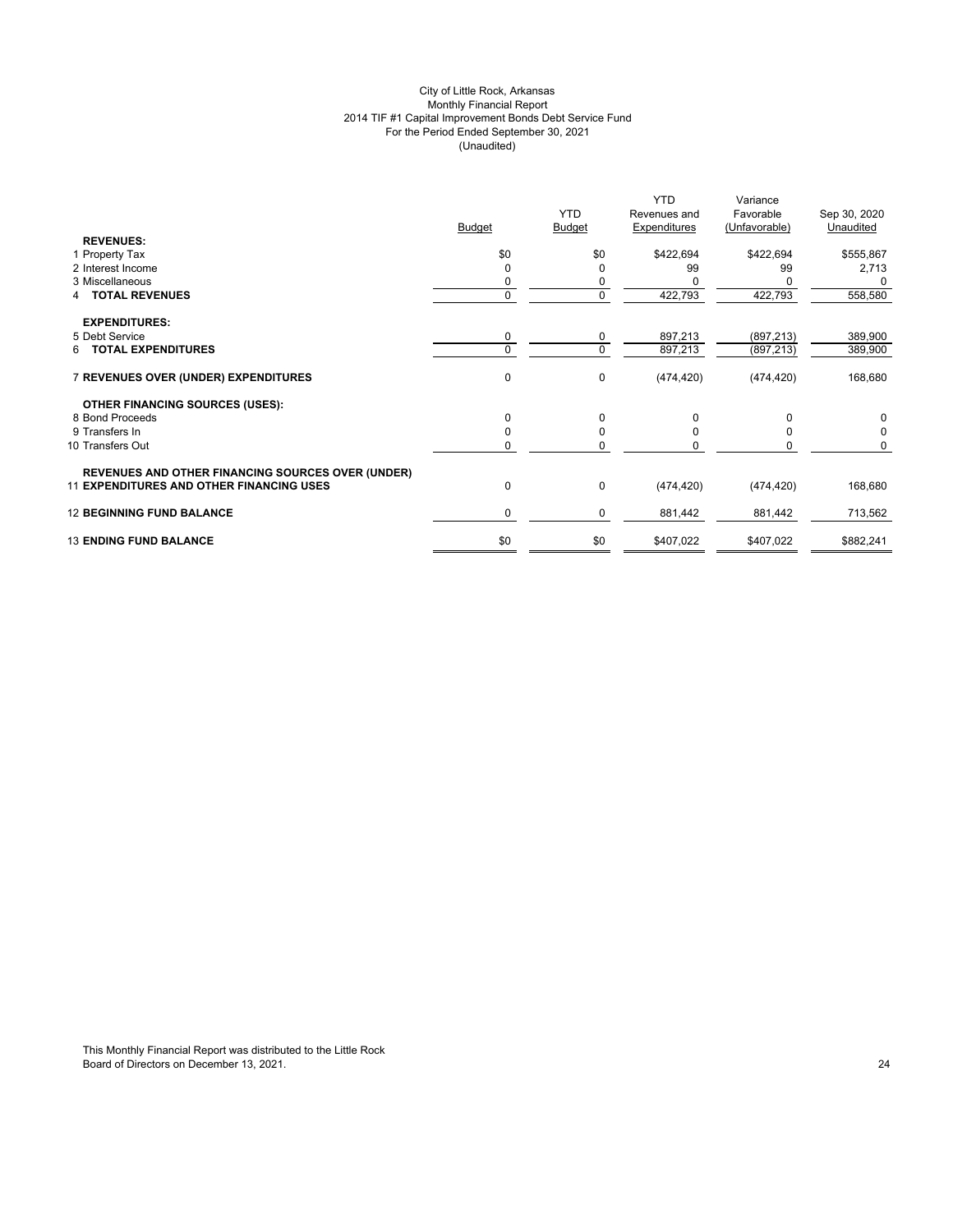# City of Little Rock, Arkansas Monthly Financial Report 2014 TIF #1 Capital Improvement Bonds Debt Service Fund For the Period Ended September 30, 2021 (Unaudited)

|                                                          | <b>Budget</b> | <b>YTD</b><br><b>Budget</b> | <b>YTD</b><br>Revenues and<br>Expenditures | Variance<br>Favorable<br>(Unfavorable) | Sep 30, 2020<br>Unaudited |
|----------------------------------------------------------|---------------|-----------------------------|--------------------------------------------|----------------------------------------|---------------------------|
| <b>REVENUES:</b>                                         |               |                             |                                            |                                        |                           |
| 1 Property Tax                                           | \$0           | \$0                         | \$422,694                                  | \$422,694                              | \$555,867                 |
| 2 Interest Income                                        | $\Omega$      | 0                           | 99                                         | 99                                     | 2,713                     |
| 3 Miscellaneous                                          | 0             | 0                           |                                            |                                        | 0                         |
| <b>TOTAL REVENUES</b><br>4                               | $\mathbf 0$   | 0                           | 422,793                                    | 422,793                                | 558,580                   |
| <b>EXPENDITURES:</b>                                     |               |                             |                                            |                                        |                           |
| 5 Debt Service                                           | 0             | $\mathbf 0$                 | 897,213                                    | (897, 213)                             | 389,900                   |
| <b>TOTAL EXPENDITURES</b><br>6                           | $\Omega$      | $\mathbf 0$                 | 897,213                                    | (897, 213)                             | 389,900                   |
| 7 REVENUES OVER (UNDER) EXPENDITURES                     | $\mathbf{0}$  | $\pmb{0}$                   | (474, 420)                                 | (474, 420)                             | 168,680                   |
| <b>OTHER FINANCING SOURCES (USES):</b>                   |               |                             |                                            |                                        |                           |
| 8 Bond Proceeds                                          | $\Omega$      | $\mathbf 0$                 | $\Omega$                                   | $\Omega$                               | 0                         |
| 9 Transfers In                                           | $\Omega$      | 0                           | <sup>0</sup>                               | <sup>0</sup>                           | 0                         |
| 10 Transfers Out                                         | 0             | 0                           |                                            | O                                      | $\Omega$                  |
| <b>REVENUES AND OTHER FINANCING SOURCES OVER (UNDER)</b> |               |                             |                                            |                                        |                           |
| <b>11 EXPENDITURES AND OTHER FINANCING USES</b>          | 0             | $\pmb{0}$                   | (474, 420)                                 | (474, 420)                             | 168,680                   |
| <b>12 BEGINNING FUND BALANCE</b>                         | $\mathbf 0$   | 0                           | 881,442                                    | 881,442                                | 713,562                   |
| <b>13 ENDING FUND BALANCE</b>                            | \$0           | \$0                         | \$407,022                                  | \$407,022                              | \$882,241                 |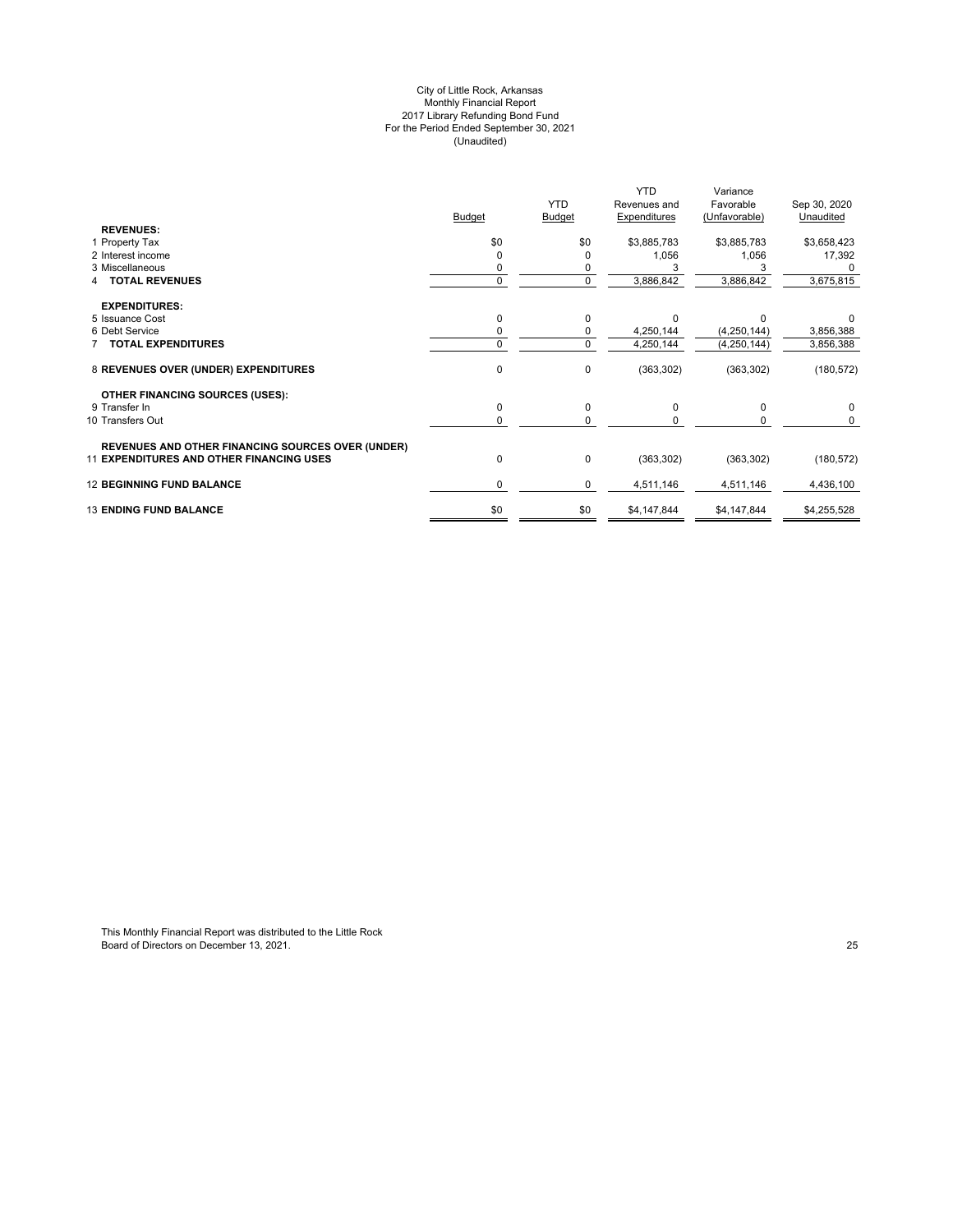#### City of Little Rock, Arkansas Monthly Financial Report 2017 Library Refunding Bond Fund For the Period Ended September 30, 2021 (Unaudited)

|                                                          |               |               | <b>YTD</b>   | Variance      |              |
|----------------------------------------------------------|---------------|---------------|--------------|---------------|--------------|
|                                                          |               | <b>YTD</b>    | Revenues and | Favorable     | Sep 30, 2020 |
|                                                          | <b>Budget</b> | <b>Budget</b> | Expenditures | (Unfavorable) | Unaudited    |
| <b>REVENUES:</b>                                         |               |               |              |               |              |
| 1 Property Tax                                           | \$0           | \$0           | \$3,885,783  | \$3,885,783   | \$3,658,423  |
| 2 Interest income                                        |               |               | 1,056        | 1,056         | 17,392       |
| 3 Miscellaneous                                          |               |               |              |               |              |
| <b>TOTAL REVENUES</b>                                    | $\Omega$      | 0             | 3,886,842    | 3,886,842     | 3,675,815    |
| <b>EXPENDITURES:</b>                                     |               |               |              |               |              |
| 5 Issuance Cost                                          | 0             | 0             |              |               |              |
| 6 Debt Service                                           |               | 0             | 4,250,144    | (4,250,144)   | 3,856,388    |
| <b>TOTAL EXPENDITURES</b>                                | $\Omega$      | 0             | 4,250,144    | (4,250,144)   | 3,856,388    |
| 8 REVENUES OVER (UNDER) EXPENDITURES                     | $\mathbf 0$   | 0             | (363, 302)   | (363, 302)    | (180, 572)   |
| <b>OTHER FINANCING SOURCES (USES):</b>                   |               |               |              |               |              |
| 9 Transfer In                                            | 0             | 0             | $\Omega$     | $\Omega$      | $\Omega$     |
| 10 Transfers Out                                         | 0             | $\Omega$      |              |               |              |
| <b>REVENUES AND OTHER FINANCING SOURCES OVER (UNDER)</b> |               |               |              |               |              |
| <b>11 EXPENDITURES AND OTHER FINANCING USES</b>          | $\mathbf 0$   | 0             | (363, 302)   | (363, 302)    | (180, 572)   |
| <b>12 BEGINNING FUND BALANCE</b>                         | 0             | 0             | 4,511,146    | 4,511,146     | 4,436,100    |
| <b>13 ENDING FUND BALANCE</b>                            | \$0           | \$0           | \$4,147,844  | \$4,147,844   | \$4,255,528  |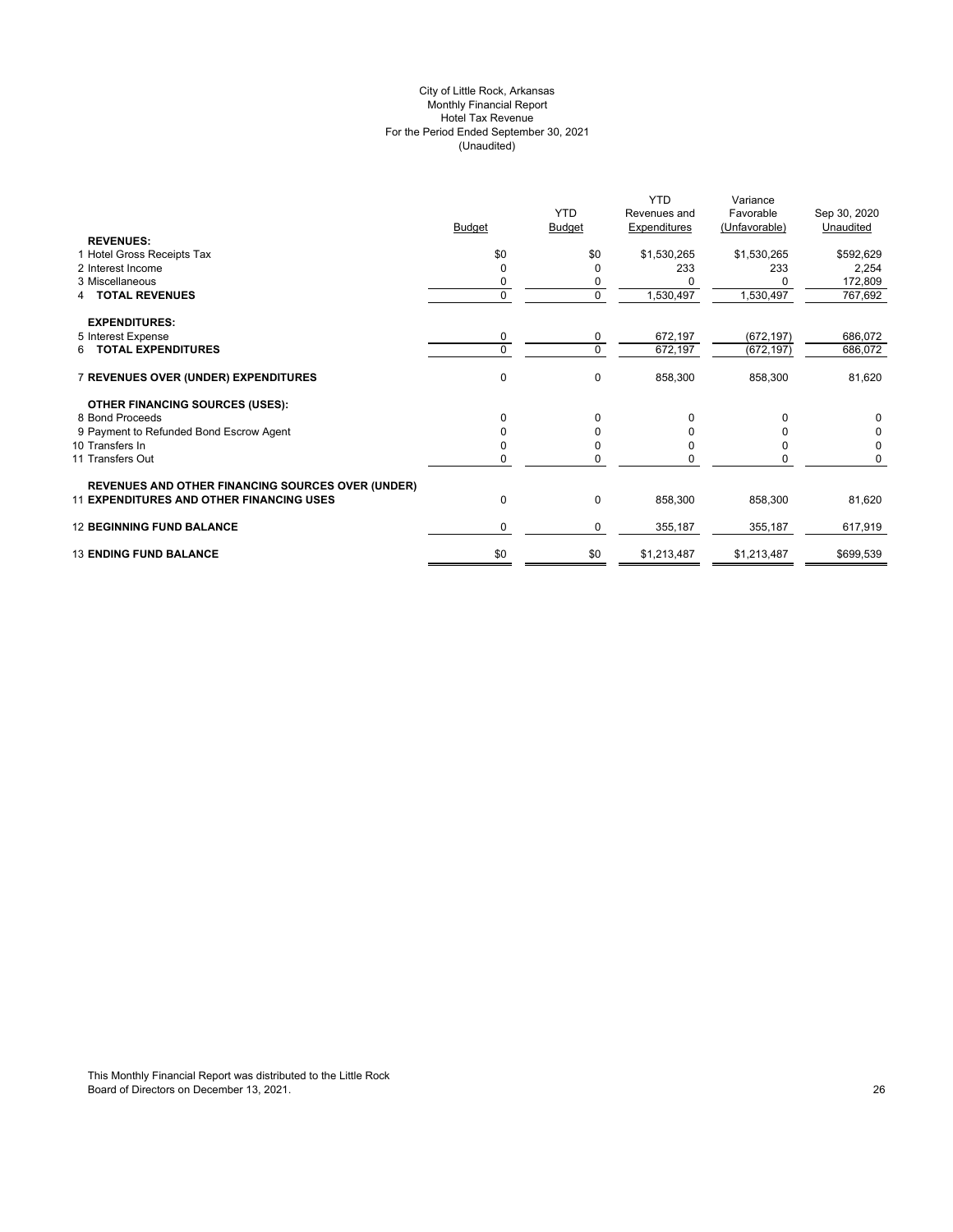# City of Little Rock, Arkansas Monthly Financial Report Hotel Tax Revenue For the Period Ended September 30, 2021 (Unaudited)

|                                                          |               |               | <b>YTD</b>   | Variance      |              |
|----------------------------------------------------------|---------------|---------------|--------------|---------------|--------------|
|                                                          |               | <b>YTD</b>    | Revenues and | Favorable     | Sep 30, 2020 |
|                                                          | <b>Budget</b> | <b>Budget</b> | Expenditures | (Unfavorable) | Unaudited    |
| <b>REVENUES:</b>                                         |               |               |              |               |              |
| 1 Hotel Gross Receipts Tax                               | \$0           | \$0           | \$1,530,265  | \$1,530,265   | \$592,629    |
| 2 Interest Income                                        | 0             | $\Omega$      | 233          | 233           | 2,254        |
| 3 Miscellaneous                                          |               | 0             |              |               | 172,809      |
| <b>TOTAL REVENUES</b>                                    | 0             | $\mathbf 0$   | 1,530,497    | 1,530,497     | 767,692      |
| <b>EXPENDITURES:</b>                                     |               |               |              |               |              |
| 5 Interest Expense                                       | 0             | 0             | 672,197      | (672, 197)    | 686,072      |
| 6 TOTAL EXPENDITURES                                     | $\Omega$      | $\mathbf 0$   | 672,197      | (672, 197)    | 686,072      |
| 7 REVENUES OVER (UNDER) EXPENDITURES                     | 0             | $\mathbf 0$   | 858,300      | 858,300       | 81,620       |
| <b>OTHER FINANCING SOURCES (USES):</b>                   |               |               |              |               |              |
| 8 Bond Proceeds                                          | 0             | 0             |              | $\Omega$      | 0            |
| 9 Payment to Refunded Bond Escrow Agent                  |               | 0             |              |               | 0            |
| 10 Transfers In                                          |               | 0             |              |               | 0            |
| 11 Transfers Out                                         | 0             | $\Omega$      |              | n             | 0            |
| <b>REVENUES AND OTHER FINANCING SOURCES OVER (UNDER)</b> |               |               |              |               |              |
| <b>11 EXPENDITURES AND OTHER FINANCING USES</b>          | 0             | $\mathbf 0$   | 858,300      | 858,300       | 81,620       |
| <b>12 BEGINNING FUND BALANCE</b>                         | 0             | 0             | 355,187      | 355,187       | 617,919      |
| <b>13 ENDING FUND BALANCE</b>                            | \$0           | \$0           | \$1,213,487  | \$1,213,487   | \$699,539    |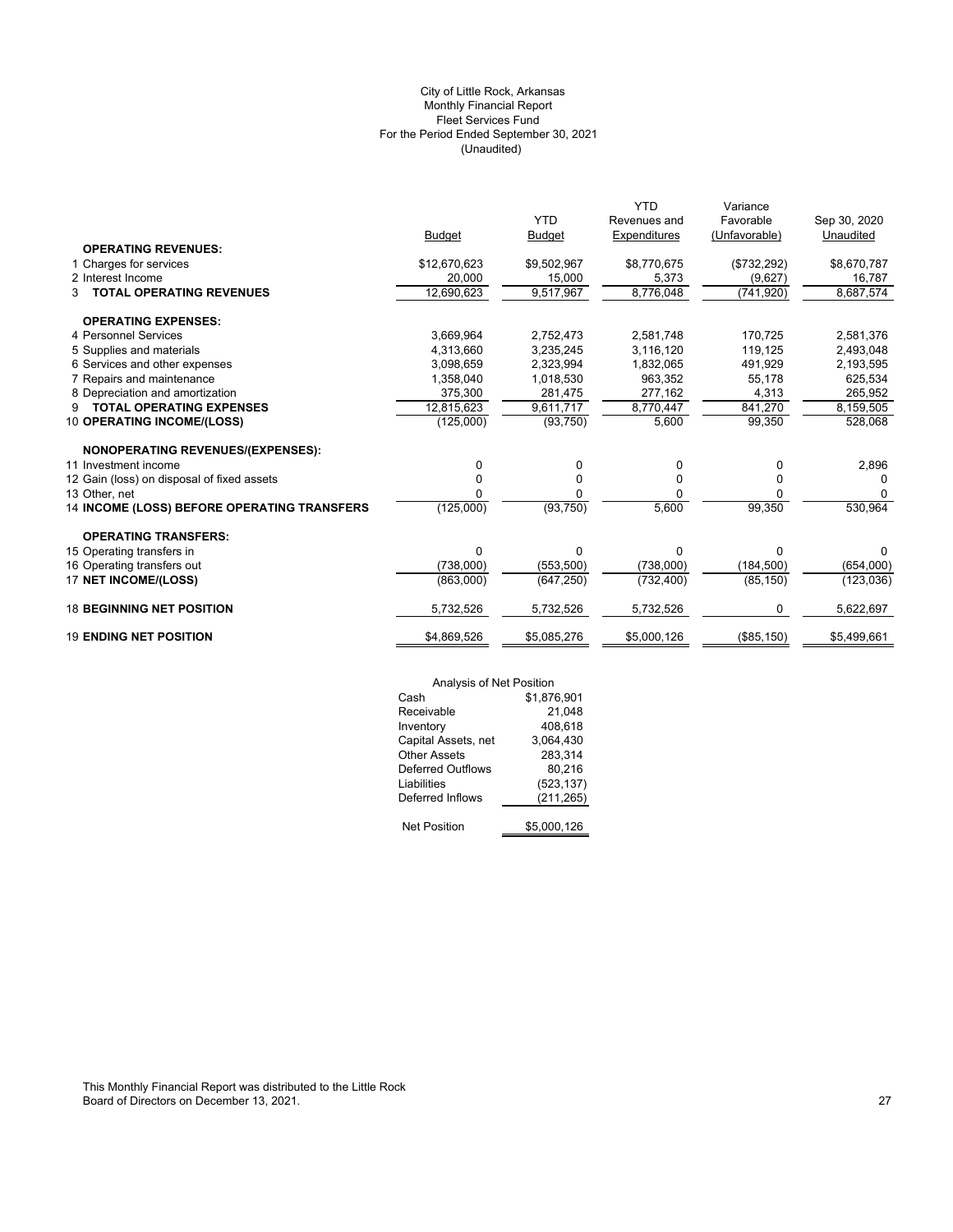# (Unaudited) City of Little Rock, Arkansas Monthly Financial Report Fleet Services Fund For the Period Ended September 30, 2021

|                                                                  | <b>Budget</b> | <b>YTD</b><br><b>Budget</b> | <b>YTD</b><br>Revenues and<br>Expenditures | Variance<br>Favorable<br>(Unfavorable) | Sep 30, 2020<br>Unaudited |
|------------------------------------------------------------------|---------------|-----------------------------|--------------------------------------------|----------------------------------------|---------------------------|
| <b>OPERATING REVENUES:</b>                                       |               |                             |                                            |                                        |                           |
| 1 Charges for services                                           | \$12,670,623  | \$9,502,967                 | \$8,770,675                                | (\$732,292)                            | \$8,670,787               |
| 2 Interest Income                                                | 20,000        | 15,000                      | 5,373                                      | (9,627)                                | 16,787                    |
| <b>TOTAL OPERATING REVENUES</b><br>3                             | 12,690,623    | 9,517,967                   | 8,776,048                                  | (741, 920)                             | 8,687,574                 |
|                                                                  |               |                             |                                            |                                        |                           |
| <b>OPERATING EXPENSES:</b>                                       |               |                             |                                            |                                        |                           |
| 4 Personnel Services                                             | 3,669,964     | 2,752,473                   | 2,581,748                                  | 170,725                                | 2,581,376                 |
| 5 Supplies and materials                                         | 4,313,660     | 3,235,245                   | 3,116,120                                  | 119,125                                | 2,493,048                 |
| 6 Services and other expenses                                    | 3,098,659     | 2,323,994                   | 1,832,065                                  | 491,929                                | 2,193,595                 |
| 7 Repairs and maintenance                                        | 1,358,040     | 1,018,530                   | 963.352                                    | 55,178                                 | 625,534                   |
| 8 Depreciation and amortization                                  | 375,300       | 281,475                     | 277,162                                    | 4,313                                  | 265,952                   |
| <b>TOTAL OPERATING EXPENSES</b><br>9                             | 12,815,623    | 9,611,717                   | 8,770,447                                  | 841,270                                | 8,159,505                 |
| 10 OPERATING INCOME/(LOSS)                                       | (125,000)     | (93, 750)                   | 5,600                                      | 99.350                                 | 528,068                   |
|                                                                  |               |                             |                                            |                                        |                           |
| <b>NONOPERATING REVENUES/(EXPENSES):</b><br>11 Investment income | $\Omega$      | 0                           | 0                                          | 0                                      | 2,896                     |
| 12 Gain (loss) on disposal of fixed assets                       | 0             | 0                           | $\Omega$                                   | 0                                      | $\Omega$                  |
| 13 Other, net                                                    |               | 0                           | 0                                          | 0                                      | $\Omega$                  |
| 14 INCOME (LOSS) BEFORE OPERATING TRANSFERS                      | (125,000)     | (93, 750)                   | 5,600                                      | 99,350                                 | 530,964                   |
|                                                                  |               |                             |                                            |                                        |                           |
| <b>OPERATING TRANSFERS:</b>                                      |               |                             |                                            |                                        |                           |
| 15 Operating transfers in                                        | 0             | 0                           | $\Omega$                                   | 0                                      | 0                         |
| 16 Operating transfers out                                       | (738,000)     | (553, 500)                  | (738,000)                                  | (184, 500)                             | (654,000)                 |
| 17 NET INCOME/(LOSS)                                             | (863,000)     | (647, 250)                  | (732, 400)                                 | (85, 150)                              | (123, 036)                |
| <b>18 BEGINNING NET POSITION</b>                                 | 5,732,526     | 5,732,526                   | 5,732,526                                  | 0                                      | 5,622,697                 |
|                                                                  |               |                             |                                            |                                        |                           |
| <b>19 ENDING NET POSITION</b>                                    | \$4,869,526   | \$5,085,276                 | \$5,000,126                                | (\$85,150)                             | \$5,499,661               |
|                                                                  |               |                             |                                            |                                        |                           |

|                          | Analysis of Net Position |  |  |
|--------------------------|--------------------------|--|--|
| Cash                     | \$1,876,901              |  |  |
| Receivable               | 21,048                   |  |  |
| Inventory                | 408,618                  |  |  |
| Capital Assets, net      | 3,064,430                |  |  |
| <b>Other Assets</b>      | 283,314                  |  |  |
| <b>Deferred Outflows</b> | 80,216                   |  |  |
| Liabilities              | (523, 137)               |  |  |
| Deferred Inflows         | (211,265)                |  |  |
|                          |                          |  |  |
| <b>Net Position</b>      | \$5,000,126              |  |  |

-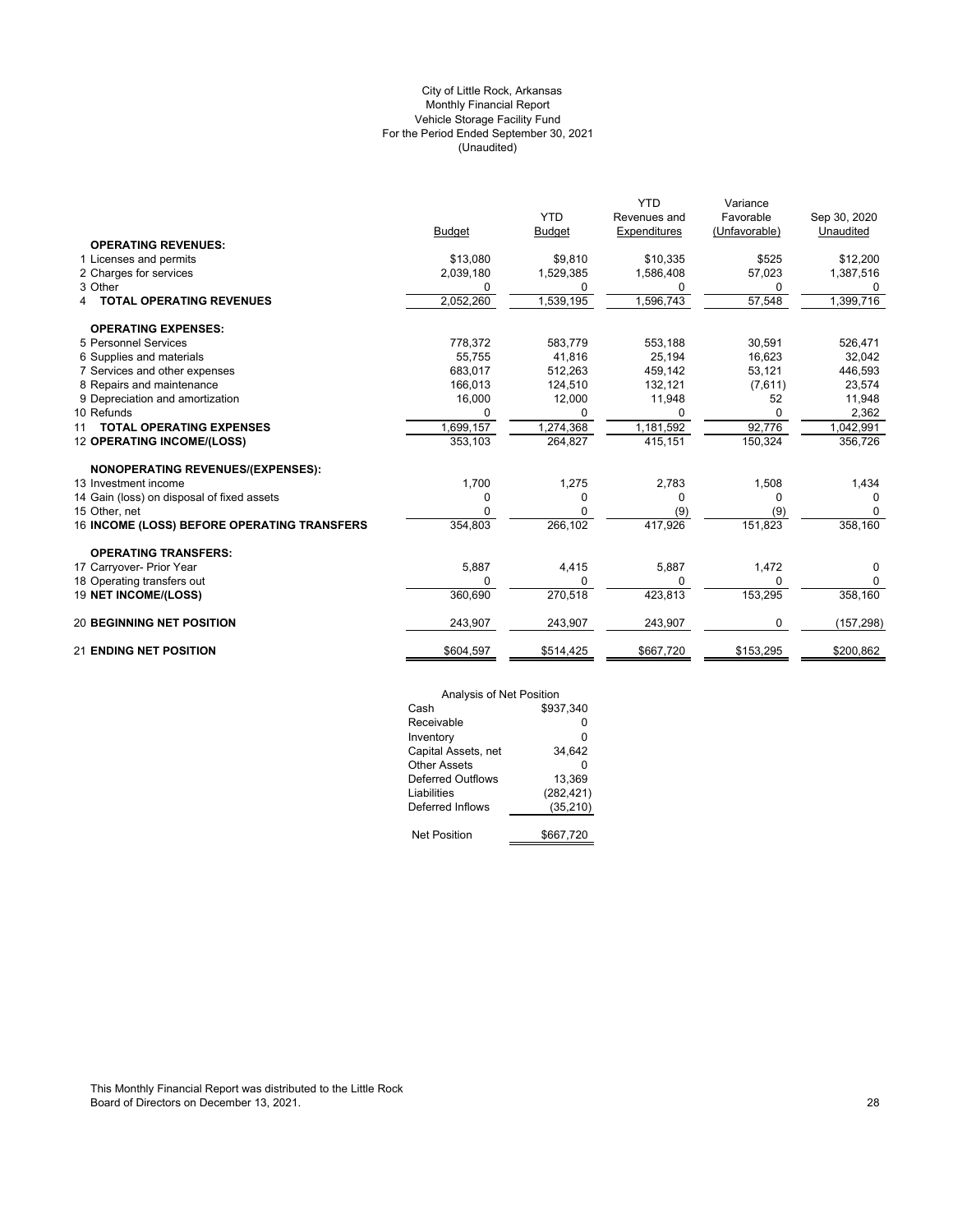# (Unaudited) City of Little Rock, Arkansas Monthly Financial Report Vehicle Storage Facility Fund For the Period Ended September 30, 2021

|                                             |               | <b>YTD</b>    | <b>YTD</b><br>Revenues and | Variance<br>Favorable | Sep 30, 2020 |
|---------------------------------------------|---------------|---------------|----------------------------|-----------------------|--------------|
|                                             | <b>Budget</b> | <b>Budget</b> | Expenditures               | (Unfavorable)         | Unaudited    |
| <b>OPERATING REVENUES:</b>                  |               |               |                            |                       |              |
| 1 Licenses and permits                      | \$13,080      | \$9,810       | \$10,335                   | \$525                 | \$12,200     |
| 2 Charges for services                      | 2,039,180     | 1,529,385     | 1,586,408                  | 57,023                | 1,387,516    |
| 3 Other                                     | 0             | 0             | 0                          | 0                     | 0            |
| <b>TOTAL OPERATING REVENUES</b>             | 2,052,260     | 1,539,195     | ,596,743                   | 57,548                | 1,399,716    |
| <b>OPERATING EXPENSES:</b>                  |               |               |                            |                       |              |
| 5 Personnel Services                        | 778,372       | 583,779       | 553,188                    | 30,591                | 526,471      |
| 6 Supplies and materials                    | 55,755        | 41.816        | 25,194                     | 16,623                | 32,042       |
| 7 Services and other expenses               | 683.017       | 512.263       | 459.142                    | 53,121                | 446,593      |
| 8 Repairs and maintenance                   | 166,013       | 124,510       | 132,121                    | (7,611)               | 23,574       |
| 9 Depreciation and amortization             | 16,000        | 12,000        | 11,948                     | 52                    | 11,948       |
| 10 Refunds                                  | 0             | 0             | <sup>0</sup>               | 0                     | 2,362        |
| <b>TOTAL OPERATING EXPENSES</b><br>11       | 1,699,157     | 1,274,368     | 1,181,592                  | 92,776                | 1,042,991    |
| 12 OPERATING INCOME/(LOSS)                  | 353,103       | 264,827       | 415,151                    | 150,324               | 356,726      |
| <b>NONOPERATING REVENUES/(EXPENSES):</b>    |               |               |                            |                       |              |
| 13 Investment income                        | 1,700         | 1,275         | 2,783                      | 1,508                 | 1,434        |
| 14 Gain (loss) on disposal of fixed assets  | 0             | 0             | $\Omega$                   | <sup>0</sup>          |              |
| 15 Other, net                               | 0             | 0             | (9)                        | (9)                   | $\Omega$     |
| 16 INCOME (LOSS) BEFORE OPERATING TRANSFERS | 354,803       | 266,102       | 417,926                    | 151,823               | 358,160      |
| <b>OPERATING TRANSFERS:</b>                 |               |               |                            |                       |              |
| 17 Carryover- Prior Year                    | 5,887         | 4,415         | 5,887                      | 1,472                 | 0            |
| 18 Operating transfers out                  | $\Omega$      | $\Omega$      | $\Omega$                   | $\Omega$              | 0            |
| 19 NET INCOME/(LOSS)                        | 360,690       | 270,518       | 423,813                    | 153,295               | 358,160      |
| <b>20 BEGINNING NET POSITION</b>            | 243,907       | 243,907       | 243,907                    | 0                     | (157, 298)   |
| <b>21 ENDING NET POSITION</b>               | \$604,597     | \$514,425     | \$667,720                  | \$153,295             | \$200,862    |

| Analysis of Net Position |            |
|--------------------------|------------|
| Cash                     | \$937,340  |
| Receivable               | ŋ          |
| Inventory                | 0          |
| Capital Assets, net      | 34.642     |
| Other Assets             | ŋ          |
| Deferred Outflows        | 13.369     |
| Liabilities              | (282, 421) |
| Deferred Inflows         | (35, 210)  |
|                          |            |
| <b>Net Position</b>      | \$667,720  |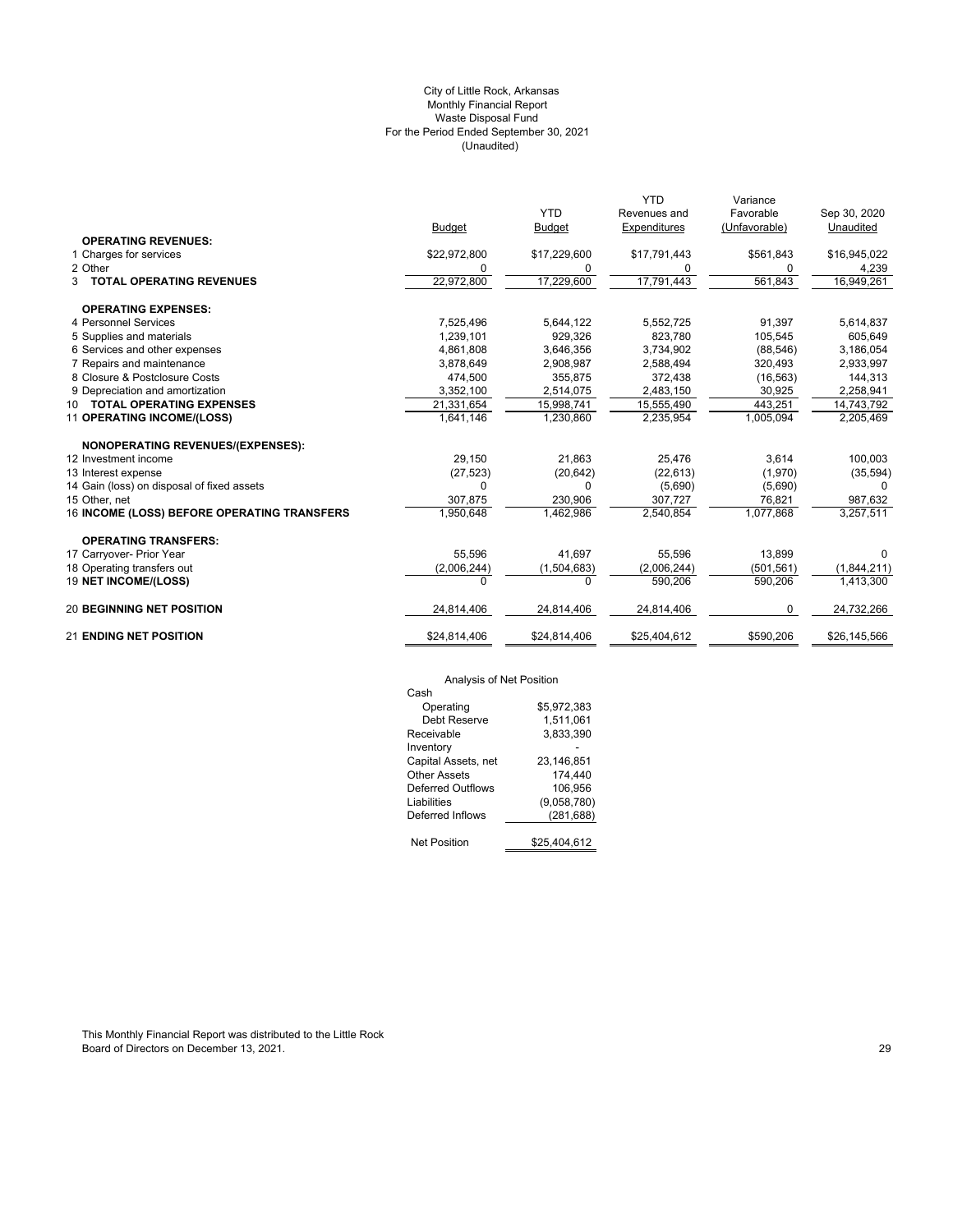# (Unaudited) City of Little Rock, Arkansas Monthly Financial Report Waste Disposal Fund For the Period Ended September 30, 2021

|                                             |               |               | <b>YTD</b>   | Variance      |              |
|---------------------------------------------|---------------|---------------|--------------|---------------|--------------|
|                                             |               | <b>YTD</b>    | Revenues and | Favorable     | Sep 30, 2020 |
|                                             | <b>Budget</b> | <b>Budget</b> | Expenditures | (Unfavorable) | Unaudited    |
| <b>OPERATING REVENUES:</b>                  |               |               |              |               |              |
| 1 Charges for services                      | \$22,972,800  | \$17,229,600  | \$17,791,443 | \$561,843     | \$16,945,022 |
| 2 Other                                     | 0             | 0             | 0            | 0             | 4,239        |
| <b>3 TOTAL OPERATING REVENUES</b>           | 22,972,800    | 17,229,600    | 17,791,443   | 561,843       | 16,949,261   |
| <b>OPERATING EXPENSES:</b>                  |               |               |              |               |              |
| 4 Personnel Services                        | 7,525,496     | 5,644,122     | 5,552,725    | 91,397        | 5,614,837    |
| 5 Supplies and materials                    | 1,239,101     | 929.326       | 823.780      | 105,545       | 605,649      |
| 6 Services and other expenses               | 4,861,808     | 3,646,356     | 3,734,902    | (88, 546)     | 3,186,054    |
| 7 Repairs and maintenance                   | 3,878,649     | 2,908,987     | 2,588,494    | 320,493       | 2,933,997    |
| 8 Closure & Postclosure Costs               | 474,500       | 355,875       | 372,438      | (16, 563)     | 144,313      |
| 9 Depreciation and amortization             | 3,352,100     | 2,514,075     | 2,483,150    | 30,925        | 2,258,941    |
| 10 TOTAL OPERATING EXPENSES                 | 21,331,654    | 15,998,741    | 15,555,490   | 443,251       | 14,743,792   |
| 11 OPERATING INCOME/(LOSS)                  | 1.641.146     | 1,230,860     | 2,235,954    | 1,005,094     | 2,205,469    |
| NONOPERATING REVENUES/(EXPENSES):           |               |               |              |               |              |
| 12 Investment income                        | 29,150        | 21,863        | 25,476       | 3,614         | 100,003      |
| 13 Interest expense                         | (27, 523)     | (20, 642)     | (22, 613)    | (1,970)       | (35, 594)    |
| 14 Gain (loss) on disposal of fixed assets  | $\Omega$      | O             | (5,690)      | (5,690)       | $\Omega$     |
| 15 Other, net                               | 307,875       | 230,906       | 307,727      | 76,821        | 987,632      |
| 16 INCOME (LOSS) BEFORE OPERATING TRANSFERS | 1,950,648     | 1,462,986     | 2,540,854    | 1,077,868     | 3,257,511    |
| <b>OPERATING TRANSFERS:</b>                 |               |               |              |               |              |
| 17 Carryover- Prior Year                    | 55,596        | 41,697        | 55,596       | 13,899        | $\Omega$     |
| 18 Operating transfers out                  | (2,006,244)   | (1,504,683)   | (2,006,244)  | (501, 561)    | (1,844,211)  |
| 19 NET INCOME/(LOSS)                        | $\Omega$      | 0             | 590,206      | 590,206       | 1,413,300    |
| <b>20 BEGINNING NET POSITION</b>            | 24,814,406    | 24,814,406    | 24,814,406   | 0             | 24,732,266   |
| <b>21 ENDING NET POSITION</b>               | \$24,814,406  | \$24,814,406  | \$25,404,612 | \$590,206     | \$26,145,566 |

# Analysis of Net Position

| Analysis of Net Position |
|--------------------------|
|                          |
| \$5.972.383              |
| 1,511,061                |
| 3,833,390                |
|                          |
| 23,146,851               |
| 174.440                  |
| 106.956                  |
| (9,058,780)              |
| (281, 688)               |
|                          |
| \$25.404.612             |
|                          |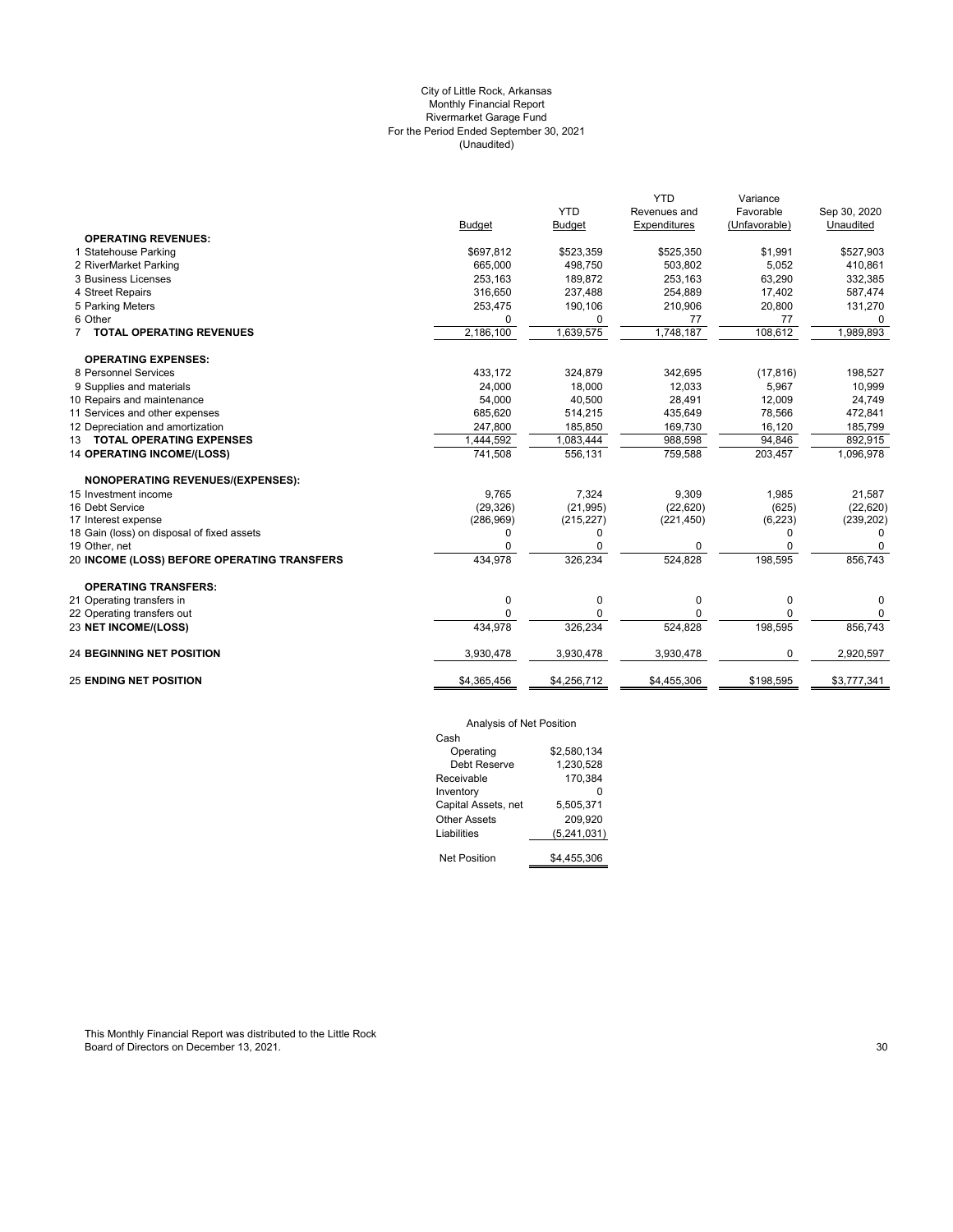# City of Little Rock, Arkansas Monthly Financial Report Rivermarket Garage Fund For the Period Ended September 30, 2021 (Unaudited)

|                                             |             |               | <b>YTD</b>   | Variance      |              |
|---------------------------------------------|-------------|---------------|--------------|---------------|--------------|
|                                             |             | <b>YTD</b>    | Revenues and | Favorable     | Sep 30, 2020 |
|                                             | Budget      | <b>Budget</b> | Expenditures | (Unfavorable) | Unaudited    |
| <b>OPERATING REVENUES:</b>                  |             |               |              |               |              |
| 1 Statehouse Parking                        | \$697,812   | \$523,359     | \$525,350    | \$1,991       | \$527,903    |
| 2 RiverMarket Parking                       | 665,000     | 498,750       | 503,802      | 5,052         | 410,861      |
| 3 Business Licenses                         | 253,163     | 189,872       | 253,163      | 63,290        | 332,385      |
| 4 Street Repairs                            | 316,650     | 237,488       | 254,889      | 17,402        | 587,474      |
| 5 Parking Meters                            | 253,475     | 190,106       | 210,906      | 20,800        | 131,270      |
| 6 Other                                     | $\Omega$    | 0             | 77           | 77            | $\Omega$     |
| <b>TOTAL OPERATING REVENUES</b>             | 2,186,100   | 1,639,575     | 1,748,187    | 108,612       | 1,989,893    |
| <b>OPERATING EXPENSES:</b>                  |             |               |              |               |              |
| 8 Personnel Services                        | 433.172     | 324,879       | 342,695      | (17, 816)     | 198,527      |
| 9 Supplies and materials                    | 24,000      | 18,000        | 12,033       | 5,967         | 10,999       |
| 10 Repairs and maintenance                  | 54,000      | 40,500        | 28,491       | 12,009        | 24,749       |
| 11 Services and other expenses              | 685,620     | 514,215       | 435,649      | 78,566        | 472,841      |
| 12 Depreciation and amortization            | 247,800     | 185,850       | 169,730      | 16,120        | 185,799      |
| 13 TOTAL OPERATING EXPENSES                 | 1,444,592   | 1,083,444     | 988,598      | 94,846        | 892,915      |
| <b>14 OPERATING INCOME/(LOSS)</b>           | 741,508     | 556,131       | 759,588      | 203,457       | 1,096,978    |
| <b>NONOPERATING REVENUES/(EXPENSES):</b>    |             |               |              |               |              |
| 15 Investment income                        | 9,765       | 7,324         | 9,309        | 1,985         | 21,587       |
| 16 Debt Service                             | (29, 326)   | (21, 995)     | (22, 620)    | (625)         | (22, 620)    |
| 17 Interest expense                         | (286, 969)  | (215, 227)    | (221, 450)   | (6, 223)      | (239, 202)   |
| 18 Gain (loss) on disposal of fixed assets  | $\Omega$    | 0             |              | $\Omega$      | <sup>0</sup> |
| 19 Other, net                               | $\Omega$    | 0             | $\Omega$     | $\Omega$      | 0            |
| 20 INCOME (LOSS) BEFORE OPERATING TRANSFERS | 434,978     | 326,234       | 524,828      | 198,595       | 856,743      |
| <b>OPERATING TRANSFERS:</b>                 |             |               |              |               |              |
| 21 Operating transfers in                   | 0           | 0             | 0            | 0             | 0            |
| 22 Operating transfers out                  | $\Omega$    | 0             | 0            | $\Omega$      | 0            |
| 23 NET INCOME/(LOSS)                        | 434,978     | 326,234       | 524,828      | 198,595       | 856,743      |
| <b>24 BEGINNING NET POSITION</b>            | 3,930,478   | 3,930,478     | 3,930,478    | 0             | 2,920,597    |
| <b>25 ENDING NET POSITION</b>               | \$4,365,456 | \$4,256,712   | \$4,455,306  | \$198,595     | \$3,777,341  |
|                                             |             |               |              |               |              |

# Analysis of Net Position

| Cash                |             |
|---------------------|-------------|
| Operating           | \$2.580.134 |
| Debt Reserve        | 1.230.528   |
| Receivable          | 170,384     |
| Inventory           |             |
| Capital Assets, net | 5.505.371   |
| Other Assets        | 209.920     |
| Liabilities         | (5,241,031) |
|                     |             |
| <b>Net Position</b> | \$4.455.306 |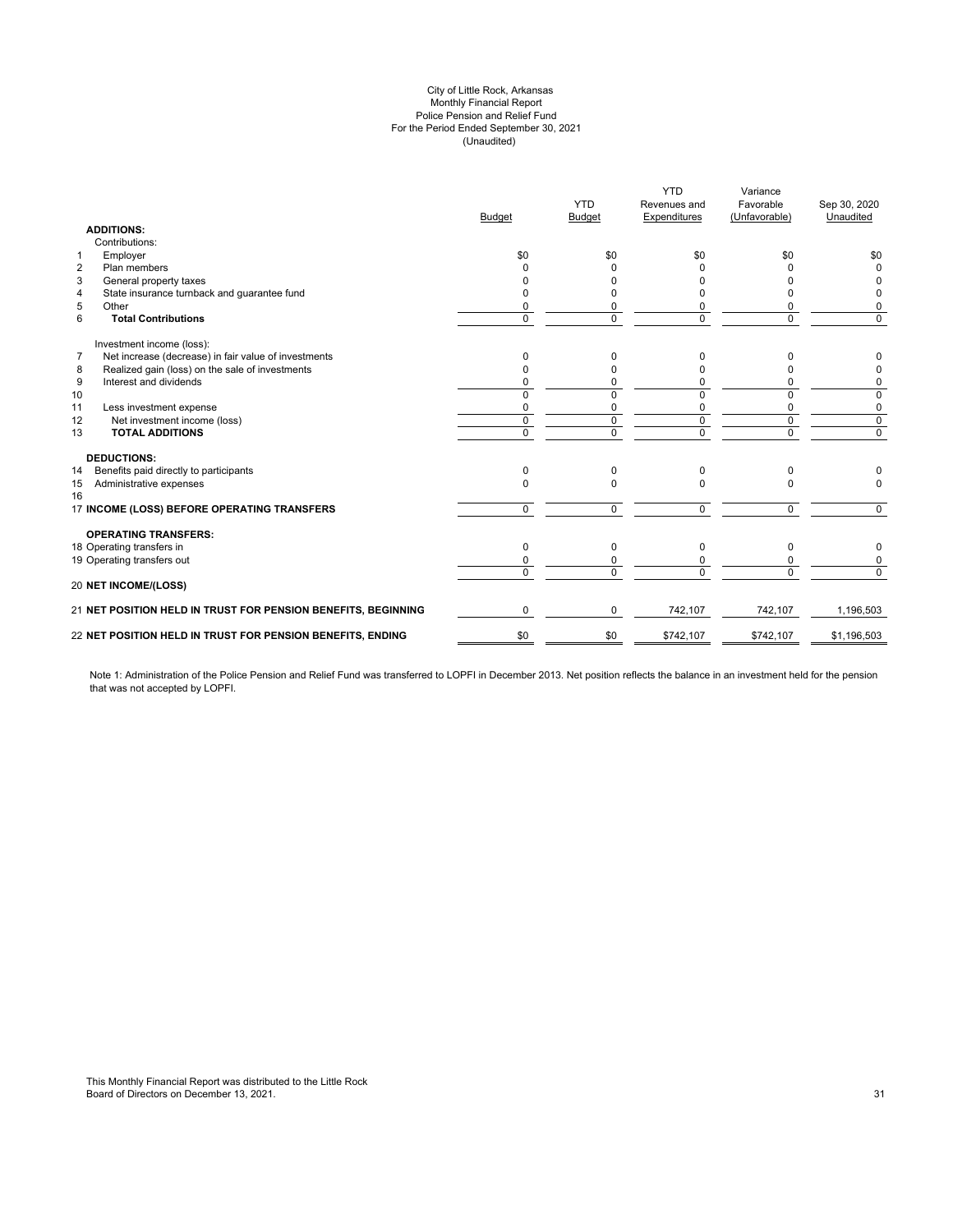#### (Unaudited) City of Little Rock, Arkansas Monthly Financial Report Police Pension and Relief Fund For the Period Ended September 30, 2021

|                                                                        | Budget         | <b>YTD</b><br>Budget | <b>YTD</b><br>Revenues and<br>Expenditures | Variance<br>Favorable<br>(Unfavorable) | Sep 30, 2020<br>Unaudited |
|------------------------------------------------------------------------|----------------|----------------------|--------------------------------------------|----------------------------------------|---------------------------|
| <b>ADDITIONS:</b>                                                      |                |                      |                                            |                                        |                           |
| Contributions:                                                         |                |                      |                                            |                                        |                           |
| Employer<br>$\mathbf{1}$                                               | \$0            | \$0                  | \$0                                        | \$0                                    | \$0                       |
| Plan members<br>2                                                      | 0              | O                    |                                            |                                        | $\Omega$                  |
| 3<br>General property taxes                                            | n              | U                    |                                            |                                        | 0                         |
| State insurance turnback and guarantee fund<br>4                       | ŋ              |                      | n                                          |                                        | 0                         |
| 5<br>Other                                                             | 0              | 0                    | 0                                          | 0                                      | 0                         |
| 6<br><b>Total Contributions</b>                                        | $\Omega$       | $\Omega$             | $\Omega$                                   | $\Omega$                               | $\Omega$                  |
| Investment income (loss):                                              |                |                      |                                            |                                        |                           |
| $\overline{7}$<br>Net increase (decrease) in fair value of investments | 0              | 0                    | $\Omega$                                   | $\Omega$                               |                           |
| 8<br>Realized gain (loss) on the sale of investments                   | O              | $\Omega$             | $\Omega$                                   |                                        | 0                         |
| 9<br>Interest and dividends                                            | ŋ              | 0                    | 0                                          | 0                                      | 0                         |
| 10                                                                     | $\Omega$       | $\Omega$             | $\Omega$                                   | $\Omega$                               | $\mathbf 0$               |
| 11<br>Less investment expense                                          | 0              | 0                    | 0                                          | 0                                      | 0                         |
| 12<br>Net investment income (loss)                                     | $\mathbf 0$    | $\mathbf 0$          | $\mathbf 0$                                | $\mathbf 0$                            | $\mathsf 0$               |
| <b>TOTAL ADDITIONS</b><br>13                                           | $\overline{0}$ | $\overline{0}$       | $\overline{0}$                             | $\overline{0}$                         | $\overline{0}$            |
| <b>DEDUCTIONS:</b>                                                     |                |                      |                                            |                                        |                           |
| Benefits paid directly to participants<br>14                           | 0              | $\Omega$             | $\Omega$                                   | 0                                      |                           |
| Administrative expenses<br>15<br>16                                    | $\Omega$       | $\Omega$             | $\Omega$                                   | $\Omega$                               | $\Omega$                  |
| 17 INCOME (LOSS) BEFORE OPERATING TRANSFERS                            | $\mathbf 0$    | $\mathbf 0$          | $\Omega$                                   | $\Omega$                               | $\Omega$                  |
| <b>OPERATING TRANSFERS:</b>                                            |                |                      |                                            |                                        |                           |
| 18 Operating transfers in                                              | 0              | 0                    | $\mathbf 0$                                | $\mathbf 0$                            | 0                         |
| 19 Operating transfers out                                             | 0              | 0                    | 0                                          | 0                                      | 0                         |
| <b>20 NET INCOME/(LOSS)</b>                                            | $\Omega$       | $\Omega$             | $\Omega$                                   | $\Omega$                               | $\Omega$                  |
| 21 NET POSITION HELD IN TRUST FOR PENSION BENEFITS, BEGINNING          | $\Omega$       | $\Omega$             | 742,107                                    | 742,107                                | 1,196,503                 |
| 22 NET POSITION HELD IN TRUST FOR PENSION BENEFITS, ENDING             | \$0            | \$0                  | \$742,107                                  | \$742,107                              | \$1,196,503               |

Note 1: Administration of the Police Pension and Relief Fund was transferred to LOPFI in December 2013. Net position reflects the balance in an investment held for the pension that was not accepted by LOPFI.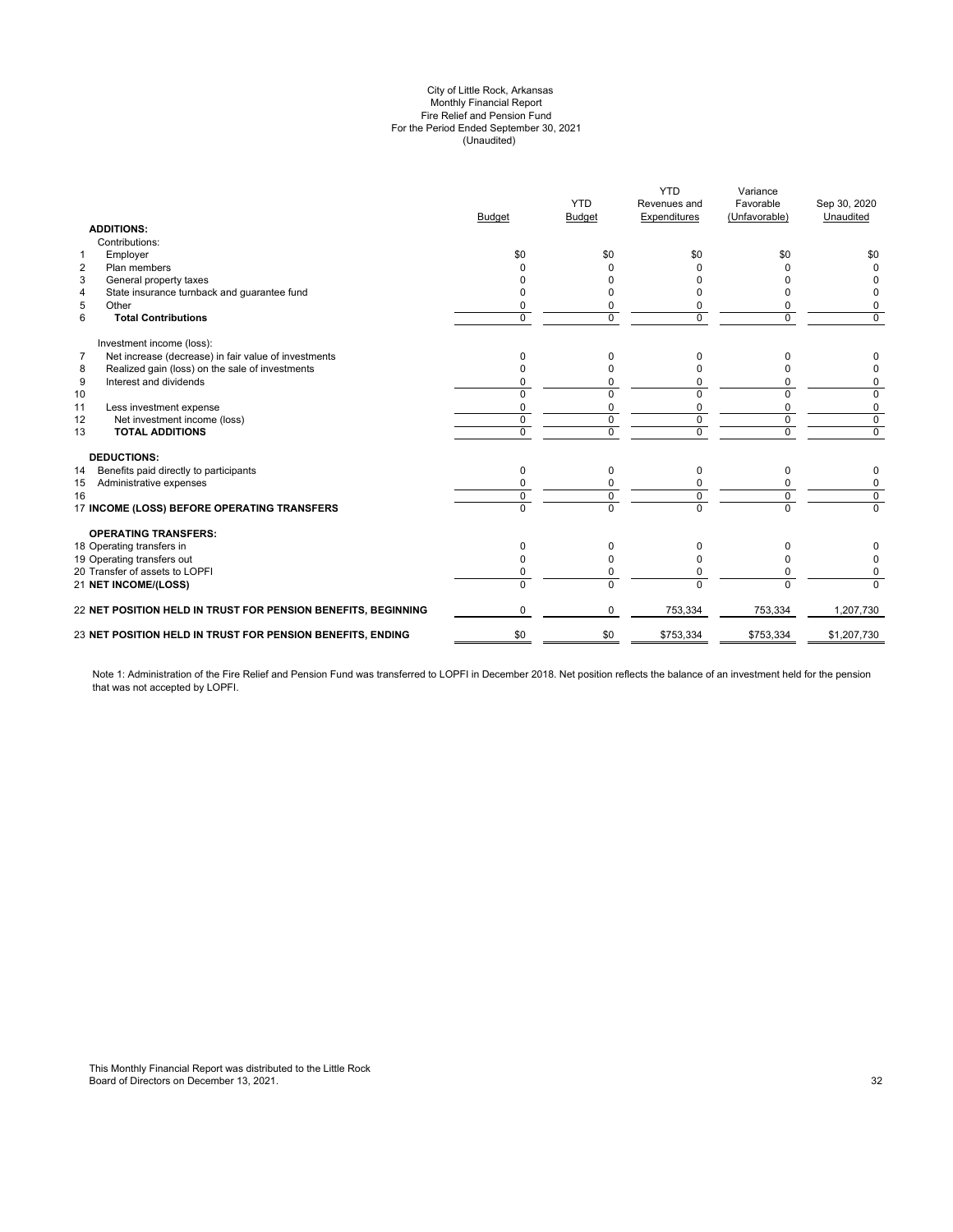#### (Unaudited) City of Little Rock, Arkansas Monthly Financial Report Fire Relief and Pension Fund For the Period Ended September 30, 2021

|                | <b>ADDITIONS:</b>                                             | <b>Budget</b>  | <b>YTD</b><br><b>Budget</b> | <b>YTD</b><br>Revenues and<br>Expenditures | Variance<br>Favorable<br>(Unfavorable) | Sep 30, 2020<br>Unaudited |
|----------------|---------------------------------------------------------------|----------------|-----------------------------|--------------------------------------------|----------------------------------------|---------------------------|
|                | Contributions:                                                |                |                             |                                            |                                        |                           |
| $\mathbf{1}$   | Employer                                                      | \$0            | \$0                         | \$0                                        | \$0                                    | \$0                       |
| $\overline{2}$ | Plan members                                                  |                |                             |                                            |                                        | 0                         |
| 3              | General property taxes                                        |                |                             |                                            |                                        |                           |
| $\overline{4}$ | State insurance turnback and guarantee fund                   |                |                             |                                            |                                        |                           |
| 5              | Other                                                         |                |                             |                                            | 0                                      | 0                         |
| 6              | <b>Total Contributions</b>                                    | $\Omega$       | $\Omega$                    | $\Omega$                                   | $\Omega$                               | $\Omega$                  |
|                | Investment income (loss):                                     |                |                             |                                            |                                        |                           |
| 7              | Net increase (decrease) in fair value of investments          | 0              | 0                           | 0                                          | n                                      |                           |
| 8              | Realized gain (loss) on the sale of investments               |                | $\Omega$                    |                                            | n                                      |                           |
| 9              | Interest and dividends                                        |                | 0                           | 0                                          | 0                                      | 0                         |
| 10             |                                                               | $\Omega$       | $\Omega$                    | $\Omega$                                   | 0                                      | 0                         |
| 11             | Less investment expense                                       | $\Omega$       | 0                           | $\Omega$                                   | 0                                      | 0                         |
| 12             | Net investment income (loss)                                  | $\mathbf 0$    | $\mathbf 0$                 | $\mathbf 0$                                | $\mathbf 0$                            | $\mathbf 0$               |
| 13             | <b>TOTAL ADDITIONS</b>                                        | $\Omega$       | $\Omega$                    | $\Omega$                                   | $\Omega$                               | $\Omega$                  |
|                | <b>DEDUCTIONS:</b>                                            |                |                             |                                            |                                        |                           |
| 14             | Benefits paid directly to participants                        | 0              | 0                           | $\Omega$                                   | 0                                      | 0                         |
| 15             | Administrative expenses                                       |                |                             | 0                                          | 0                                      | 0                         |
| 16             |                                                               | $\mathbf 0$    | $\mathbf 0$                 | $\mathbf 0$                                | $\Omega$                               | $\overline{0}$            |
|                | 17 INCOME (LOSS) BEFORE OPERATING TRANSFERS                   | $\overline{0}$ | $\overline{0}$              | $\Omega$                                   | $\overline{0}$                         | $\Omega$                  |
|                | <b>OPERATING TRANSFERS:</b>                                   |                |                             |                                            |                                        |                           |
|                | 18 Operating transfers in                                     | 0              | 0                           | $\Omega$                                   | 0                                      |                           |
|                | 19 Operating transfers out                                    |                | O                           | <sup>0</sup>                               | U                                      | O                         |
|                | 20 Transfer of assets to LOPFI                                |                | 0                           | 0                                          | 0                                      | 0                         |
|                | 21 NET INCOME/(LOSS)                                          | $\Omega$       | $\Omega$                    | <sup>n</sup>                               | $\Omega$                               | $\Omega$                  |
|                | 22 NET POSITION HELD IN TRUST FOR PENSION BENEFITS, BEGINNING | $\mathbf 0$    | 0                           | 753,334                                    | 753,334                                | 1,207,730                 |
|                | 23 NET POSITION HELD IN TRUST FOR PENSION BENEFITS, ENDING    | \$0            | \$0                         | \$753,334                                  | \$753,334                              | \$1,207,730               |
|                |                                                               |                |                             |                                            |                                        |                           |

Note 1: Administration of the Fire Relief and Pension Fund was transferred to LOPFI in December 2018. Net position reflects the balance of an investment held for the pension that was not accepted by LOPFI.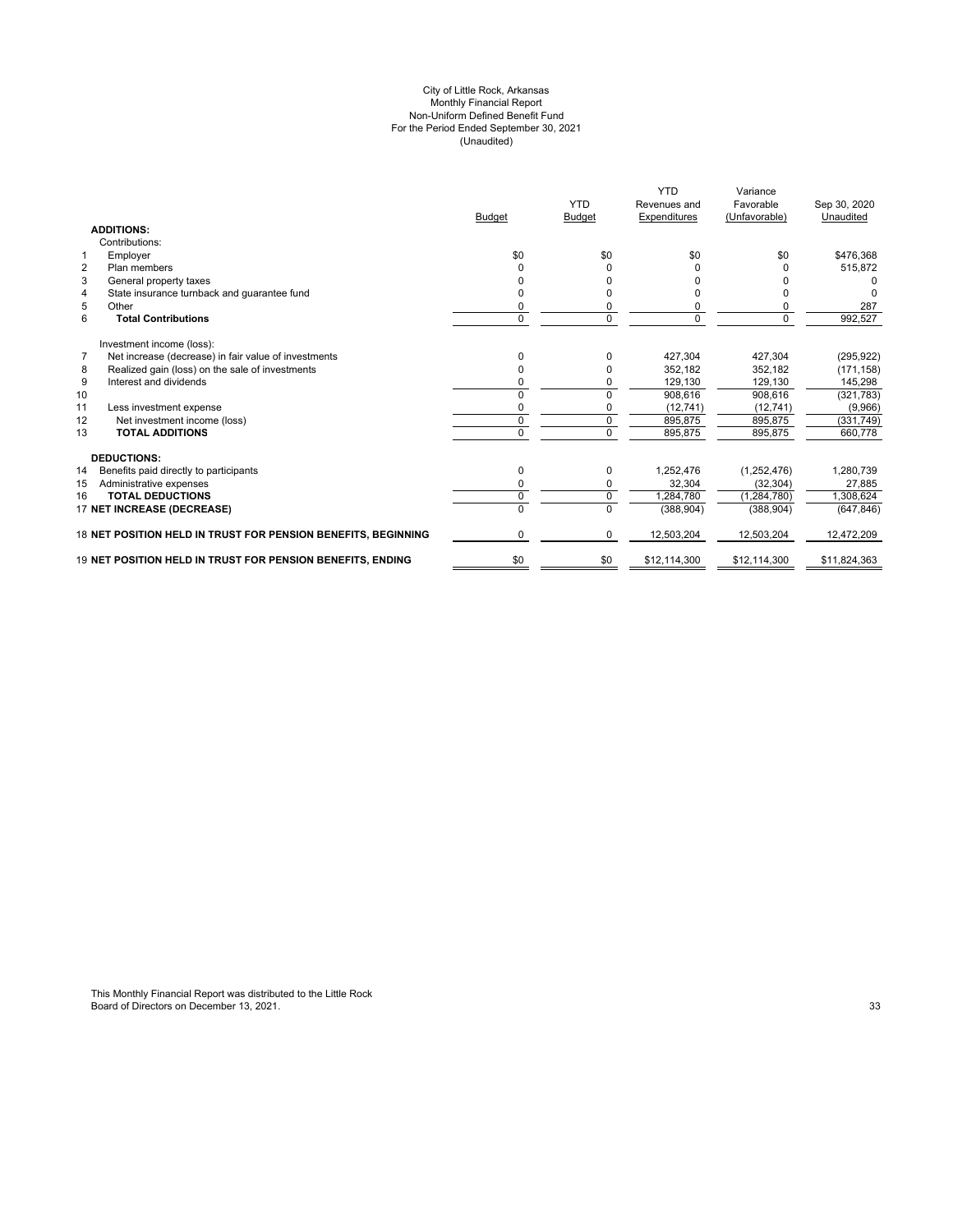#### (Unaudited) For the Period Ended September 30, 2021 City of Little Rock, Arkansas Monthly Financial Report Non-Uniform Defined Benefit Fund

|                                                                        | <b>Budget</b> | <b>YTD</b><br><b>Budget</b> | <b>YTD</b><br>Revenues and<br>Expenditures | Variance<br>Favorable<br>(Unfavorable) | Sep 30, 2020<br>Unaudited |
|------------------------------------------------------------------------|---------------|-----------------------------|--------------------------------------------|----------------------------------------|---------------------------|
| <b>ADDITIONS:</b>                                                      |               |                             |                                            |                                        |                           |
| Contributions:                                                         |               |                             |                                            |                                        |                           |
| Employer<br>$\mathbf 1$                                                | \$0           | \$0                         | \$0                                        | \$0                                    | \$476,368                 |
| $\overline{2}$<br>Plan members                                         | $\Omega$      | 0                           | $\Omega$                                   |                                        | 515,872                   |
| 3<br>General property taxes                                            |               |                             |                                            |                                        |                           |
| State insurance turnback and guarantee fund<br>$\overline{4}$          |               | ŋ                           |                                            |                                        |                           |
| 5<br>Other                                                             | 0             | 0                           | 0                                          |                                        | 287                       |
| 6<br><b>Total Contributions</b>                                        | $\mathbf 0$   | 0                           | $\mathbf 0$                                | 0                                      | 992,527                   |
| Investment income (loss):                                              |               |                             |                                            |                                        |                           |
| $\overline{7}$<br>Net increase (decrease) in fair value of investments | $\Omega$      | <sup>0</sup>                | 427,304                                    | 427.304                                | (295, 922)                |
| Realized gain (loss) on the sale of investments<br>8                   | $\Omega$      |                             | 352.182                                    | 352.182                                | (171, 158)                |
| 9<br>Interest and dividends                                            | $\Omega$      |                             | 129,130                                    | 129,130                                | 145,298                   |
| 10                                                                     | $\Omega$      | 0                           | 908,616                                    | 908,616                                | (321, 783)                |
| 11<br>Less investment expense                                          | $\Omega$      |                             | (12, 741)                                  | (12, 741)                              | (9,966)                   |
| Net investment income (loss)<br>12                                     | 0             | 0                           | 895,875                                    | 895,875                                | (331, 749)                |
| <b>TOTAL ADDITIONS</b><br>13                                           | $\Omega$      | $\Omega$                    | 895,875                                    | 895,875                                | 660,778                   |
| <b>DEDUCTIONS:</b>                                                     |               |                             |                                            |                                        |                           |
| 14<br>Benefits paid directly to participants                           | 0             | 0                           | 1,252,476                                  | (1,252,476)                            | 1,280,739                 |
| Administrative expenses<br>15                                          | 0             | 0                           | 32,304                                     | (32, 304)                              | 27,885                    |
| <b>TOTAL DEDUCTIONS</b><br>16                                          | 0             | 0                           | 1,284,780                                  | (1, 284, 780)                          | 1,308,624                 |
| 17 NET INCREASE (DECREASE)                                             |               | $\Omega$                    | (388, 904)                                 | (388, 904)                             | (647, 846)                |
| 18 NET POSITION HELD IN TRUST FOR PENSION BENEFITS, BEGINNING          | $\Omega$      | $\Omega$                    | 12,503,204                                 | 12,503,204                             | 12,472,209                |
| 19 NET POSITION HELD IN TRUST FOR PENSION BENEFITS. ENDING             | \$0           | \$0                         | \$12,114,300                               | \$12,114,300                           | \$11,824,363              |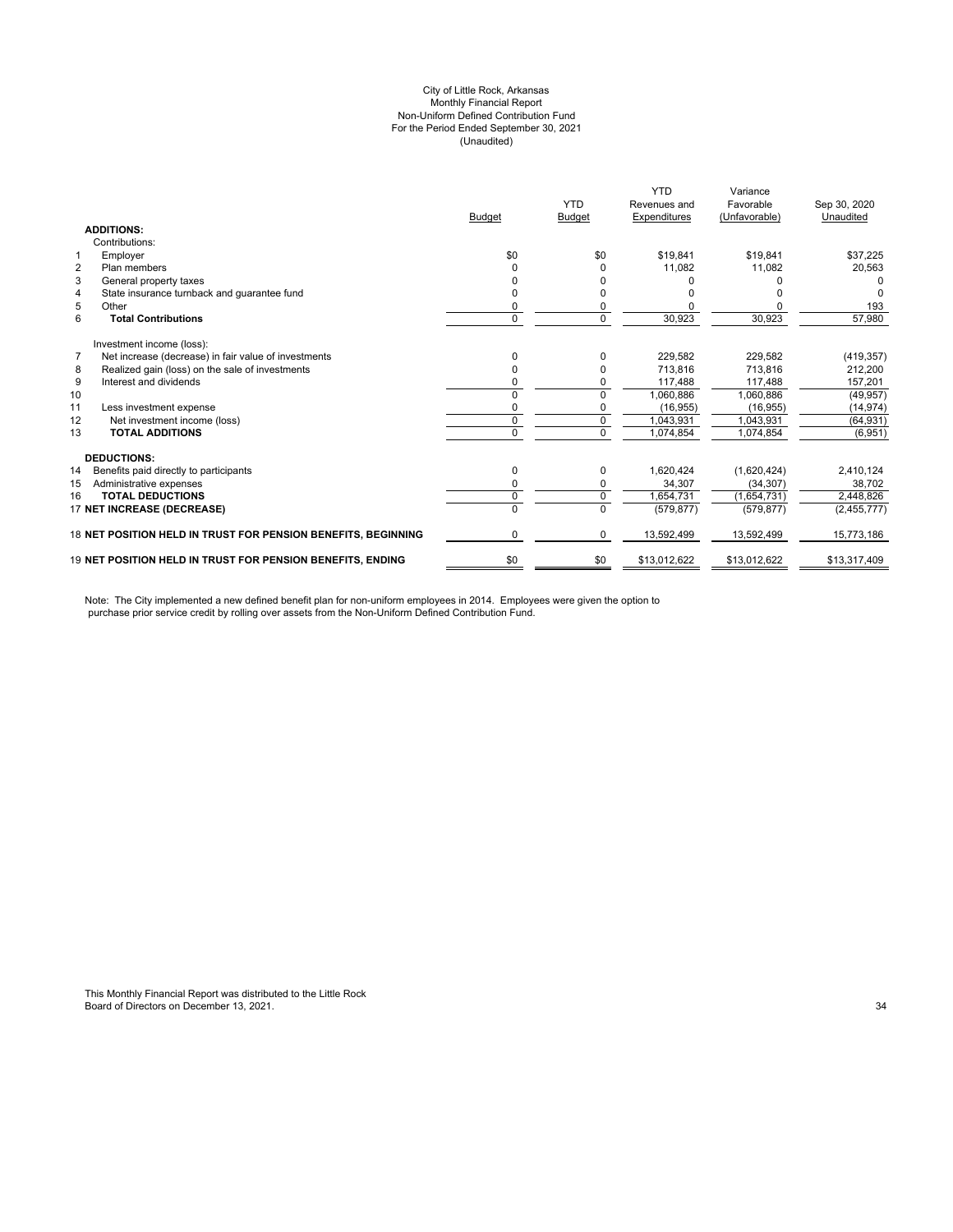#### City of Little Rock, Arkansas (Unaudited) For the Period Ended September 30, 2021 Non-Uniform Defined Contribution Fund Monthly Financial Report

|                |                                                                   |                | <b>YTD</b>    | <b>YTD</b><br>Revenues and | Variance<br>Favorable | Sep 30, 2020 |
|----------------|-------------------------------------------------------------------|----------------|---------------|----------------------------|-----------------------|--------------|
|                |                                                                   | <b>Budget</b>  | <b>Budget</b> | Expenditures               | (Unfavorable)         | Unaudited    |
|                | <b>ADDITIONS:</b>                                                 |                |               |                            |                       |              |
|                | Contributions:                                                    |                |               |                            |                       |              |
| $\mathbf 1$    | Employer                                                          | \$0            | \$0           | \$19,841                   | \$19,841              | \$37,225     |
| $\overline{2}$ | Plan members                                                      |                |               | 11,082                     | 11,082                | 20,563       |
| 3              | General property taxes                                            |                |               |                            |                       |              |
| $\overline{4}$ | State insurance turnback and guarantee fund                       |                |               |                            |                       |              |
| 5              | Other                                                             | 0              |               |                            |                       | 193          |
| 6              | <b>Total Contributions</b>                                        | 0              | $\Omega$      | 30,923                     | 30,923                | 57,980       |
|                | Investment income (loss):                                         |                |               |                            |                       |              |
| $\overline{7}$ | Net increase (decrease) in fair value of investments              | n              |               | 229,582                    | 229.582               | (419, 357)   |
| 8              | Realized gain (loss) on the sale of investments                   | 0              |               | 713.816                    | 713.816               | 212,200      |
| 9              | Interest and dividends                                            |                |               | 117.488                    | 117.488               | 157.201      |
| 10             |                                                                   | 0              | $\Omega$      | 1,060,886                  | 1,060,886             | (49, 957)    |
| 11             | Less investment expense                                           | 0              | 0             | (16, 955)                  | (16.955)              | (14, 974)    |
| 12             | Net investment income (loss)                                      | 0              | 0             | 1,043,931                  | 1.043.931             | (64, 931)    |
| 13             | <b>TOTAL ADDITIONS</b>                                            | $\overline{0}$ | $\Omega$      | 1,074,854                  | 1,074,854             | (6,951)      |
|                | <b>DEDUCTIONS:</b>                                                |                |               |                            |                       |              |
| 14             | Benefits paid directly to participants                            | 0              | 0             | 1,620,424                  | (1,620,424)           | 2,410,124    |
| 15             | Administrative expenses                                           | 0              | 0             | 34,307                     | (34, 307)             | 38,702       |
| 16             | <b>TOTAL DEDUCTIONS</b>                                           | 0              | $\mathbf 0$   | 1,654,731                  | (1,654,731)           | 2,448,826    |
|                | 17 NET INCREASE (DECREASE)                                        | $\overline{0}$ | $\Omega$      | (579, 877)                 | (579, 877)            | (2,455,777)  |
|                | 18 NET POSITION HELD IN TRUST FOR PENSION BENEFITS, BEGINNING     | 0              | $\Omega$      | 13,592,499                 | 13,592,499            | 15,773,186   |
|                | <b>19 NET POSITION HELD IN TRUST FOR PENSION BENEFITS. ENDING</b> | \$0            | \$0           | \$13,012,622               | \$13,012,622          | \$13,317,409 |

Note: The City implemented a new defined benefit plan for non-uniform employees in 2014. Employees were given the option to purchase prior service credit by rolling over assets from the Non-Uniform Defined Contribution Fund.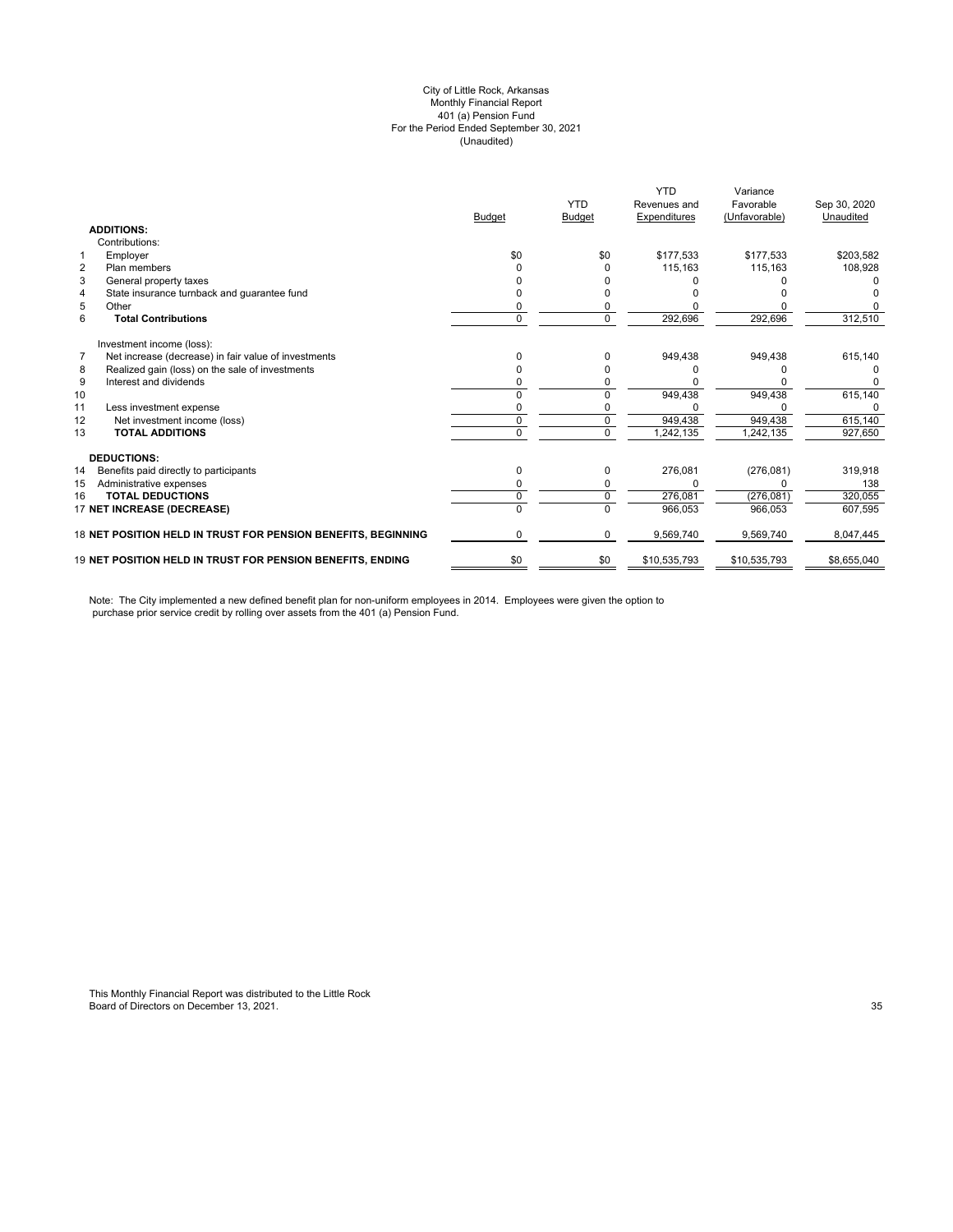#### (Unaudited) City of Little Rock, Arkansas Monthly Financial Report 401 (a) Pension Fund For the Period Ended September 30, 2021

|                   |                                                               |               | <b>YTD</b>    | <b>YTD</b><br>Revenues and | Variance<br>Favorable | Sep 30, 2020 |
|-------------------|---------------------------------------------------------------|---------------|---------------|----------------------------|-----------------------|--------------|
|                   |                                                               | <b>Budget</b> | <b>Budget</b> | Expenditures               | (Unfavorable)         | Unaudited    |
| <b>ADDITIONS:</b> |                                                               |               |               |                            |                       |              |
|                   | Contributions:                                                |               |               |                            |                       |              |
| 1                 | Employer                                                      | \$0           | \$0           | \$177,533                  | \$177,533             | \$203,582    |
| $\overline{2}$    | Plan members                                                  |               | O             | 115,163                    | 115.163               | 108,928      |
| 3                 | General property taxes                                        |               |               |                            |                       |              |
| 4                 | State insurance turnback and guarantee fund                   |               |               |                            |                       |              |
| 5                 | Other                                                         |               |               |                            |                       |              |
| 6                 | <b>Total Contributions</b>                                    | 0             | 0             | 292,696                    | 292,696               | 312,510      |
|                   | Investment income (loss):                                     |               |               |                            |                       |              |
| $\overline{7}$    | Net increase (decrease) in fair value of investments          |               | O             | 949,438                    | 949,438               | 615,140      |
| 8                 | Realized gain (loss) on the sale of investments               |               |               |                            |                       |              |
| 9                 | Interest and dividends                                        |               |               |                            |                       |              |
| 10                |                                                               |               |               | 949,438                    | 949,438               | 615,140      |
| 11                | Less investment expense                                       |               |               |                            |                       | 0            |
| 12                | Net investment income (loss)                                  | 0             | 0             | 949,438                    | 949,438               | 615,140      |
| 13                | <b>TOTAL ADDITIONS</b>                                        | U             | $\Omega$      | 1,242,135                  | 1,242,135             | 927,650      |
|                   | <b>DEDUCTIONS:</b>                                            |               |               |                            |                       |              |
| 14                | Benefits paid directly to participants                        | 0             | 0             | 276,081                    | (276, 081)            | 319,918      |
| 15                | Administrative expenses                                       |               |               |                            |                       | 138          |
| 16                | <b>TOTAL DEDUCTIONS</b>                                       | 0             | 0             | 276,081                    | (276, 081)            | 320,055      |
|                   | 17 NET INCREASE (DECREASE)                                    | U             | $\Omega$      | 966,053                    | 966,053               | 607,595      |
|                   | 18 NET POSITION HELD IN TRUST FOR PENSION BENEFITS, BEGINNING | 0             | 0             | 9,569,740                  | 9,569,740             | 8,047,445    |
|                   | 19 NET POSITION HELD IN TRUST FOR PENSION BENEFITS, ENDING    | \$0           | \$0           | \$10,535,793               | \$10,535,793          | \$8,655,040  |

Note: The City implemented a new defined benefit plan for non-uniform employees in 2014. Employees were given the option to purchase prior service credit by rolling over assets from the 401 (a) Pension Fund.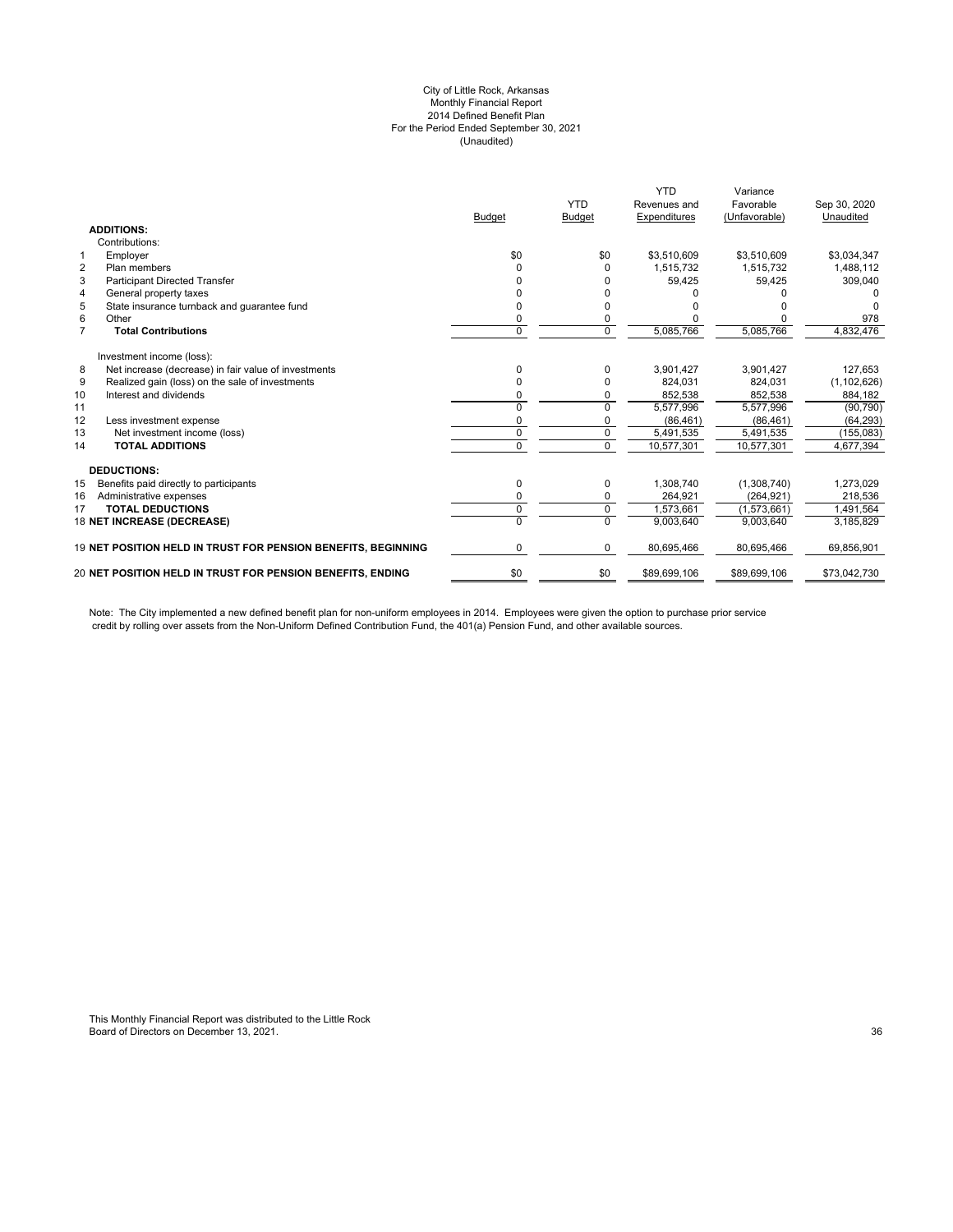#### City of Little Rock, Arkansas Monthly Financial Report 2014 Defined Benefit Plan For the Period Ended September 30, 2021 (Unaudited)

|                |                                                               |               | <b>YTD</b>     | <b>YTD</b><br>Revenues and | Variance<br>Favorable | Sep 30, 2020  |
|----------------|---------------------------------------------------------------|---------------|----------------|----------------------------|-----------------------|---------------|
|                | <b>ADDITIONS:</b>                                             | <b>Budget</b> | <b>Budget</b>  | Expenditures               | (Unfavorable)         | Unaudited     |
|                | Contributions:                                                |               |                |                            |                       |               |
| $\mathbf{1}$   | Employer                                                      | \$0           | \$0            | \$3,510,609                | \$3,510,609           | \$3,034,347   |
| $\overline{2}$ | Plan members                                                  | U             | O              | 1,515,732                  | 1,515,732             | 1,488,112     |
| 3              | <b>Participant Directed Transfer</b>                          |               |                | 59,425                     | 59,425                | 309,040       |
| $\overline{4}$ | General property taxes                                        |               |                |                            |                       |               |
| 5              | State insurance turnback and quarantee fund                   |               |                |                            |                       |               |
| 6              | Other                                                         | 0             | 0              |                            |                       | 978           |
| $\overline{7}$ | <b>Total Contributions</b>                                    | 0             | $\Omega$       | 5,085,766                  | 5,085,766             | 4,832,476     |
|                | Investment income (loss):                                     |               |                |                            |                       |               |
| 8              | Net increase (decrease) in fair value of investments          | 0             | 0              | 3,901,427                  | 3,901,427             | 127,653       |
| 9              | Realized gain (loss) on the sale of investments               | n             | O              | 824,031                    | 824,031               | (1, 102, 626) |
| 10             | Interest and dividends                                        | 0             | 0              | 852,538                    | 852,538               | 884,182       |
| 11             |                                                               | U             | $\Omega$       | 5,577,996                  | 5,577,996             | (90, 790)     |
| 12             | Less investment expense                                       |               |                | (86, 461)                  | (86, 461)             | (64, 293)     |
| 13             | Net investment income (loss)                                  | 0             | $\Omega$       | 5,491,535                  | 5,491,535             | (155, 083)    |
| 14             | <b>TOTAL ADDITIONS</b>                                        | 0             | $\overline{0}$ | 10,577,301                 | 10,577,301            | 4,677,394     |
|                | <b>DEDUCTIONS:</b>                                            |               |                |                            |                       |               |
| 15             | Benefits paid directly to participants                        | 0             | 0              | 1,308,740                  | (1,308,740)           | 1,273,029     |
| 16             | Administrative expenses                                       | 0             | $\mathbf 0$    | 264,921                    | (264, 921)            | 218,536       |
| 17             | <b>TOTAL DEDUCTIONS</b>                                       | 0             | $\mathbf 0$    | 1.573.661                  | (1,573,661)           | 1.491.564     |
|                | 18 NET INCREASE (DECREASE)                                    | 0             | $\Omega$       | 9.003.640                  | 9.003.640             | 3,185,829     |
|                | 19 NET POSITION HELD IN TRUST FOR PENSION BENEFITS, BEGINNING | 0             | 0              | 80,695,466                 | 80,695,466            | 69,856,901    |
|                | 20 NET POSITION HELD IN TRUST FOR PENSION BENEFITS, ENDING    | \$0           | \$0            | \$89,699,106               | \$89,699,106          | \$73,042,730  |
|                |                                                               |               |                |                            |                       |               |

Note: The City implemented a new defined benefit plan for non-uniform employees in 2014. Employees were given the option to purchase prior service credit by rolling over assets from the Non-Uniform Defined Contribution Fund, the 401(a) Pension Fund, and other available sources.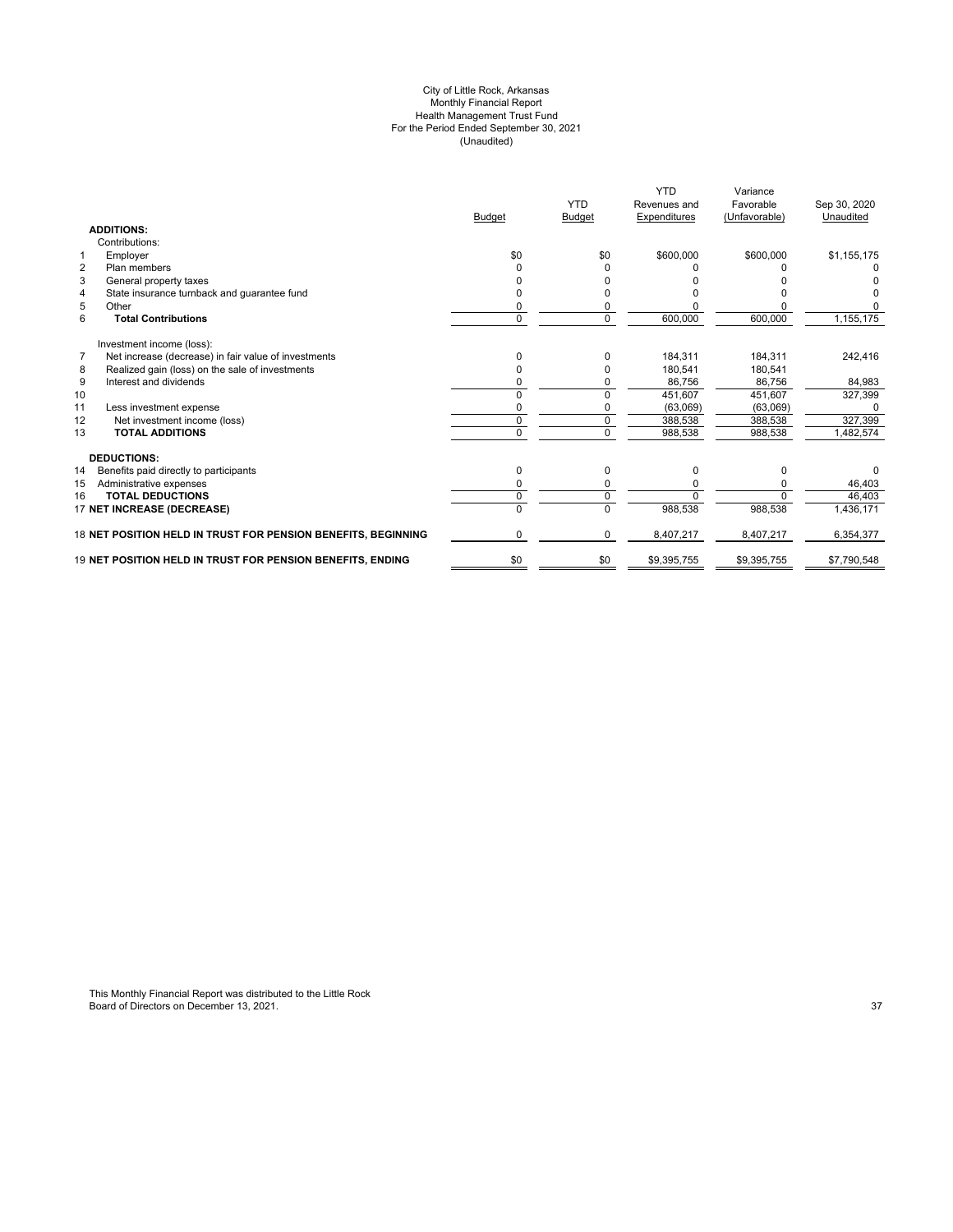#### City of Little Rock, Arkansas Monthly Financial Report Health Management Trust Fund For the Period Ended September 30, 2021 (Unaudited)

|                |                                                               |               |               | <b>YTD</b>   | Variance      |              |
|----------------|---------------------------------------------------------------|---------------|---------------|--------------|---------------|--------------|
|                |                                                               |               | <b>YTD</b>    | Revenues and | Favorable     | Sep 30, 2020 |
|                |                                                               | <b>Budget</b> | <b>Budget</b> | Expenditures | (Unfavorable) | Unaudited    |
|                | <b>ADDITIONS:</b>                                             |               |               |              |               |              |
|                | Contributions:                                                |               |               |              |               |              |
| $\mathbf{1}$   | Employer                                                      | \$0           | \$0           | \$600,000    | \$600,000     | \$1,155,175  |
| $\overline{2}$ | Plan members                                                  | ŋ             | O             |              |               |              |
| 3              | General property taxes                                        |               |               |              |               |              |
| 4              | State insurance turnback and guarantee fund                   |               |               |              |               |              |
| 5              | Other                                                         | ŋ             | O             |              |               |              |
| 6              | <b>Total Contributions</b>                                    | $\Omega$      | $\mathbf 0$   | 600,000      | 600,000       | 1,155,175    |
|                | Investment income (loss):                                     |               |               |              |               |              |
| $\overline{7}$ | Net increase (decrease) in fair value of investments          | 0             | 0             | 184,311      | 184,311       | 242,416      |
| 8              | Realized gain (loss) on the sale of investments               | 0             |               | 180.541      | 180.541       |              |
| 9              | Interest and dividends                                        | 0             |               | 86.756       | 86.756        | 84,983       |
| 10             |                                                               | n             |               | 451.607      | 451,607       | 327,399      |
| 11             | Less investment expense                                       |               |               | (63,069)     | (63,069)      |              |
| 12             | Net investment income (loss)                                  | 0             |               | 388,538      | 388,538       | 327,399      |
| 13             | <b>TOTAL ADDITIONS</b>                                        | 0             | 0             | 988,538      | 988,538       | 1,482,574    |
|                | <b>DEDUCTIONS:</b>                                            |               |               |              |               |              |
| 14             | Benefits paid directly to participants                        | 0             | 0             | 0            | 0             | 0            |
| 15             | Administrative expenses                                       | ŋ             |               | ŋ            |               | 46,403       |
| 16             | <b>TOTAL DEDUCTIONS</b>                                       | 0             |               | $\Omega$     | $\Omega$      | 46,403       |
|                | 17 NET INCREASE (DECREASE)                                    |               |               | 988,538      | 988,538       | 1,436,171    |
|                | 18 NET POSITION HELD IN TRUST FOR PENSION BENEFITS, BEGINNING | 0             | $\Omega$      | 8,407,217    | 8,407,217     | 6,354,377    |
|                | 19 NET POSITION HELD IN TRUST FOR PENSION BENEFITS, ENDING    | \$0           | \$0           | \$9,395,755  | \$9,395,755   | \$7,790,548  |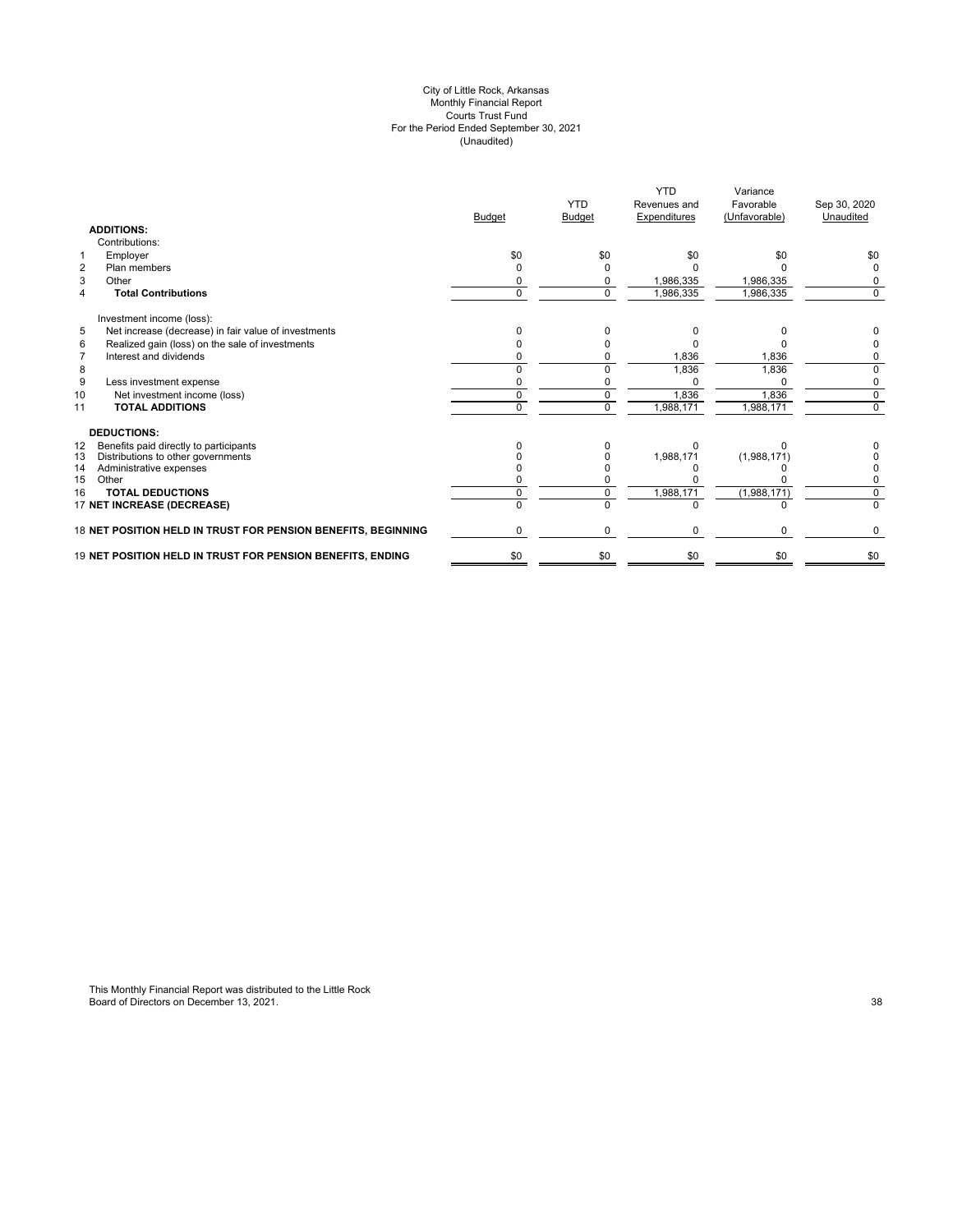#### City of Little Rock, Arkansas Monthly Financial Report Courts Trust Fund For the Period Ended September 30, 2021 (Unaudited)

|                                                               | <b>Budget</b> | <b>YTD</b><br><b>Budget</b> | <b>YTD</b><br>Revenues and<br>Expenditures | Variance<br>Favorable<br>(Unfavorable) | Sep 30, 2020<br>Unaudited |
|---------------------------------------------------------------|---------------|-----------------------------|--------------------------------------------|----------------------------------------|---------------------------|
| <b>ADDITIONS:</b>                                             |               |                             |                                            |                                        |                           |
| Contributions:                                                |               |                             |                                            |                                        |                           |
| Employer<br>1                                                 | \$0           | \$0                         | \$0                                        | \$0                                    | \$0                       |
| $\overline{2}$<br>Plan members                                | o             | <sup>0</sup>                |                                            |                                        | 0                         |
| 3<br>Other                                                    |               | <sup>0</sup>                | 1,986,335                                  | 1,986,335                              | 0                         |
| <b>Total Contributions</b><br>$\overline{4}$                  | $\Omega$      | $\Omega$                    | 1,986,335                                  | 1,986,335                              | 0                         |
| Investment income (loss):                                     |               |                             |                                            |                                        |                           |
| 5<br>Net increase (decrease) in fair value of investments     |               |                             |                                            |                                        |                           |
| Realized gain (loss) on the sale of investments<br>6          |               |                             |                                            |                                        |                           |
| Interest and dividends<br>$\overline{7}$                      |               |                             | 1,836                                      | 1,836                                  |                           |
| 8                                                             |               |                             | 1,836                                      | 1,836                                  |                           |
| 9<br>Less investment expense                                  |               |                             |                                            | $\Omega$                               | 0                         |
| 10<br>Net investment income (loss)                            |               |                             | 1,836                                      | 1,836                                  | 0                         |
| <b>TOTAL ADDITIONS</b><br>11                                  | U             | $\Omega$                    | 1,988,171                                  | 1,988,171                              | $\Omega$                  |
| <b>DEDUCTIONS:</b>                                            |               |                             |                                            |                                        |                           |
| Benefits paid directly to participants<br>12                  |               |                             |                                            |                                        |                           |
| Distributions to other governments<br>13                      |               |                             | 1,988,171                                  | (1,988,171)                            |                           |
| 14<br>Administrative expenses                                 |               |                             |                                            |                                        |                           |
| 15<br>Other                                                   |               |                             |                                            |                                        |                           |
| <b>TOTAL DEDUCTIONS</b><br>16                                 |               | <sup>0</sup>                | 1,988,171                                  | (1,988,171)                            | $\Omega$                  |
| 17 NET INCREASE (DECREASE)                                    |               | $\Omega$                    |                                            |                                        | $\Omega$                  |
| 18 NET POSITION HELD IN TRUST FOR PENSION BENEFITS, BEGINNING | 0             | $\mathbf 0$                 | 0                                          | 0                                      | 0                         |
| 19 NET POSITION HELD IN TRUST FOR PENSION BENEFITS, ENDING    | \$0           | \$0                         | \$0                                        | \$0                                    | \$0                       |
|                                                               |               |                             |                                            |                                        |                           |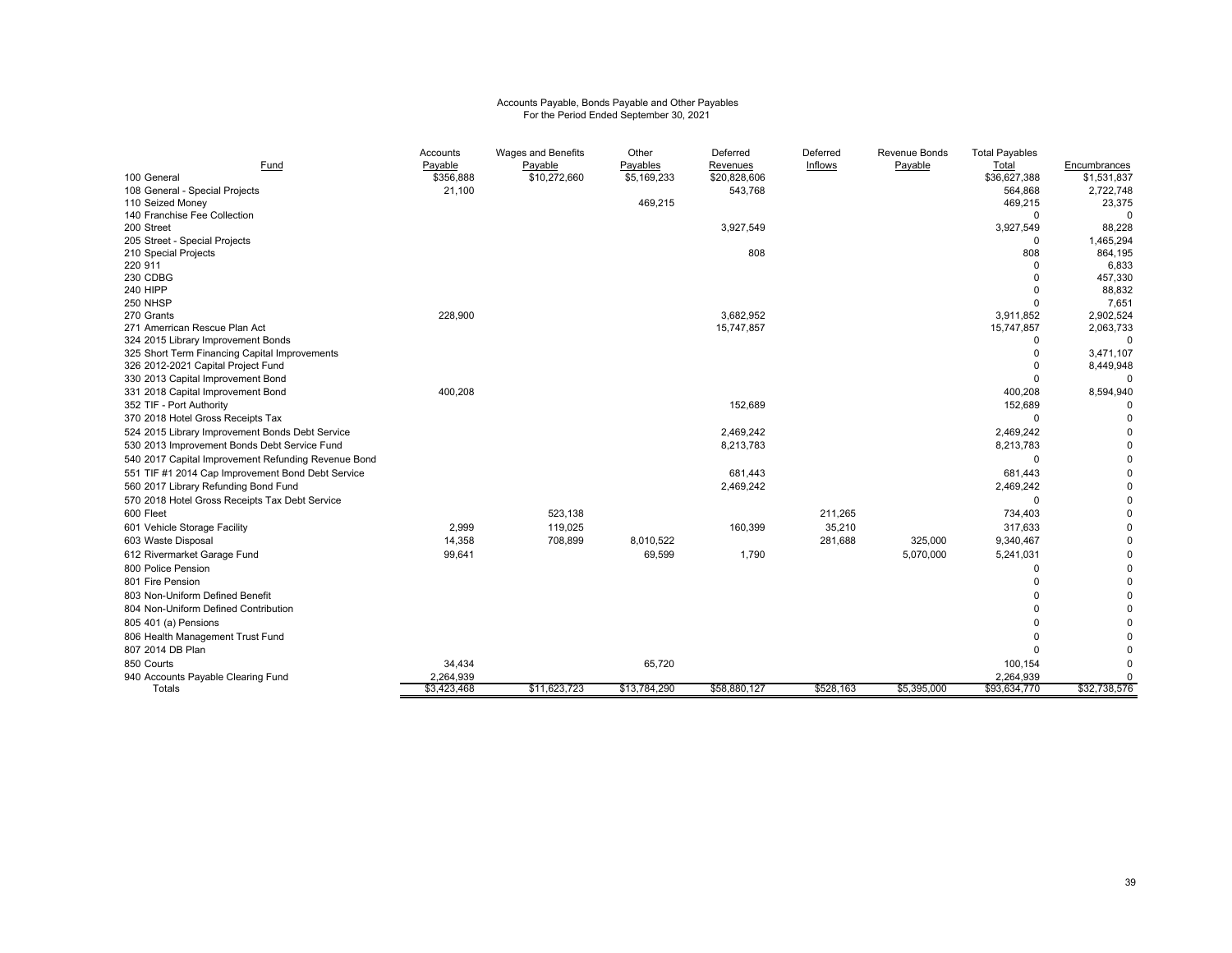# Accounts Payable, Bonds Payable and Other Payables For the Period Ended September 30, 2021

|                                                     | Accounts    | Wages and Benefits | Other        | Deferred     | Deferred       | Revenue Bonds | <b>Total Payables</b> |                 |
|-----------------------------------------------------|-------------|--------------------|--------------|--------------|----------------|---------------|-----------------------|-----------------|
| Fund                                                | Payable     | Payable            | Payables     | Revenues     | <b>Inflows</b> | Payable       | Total                 | Encumbrances    |
| 100 General                                         | \$356,888   | \$10,272,660       | \$5,169,233  | \$20,828,606 |                |               | \$36,627,388          | \$1,531,837     |
| 108 General - Special Projects                      | 21,100      |                    |              | 543,768      |                |               | 564,868               | 2,722,748       |
| 110 Seized Money                                    |             |                    | 469,215      |              |                |               | 469,215               | 23,375          |
| 140 Franchise Fee Collection                        |             |                    |              |              |                |               | $\Omega$              |                 |
| 200 Street                                          |             |                    |              | 3,927,549    |                |               | 3,927,549             | 88,228          |
| 205 Street - Special Projects                       |             |                    |              |              |                |               | $\Omega$              | 1,465,294       |
| 210 Special Projects                                |             |                    |              | 808          |                |               | 808                   | 864,195         |
| 220 911                                             |             |                    |              |              |                |               | $\Omega$              | 6,833           |
| 230 CDBG                                            |             |                    |              |              |                |               | $\Omega$<br>$\Omega$  | 457,330         |
| <b>240 HIPP</b><br>250 NHSP                         |             |                    |              |              |                |               | $\Omega$              | 88,832<br>7,651 |
| 270 Grants                                          | 228,900     |                    |              | 3,682,952    |                |               | 3,911,852             | 2,902,524       |
| 271 Amerrican Rescue Plan Act                       |             |                    |              | 15,747,857   |                |               | 15,747,857            | 2,063,733       |
| 324 2015 Library Improvement Bonds                  |             |                    |              |              |                |               | $\Omega$              | $\Omega$        |
| 325 Short Term Financing Capital Improvements       |             |                    |              |              |                |               | $\Omega$              | 3,471,107       |
| 326 2012-2021 Capital Project Fund                  |             |                    |              |              |                |               | $\Omega$              | 8,449,948       |
| 330 2013 Capital Improvement Bond                   |             |                    |              |              |                |               | $\Omega$              |                 |
| 331 2018 Capital Improvement Bond                   | 400,208     |                    |              |              |                |               | 400,208               | 8,594,940       |
| 352 TIF - Port Authority                            |             |                    |              | 152,689      |                |               | 152,689               |                 |
| 370 2018 Hotel Gross Receipts Tax                   |             |                    |              |              |                |               | $\Omega$              | $\Omega$        |
| 524 2015 Library Improvement Bonds Debt Service     |             |                    |              | 2,469,242    |                |               | 2,469,242             | $\mathbf 0$     |
| 530 2013 Improvement Bonds Debt Service Fund        |             |                    |              | 8,213,783    |                |               | 8,213,783             | $\Omega$        |
| 540 2017 Capital Improvement Refunding Revenue Bond |             |                    |              |              |                |               | $\Omega$              | $\Omega$        |
| 551 TIF #1 2014 Cap Improvement Bond Debt Service   |             |                    |              | 681,443      |                |               | 681,443               | $\Omega$        |
| 560 2017 Library Refunding Bond Fund                |             |                    |              | 2,469,242    |                |               | 2,469,242             | $\mathbf 0$     |
| 570 2018 Hotel Gross Receipts Tax Debt Service      |             |                    |              |              |                |               | $\Omega$              | $\Omega$        |
| 600 Fleet                                           |             | 523,138            |              |              | 211,265        |               | 734,403               | $\Omega$        |
| 601 Vehicle Storage Facility                        | 2,999       | 119,025            |              | 160,399      | 35,210         |               | 317,633               | $\mathbf 0$     |
| 603 Waste Disposal                                  | 14,358      | 708,899            | 8,010,522    |              | 281,688        | 325,000       | 9,340,467             | $\mathbf 0$     |
|                                                     |             |                    |              |              |                |               |                       | $\Omega$        |
| 612 Rivermarket Garage Fund<br>800 Police Pension   | 99,641      |                    | 69,599       | 1,790        |                | 5,070,000     | 5,241,031<br>$\Omega$ | $\mathbf 0$     |
|                                                     |             |                    |              |              |                |               |                       |                 |
| 801 Fire Pension                                    |             |                    |              |              |                |               | $\Omega$              | $\Omega$        |
| 803 Non-Uniform Defined Benefit                     |             |                    |              |              |                |               |                       | $\Omega$        |
| 804 Non-Uniform Defined Contribution                |             |                    |              |              |                |               |                       | $\mathbf 0$     |
| 805 401 (a) Pensions                                |             |                    |              |              |                |               |                       | $\mathbf 0$     |
| 806 Health Management Trust Fund                    |             |                    |              |              |                |               | $\Omega$              | $\Omega$        |
| 807 2014 DB Plan                                    |             |                    |              |              |                |               | $\Omega$              | $\Omega$        |
| 850 Courts                                          | 34,434      |                    | 65,720       |              |                |               | 100,154               | $\Omega$        |
| 940 Accounts Payable Clearing Fund                  | 2,264,939   |                    |              |              |                |               | 2,264,939             | $\Omega$        |
| Totals                                              | \$3,423,468 | \$11,623,723       | \$13,784,290 | \$58,880,127 | \$528,163      | \$5,395,000   | \$93,634,770          | \$32,738,576    |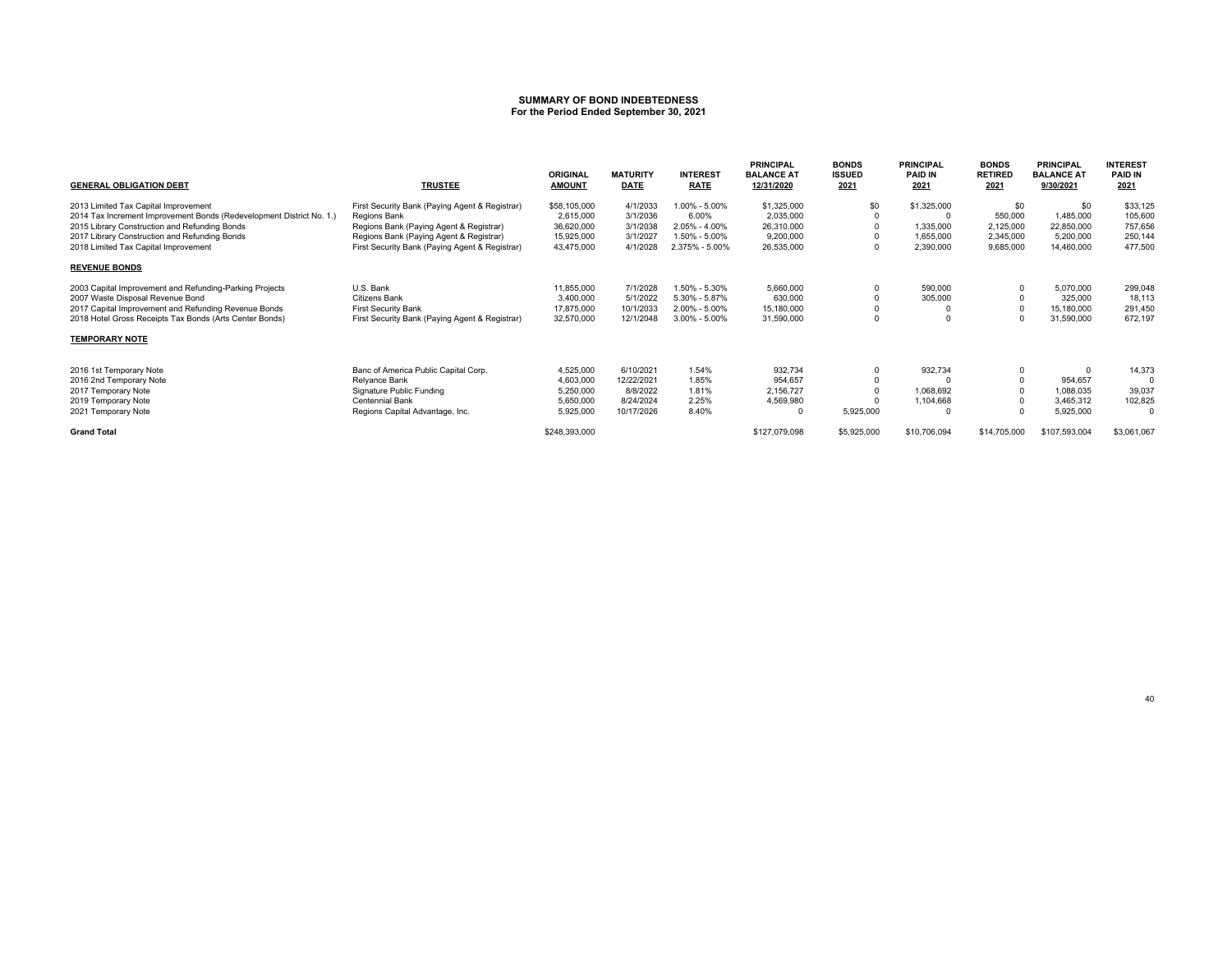#### **SUMMARY OF BOND INDEBTEDNESSFor the Period Ended September 30, 2021**

| <b>GENERAL OBLIGATION DEBT</b>                                                        | <b>TRUSTEE</b>                                                                            | <b>ORIGINAL</b><br><b>AMOUNT</b> | <b>MATURITY</b><br><b>DATE</b> | <b>INTEREST</b><br><b>RATE</b>  | <b>PRINCIPAL</b><br><b>BALANCE AT</b><br>12/31/2020 | <b>BONDS</b><br><b>ISSUED</b><br>2021 | <b>PRINCIPAL</b><br><b>PAID IN</b><br>2021 | <b>BONDS</b><br><b>RETIRED</b><br>2021 | <b>PRINCIPAL</b><br><b>BALANCE AT</b><br>9/30/2021 | <b>INTEREST</b><br><b>PAID IN</b><br>2021 |
|---------------------------------------------------------------------------------------|-------------------------------------------------------------------------------------------|----------------------------------|--------------------------------|---------------------------------|-----------------------------------------------------|---------------------------------------|--------------------------------------------|----------------------------------------|----------------------------------------------------|-------------------------------------------|
| 2013 Limited Tax Capital Improvement                                                  | First Security Bank (Paying Agent & Registrar)                                            | \$58,105,000                     | 4/1/2033                       | 1.00% - 5.00%                   | \$1,325,000                                         | \$0                                   | \$1,325,000                                | \$0                                    | \$0                                                | \$33,125                                  |
| 2014 Tax Increment Improvement Bonds (Redevelopment District No. 1.)                  | Regions Bank                                                                              | 2,615,000                        | 3/1/2036                       | 6.00%                           | 2,035,000                                           | $\Omega$                              |                                            | 550,000                                | 1,485,000                                          | 105,600                                   |
| 2015 Library Construction and Refunding Bonds                                         | Regions Bank (Paying Agent & Registrar)                                                   | 36,620,000                       | 3/1/2038                       | 2.05% - 4.00%                   | 26,310,000                                          |                                       | 1,335,000                                  | 2,125,000                              | 22,850,000                                         | 757,656                                   |
| 2017 Library Construction and Refunding Bonds<br>2018 Limited Tax Capital Improvement | Regions Bank (Paying Agent & Registrar)<br>First Security Bank (Paying Agent & Registrar) | 15,925,000<br>43,475,000         | 3/1/2027<br>4/1/2028           | 1.50% - 5.00%<br>2.375% - 5.00% | 9,200,000<br>26,535,000                             | $\Omega$                              | 1,655,000<br>2,390,000                     | 2,345,000<br>9,685,000                 | 5,200,000<br>14,460,000                            | 250,144<br>477,500                        |
| <b>REVENUE BONDS</b>                                                                  |                                                                                           |                                  |                                |                                 |                                                     |                                       |                                            |                                        |                                                    |                                           |
| 2003 Capital Improvement and Refunding-Parking Projects                               | U.S. Bank                                                                                 | 11,855,000                       | 7/1/2028                       | 1.50% - 5.30%                   | 5,660,000                                           | $\Omega$                              | 590,000                                    |                                        | 5,070,000                                          | 299,048                                   |
| 2007 Waste Disposal Revenue Bond                                                      | Citizens Bank                                                                             | 3,400,000                        | 5/1/2022                       | 5.30% - 5.87%                   | 630,000                                             |                                       | 305,000                                    |                                        | 325,000                                            | 18,113                                    |
| 2017 Capital Improvement and Refunding Revenue Bonds                                  | <b>First Security Bank</b>                                                                | 17,875,000                       | 10/1/2033                      | $2.00\% - 5.00\%$               | 15,180,000                                          |                                       |                                            |                                        | 15,180,000                                         | 291,450                                   |
| 2018 Hotel Gross Receipts Tax Bonds (Arts Center Bonds)                               | First Security Bank (Paying Agent & Registrar)                                            | 32,570,000                       | 12/1/2048                      | $3.00\% - 5.00\%$               | 31,590,000                                          | $\Omega$                              |                                            |                                        | 31,590,000                                         | 672,197                                   |
| <b>TEMPORARY NOTE</b>                                                                 |                                                                                           |                                  |                                |                                 |                                                     |                                       |                                            |                                        |                                                    |                                           |
| 2016 1st Temporary Note                                                               | Banc of America Public Capital Corp.                                                      | 4,525,000                        | 6/10/2021                      | 1.54%                           | 932,734                                             | $\Omega$                              | 932,734                                    |                                        | $\Omega$                                           | 14,373                                    |
| 2016 2nd Temporary Note                                                               | Relyance Bank                                                                             | 4,603,000                        | 12/22/2021                     | 1.85%                           | 954,657                                             |                                       |                                            |                                        | 954,657                                            | 0                                         |
| 2017 Temporary Note                                                                   | Signature Public Funding                                                                  | 5,250,000                        | 8/8/2022                       | 1.81%                           | 2,156,727                                           |                                       | 1,068,692                                  |                                        | 1,088,035                                          | 39,037                                    |
| 2019 Temporary Note                                                                   | <b>Centennial Bank</b>                                                                    | 5,650,000                        | 8/24/2024                      | 2.25%                           | 4,569,980                                           |                                       | 1,104,668                                  |                                        | 3,465,312                                          | 102,825                                   |
| 2021 Temporary Note                                                                   | Regions Capital Advantage, Inc.                                                           | 5,925,000                        | 10/17/2026                     | 8.40%                           |                                                     | 5,925,000                             |                                            |                                        | 5,925,000                                          | $\Omega$                                  |
| <b>Grand Total</b>                                                                    |                                                                                           | \$248,393,000                    |                                |                                 | \$127,079,098                                       | \$5,925,000                           | \$10,706,094                               | \$14,705,000                           | \$107,593,004                                      | \$3,061,067                               |